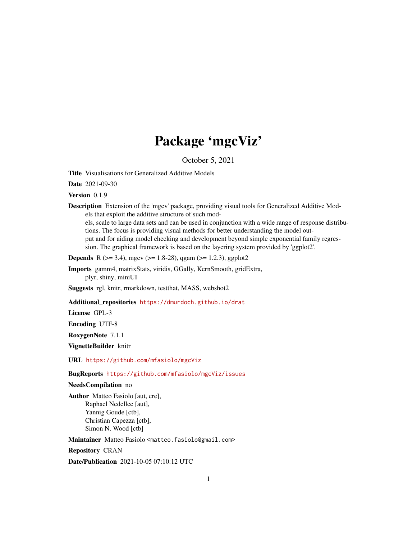# Package 'mgcViz'

October 5, 2021

<span id="page-0-0"></span>Title Visualisations for Generalized Additive Models

Date 2021-09-30

Version 0.1.9

Description Extension of the 'mgcv' package, providing visual tools for Generalized Additive Models that exploit the additive structure of such mod-

els, scale to large data sets and can be used in conjunction with a wide range of response distributions. The focus is providing visual methods for better understanding the model output and for aiding model checking and development beyond simple exponential family regression. The graphical framework is based on the layering system provided by 'ggplot2'.

**Depends** R ( $>= 3.4$ ), mgcv ( $>= 1.8-28$ ), qgam ( $>= 1.2.3$ ), ggplot2

Imports gamm4, matrixStats, viridis, GGally, KernSmooth, gridExtra, plyr, shiny, miniUI

Suggests rgl, knitr, rmarkdown, testthat, MASS, webshot2

#### Additional\_repositories <https://dmurdoch.github.io/drat>

License GPL-3

Encoding UTF-8

RoxygenNote 7.1.1

VignetteBuilder knitr

URL <https://github.com/mfasiolo/mgcViz>

BugReports <https://github.com/mfasiolo/mgcViz/issues>

#### NeedsCompilation no

Author Matteo Fasiolo [aut, cre], Raphael Nedellec [aut], Yannig Goude [ctb], Christian Capezza [ctb], Simon N. Wood [ctb]

Maintainer Matteo Fasiolo <matteo.fasiolo@gmail.com>

Repository CRAN

Date/Publication 2021-10-05 07:10:12 UTC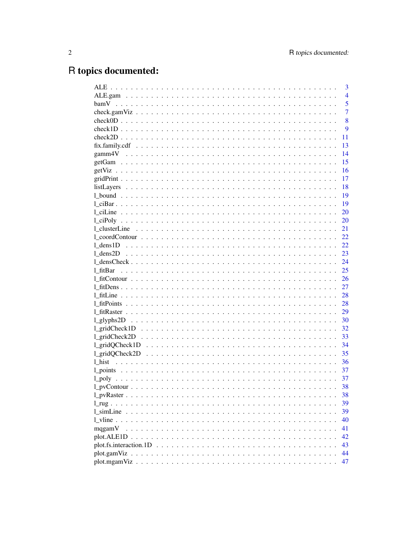# R topics documented:

|                                                                                                                        | 3              |
|------------------------------------------------------------------------------------------------------------------------|----------------|
|                                                                                                                        | $\overline{4}$ |
|                                                                                                                        | 5              |
|                                                                                                                        | $\overline{7}$ |
|                                                                                                                        | 8              |
|                                                                                                                        | 9              |
|                                                                                                                        | 11             |
|                                                                                                                        | 13             |
|                                                                                                                        | 14             |
|                                                                                                                        | 15             |
|                                                                                                                        | 16             |
|                                                                                                                        | 17             |
|                                                                                                                        | 18             |
|                                                                                                                        | 19             |
|                                                                                                                        | 19             |
|                                                                                                                        | 20             |
|                                                                                                                        | 20             |
|                                                                                                                        | 21             |
|                                                                                                                        | 22             |
|                                                                                                                        | 22             |
|                                                                                                                        | 23             |
|                                                                                                                        | 24             |
| 1 fitBar                                                                                                               | 25             |
|                                                                                                                        | 26             |
|                                                                                                                        | 27             |
|                                                                                                                        | 28             |
|                                                                                                                        | 28             |
|                                                                                                                        | 29             |
|                                                                                                                        | 30             |
|                                                                                                                        | 32             |
|                                                                                                                        | 33             |
| $l\_gridQCheck1D \dots \dots \dots \dots \dots \dots \dots \dots \dots \dots \dots \dots \dots \dots$                  | 34             |
|                                                                                                                        | 35             |
|                                                                                                                        | 36             |
|                                                                                                                        | 37             |
|                                                                                                                        | 37             |
|                                                                                                                        | 38             |
|                                                                                                                        | 38             |
|                                                                                                                        | 39             |
|                                                                                                                        | 39             |
|                                                                                                                        | 40             |
| mqgamV                                                                                                                 | 41             |
|                                                                                                                        | 42             |
|                                                                                                                        | 43             |
| plot.gamViz<br>a de la caractería de la caractería de la caractería de la caractería de la caractería de la caractería | 44             |
|                                                                                                                        | 47             |
|                                                                                                                        |                |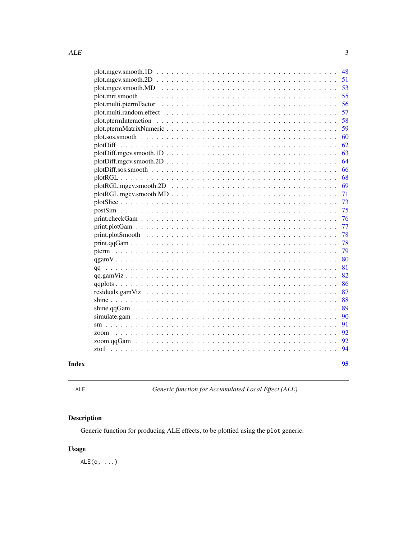<span id="page-2-0"></span>

|       | $plot(mgcv.smooth.1D$                                                                                                    | 48 |
|-------|--------------------------------------------------------------------------------------------------------------------------|----|
|       | $plot(mgcv. \text{smooth}.2D \ldots \ldots \ldots \ldots \ldots \ldots \ldots \ldots \ldots \ldots \ldots \ldots \ldots$ | 51 |
|       |                                                                                                                          | 53 |
|       |                                                                                                                          | 55 |
|       |                                                                                                                          | 56 |
|       |                                                                                                                          | 57 |
|       |                                                                                                                          | 58 |
|       |                                                                                                                          | 59 |
|       |                                                                                                                          | 60 |
|       |                                                                                                                          | 62 |
|       | $plotDiff.mgcv.smooth.1D \ldots \ldots \ldots \ldots \ldots \ldots \ldots \ldots \ldots \ldots \ldots$                   | 63 |
|       | $plotDiff(mgcv.smooth.2D \ldots \ldots \ldots \ldots \ldots \ldots \ldots \ldots \ldots \ldots \ldots \ldots$            | 64 |
|       |                                                                                                                          | 66 |
|       |                                                                                                                          | 68 |
|       |                                                                                                                          | 69 |
|       | $plotRGL.mgcv.smooth.MD$                                                                                                 | 71 |
|       |                                                                                                                          | 73 |
|       |                                                                                                                          | 75 |
|       |                                                                                                                          | 76 |
|       |                                                                                                                          | 77 |
|       |                                                                                                                          | 78 |
|       |                                                                                                                          | 78 |
|       |                                                                                                                          | 79 |
|       |                                                                                                                          | 80 |
|       |                                                                                                                          | 81 |
|       |                                                                                                                          | 82 |
|       |                                                                                                                          | 86 |
|       |                                                                                                                          | 87 |
|       |                                                                                                                          | 88 |
|       |                                                                                                                          | 89 |
|       |                                                                                                                          | 90 |
|       |                                                                                                                          | 91 |
|       |                                                                                                                          | 92 |
|       |                                                                                                                          | 92 |
|       |                                                                                                                          | 94 |
| Index |                                                                                                                          | 95 |
|       |                                                                                                                          |    |

ALE *Generic function for Accumulated Local Effect (ALE)*

# Description

Generic function for producing ALE effects, to be plottied using the plot generic.

# Usage

 $ALE(o, \ldots)$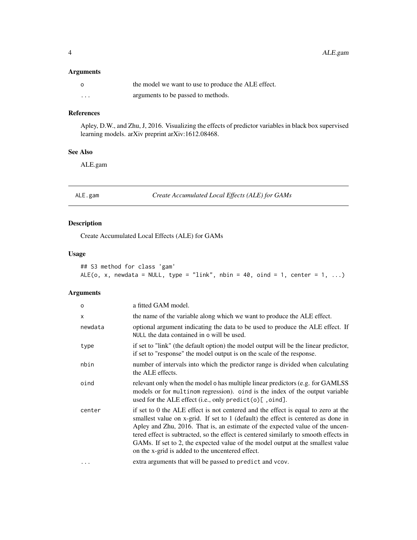# <span id="page-3-0"></span>Arguments

|          | the model we want to use to produce the ALE effect. |
|----------|-----------------------------------------------------|
| $\cdots$ | arguments to be passed to methods.                  |

# References

Apley, D.W., and Zhu, J, 2016. Visualizing the effects of predictor variables in black box supervised learning models. arXiv preprint arXiv:1612.08468.

#### See Also

ALE.gam

ALE.gam *Create Accumulated Local Effects (ALE) for GAMs*

# Description

Create Accumulated Local Effects (ALE) for GAMs

# Usage

|  | ## S3 method for class 'gam' |  |  |                                                                               |  |  |  |  |
|--|------------------------------|--|--|-------------------------------------------------------------------------------|--|--|--|--|
|  |                              |  |  | $ALE(o, x, newdata = NULL, type = "link", nbin = 40, oind = 1, center = 1, )$ |  |  |  |  |

# Arguments

| $\circ$  | a fitted GAM model.                                                                                                                                                                                                                                                                                                                                                                                                                                                                    |
|----------|----------------------------------------------------------------------------------------------------------------------------------------------------------------------------------------------------------------------------------------------------------------------------------------------------------------------------------------------------------------------------------------------------------------------------------------------------------------------------------------|
| X        | the name of the variable along which we want to produce the ALE effect.                                                                                                                                                                                                                                                                                                                                                                                                                |
| newdata  | optional argument indicating the data to be used to produce the ALE effect. If<br>NULL the data contained in o will be used.                                                                                                                                                                                                                                                                                                                                                           |
| type     | if set to "link" (the default option) the model output will be the linear predictor,<br>if set to "response" the model output is on the scale of the response.                                                                                                                                                                                                                                                                                                                         |
| nbin     | number of intervals into which the predictor range is divided when calculating<br>the ALE effects.                                                                                                                                                                                                                                                                                                                                                                                     |
| oind     | relevant only when the model o has multiple linear predictors (e.g. for GAMLSS)<br>models or for multinom regression). oind is the index of the output variable<br>used for the ALE effect (i.e., only predict(o) [, oind].                                                                                                                                                                                                                                                            |
| center   | if set to 0 the ALE effect is not centered and the effect is equal to zero at the<br>smallest value on x-grid. If set to 1 (default) the effect is centered as done in<br>Apley and Zhu, 2016. That is, an estimate of the expected value of the uncen-<br>tered effect is subtracted, so the effect is centered similarly to smooth effects in<br>GAMs. If set to 2, the expected value of the model output at the smallest value<br>on the x-grid is added to the uncentered effect. |
| $\cdots$ | extra arguments that will be passed to predict and vcov.                                                                                                                                                                                                                                                                                                                                                                                                                               |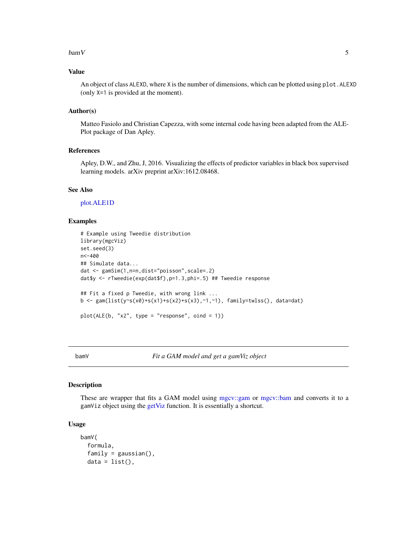#### <span id="page-4-0"></span> $bamV$  5

# Value

An object of class ALEXD, where X is the number of dimensions, which can be plotted using plot.ALEXD (only X=1 is provided at the moment).

#### Author(s)

Matteo Fasiolo and Christian Capezza, with some internal code having been adapted from the ALE-Plot package of Dan Apley.

# References

Apley, D.W., and Zhu, J, 2016. Visualizing the effects of predictor variables in black box supervised learning models. arXiv preprint arXiv:1612.08468.

#### See Also

[plot.ALE1D](#page-41-1)

# Examples

```
# Example using Tweedie distribution
library(mgcViz)
set.seed(3)
n<-400
## Simulate data...
dat <- gamSim(1,n=n,dist="poisson",scale=.2)
dat$y <- rTweedie(exp(dat$f),p=1.3,phi=.5) ## Tweedie response
## Fit a fixed p Tweedie, with wrong link ...
b <- gam(list(y~s(x0)+s(x1)+s(x2)+s(x3),~1,~1), family=twlss(), data=dat)
plot(ALE(b, "x2", type = "response", oind = 1))
```
bamV *Fit a GAM model and get a gamViz object*

#### Description

These are wrapper that fits a GAM model using [mgcv::gam](#page-0-0) or [mgcv::bam](#page-0-0) and converts it to a gamViz object using the [getViz](#page-15-1) function. It is essentially a shortcut.

#### Usage

```
bamV(
 formula,
 family = gaussian(),data = list(),
```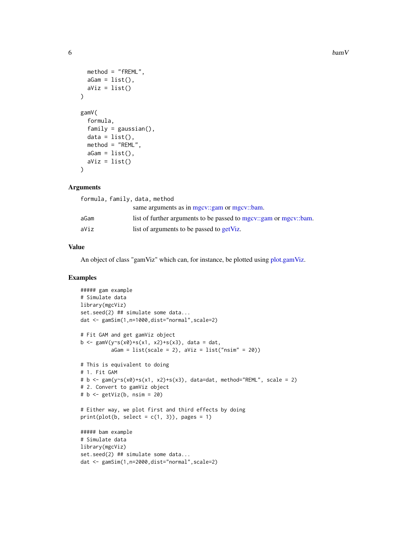```
method = "fREML",
 aGam = list(),
  aViz = list()\lambdagamV(
  formula,
  family = gaussian(),
  data = list(),method = "REML",aGam = list(),aViz = list())
```
# Arguments

| formula, family, data, method |                                                                   |
|-------------------------------|-------------------------------------------------------------------|
|                               | same arguments as in mgcv::gam or mgcv::bam.                      |
| aGam                          | list of further arguments to be passed to mgcv::gam or mgcv::bam. |
| aViz                          | list of arguments to be passed to getViz.                         |
|                               |                                                                   |

# Value

An object of class "gamViz" which can, for instance, be plotted using [plot.gamViz.](#page-43-1)

# Examples

```
##### gam example
# Simulate data
library(mgcViz)
set.seed(2) ## simulate some data...
dat <- gamSim(1,n=1000,dist="normal",scale=2)
# Fit GAM and get gamViz object
b <- gamV(y~s(x0)+s(x1, x2)+s(x3), data = dat,
          aGam = list(scale = 2), aViz = list("nsim" = 20))# This is equivalent to doing
# 1. Fit GAM
# b <- gam(y~s(x0)+s(x1, x2)+s(x3), data=dat, method="REML", scale = 2)
# 2. Convert to gamViz object
# b <- getViz(b, nsim = 20)
# Either way, we plot first and third effects by doing
print(plot(b, select = c(1, 3)), pages = 1)
##### bam example
# Simulate data
library(mgcViz)
set.seed(2) ## simulate some data...
dat <- gamSim(1,n=2000,dist="normal",scale=2)
```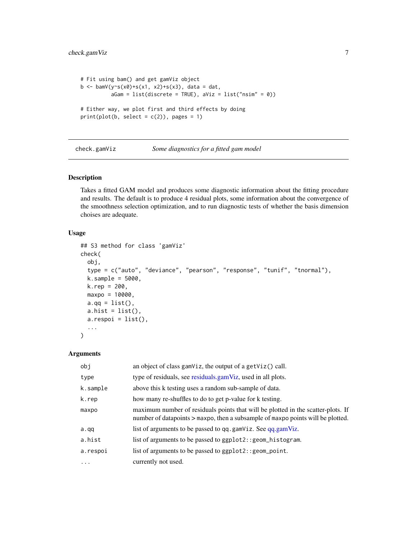```
# Fit using bam() and get gamViz object
b \leq -\text{bamV}(y \sim s(x0) + s(x1, x2) + s(x3), \text{ data} = \text{dat},aGam = list(discrete = TRUE), aViz = list("nsim" = 0))# Either way, we plot first and third effects by doing
print(plot(b, select = c(2)), pages = 1)
```

```
check.gamViz Some diagnostics for a fitted gam model
```
Takes a fitted GAM model and produces some diagnostic information about the fitting procedure and results. The default is to produce 4 residual plots, some information about the convergence of the smoothness selection optimization, and to run diagnostic tests of whether the basis dimension choises are adequate.

#### Usage

```
## S3 method for class 'gamViz'
check(
  obj,
  type = c("auto", "deviance", "pearson", "response", "tunif", "tnormal"),
 k.\text{sample} = 5000,k. rep = 200,maxpo = 10000,a.qq = list(),
  a.hist = list(),a.respoi = list(),
  ...
)
```
# Arguments

| obj       | an object of class gamViz, the output of a getViz() call.                                                                                                           |
|-----------|---------------------------------------------------------------------------------------------------------------------------------------------------------------------|
| type      | type of residuals, see residuals.gamViz, used in all plots.                                                                                                         |
| k.sample  | above this k testing uses a random sub-sample of data.                                                                                                              |
| k.rep     | how many re-shuffles to do to get p-value for k testing.                                                                                                            |
| maxpo     | maximum number of residuals points that will be plotted in the scatter-plots. If<br>number of datapoints > maxpo, then a subsample of maxpo points will be plotted. |
| a.qq      | list of arguments to be passed to qq.gamViz. See qq.gamViz.                                                                                                         |
| a.hist    | list of arguments to be passed to ggplot2:: geom_histogram.                                                                                                         |
| a.respoi  | list of arguments to be passed to ggplot2:: geom_point.                                                                                                             |
| $\ddotsc$ | currently not used.                                                                                                                                                 |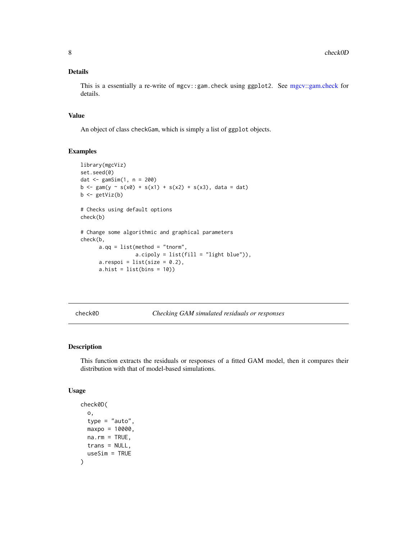#### <span id="page-7-0"></span>Details

This is a essentially a re-write of mgcv::gam.check using ggplot2. See [mgcv::gam.check](#page-0-0) for details.

#### Value

An object of class checkGam, which is simply a list of ggplot objects.

#### Examples

```
library(mgcViz)
set.seed(0)
dat \le gamSim(1, n = 200)
b \leq gam(y ~ s(x0) + s(x1) + s(x2) + s(x3), data = dat)
b \leftarrow getViz(b)# Checks using default options
check(b)
# Change some algorithmic and graphical parameters
check(b,
      a.qq = list(method = "tnorm",a.cipoly = list(fill = "light blue")),
      a.respoi = list(size = 0.2),
      a.hist = list(bins = 10)
```
<span id="page-7-1"></span>check0D *Checking GAM simulated residuals or responses*

#### Description

This function extracts the residuals or responses of a fitted GAM model, then it compares their distribution with that of model-based simulations.

#### Usage

```
check0D(
  o,
  type = "auto",
 maxpo = 10000,na.rm = TRUE,trans = NULL,
  useSim = TRUE
)
```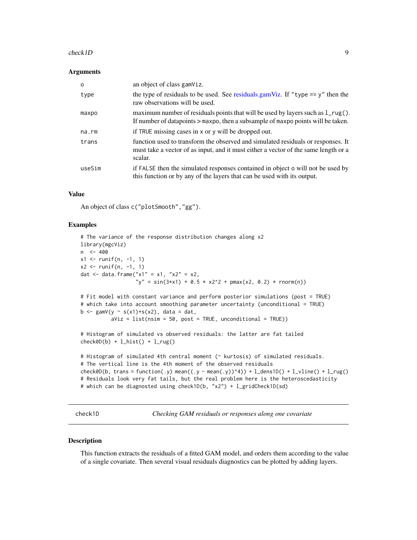#### <span id="page-8-0"></span>check1D 9

#### **Arguments**

| $\Omega$    | an object of class gamViz.                                                                                                                                                         |
|-------------|------------------------------------------------------------------------------------------------------------------------------------------------------------------------------------|
| type        | the type of residuals to be used. See residuals.gamViz. If "type $== y$ " then the<br>raw observations will be used.                                                               |
| maxpo       | maximum number of residuals points that will be used by layers such as $1_{\text{reg}}()$ .<br>If number of datapoints > maxpo, then a subsample of maxpo points will be taken.    |
| $na$ . $rm$ | if TRUE missing cases in x or y will be dropped out.                                                                                                                               |
| trans       | function used to transform the observed and simulated residuals or responses. It<br>must take a vector of as input, and it must either a vector of the same length or a<br>scalar. |
| useSim      | if FALSE then the simulated responses contained in object o will not be used by<br>this function or by any of the layers that can be used with its output.                         |

#### Value

An object of class c("plotSmooth","gg").

#### Examples

```
# The variance of the response distribution changes along x2
library(mgcViz)
n <- 400
x1 <- runif(n, -1, 1)
x2 \le runif(n, -1, 1)
dat <- data.frame("x1" = x1, "x2" = x2,
                  "y" = sin(3*x1) + 0.5 * x2^2 + pmax(x2, 0.2) * rnorm(n))
# Fit model with constant variance and perform posterior simulations (post = TRUE)
# which take into account smoothing parameter uncertainty (unconditional = TRUE)
b \leq gamV(y \sim s(x1)+s(x2), data = dat,
          aViz = list(nsim = 50, post = TRUE, unconditional = TRUE)# Histogram of simulated vs observed residuals: the latter are fat tailed
check@D(b) + l\_hist() + l_rug()# Histogram of simulated 4th central moment (~ kurtosis) of simulated residuals.
# The vertical line is the 4th moment of the observed residuals
check0D(b, trans = function(.y) mean((.y - mean(.y))^4)) + l_dens1D() + l_vline() + l_rug()
# Residuals look very fat tails, but the real problem here is the heteroscedasticity
# which can be diagnosted using check1D(b, "x2") + l_gridCheck1D(sd)
```
<span id="page-8-1"></span>check1D *Checking GAM residuals or responses along one covariate*

#### Description

This function extracts the residuals of a fitted GAM model, and orders them according to the value of a single covariate. Then several visual residuals diagnostics can be plotted by adding layers.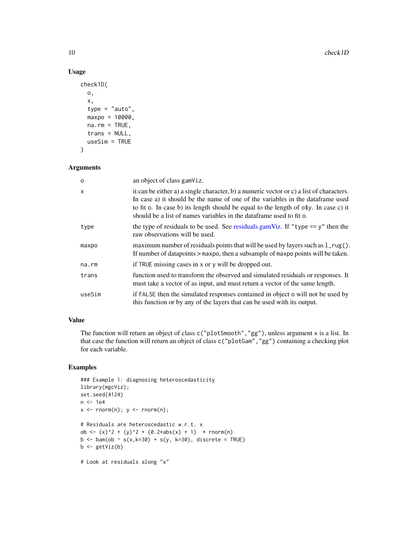# Usage

```
check1D(
 o,
 x,
 type = "auto",
 maxpo = 10000,na.rm = TRUE,trans = NULL,
 useSim = TRUE
)
```
#### Arguments

| $\Omega$ | an object of class gamViz.                                                                                                                                                                                                                                                                                                                        |
|----------|---------------------------------------------------------------------------------------------------------------------------------------------------------------------------------------------------------------------------------------------------------------------------------------------------------------------------------------------------|
| x        | it can be either a) a single character, b) a numeric vector or c) a list of characters.<br>In case a) it should be the name of one of the variables in the data frame used<br>to fit o. In case b) its length should be equal to the length of $\circ$ \$y. In case c) it<br>should be a list of names variables in the data frame used to fit o. |
| type     | the type of residuals to be used. See residuals, gamViz. If "type $=$ = y" then the<br>raw observations will be used.                                                                                                                                                                                                                             |
| maxpo    | maximum number of residuals points that will be used by layers such as $1_{\text{reg}}()$ .<br>If number of datapoints > maxpo, then a subsample of maxpo points will be taken.                                                                                                                                                                   |
| na.rm    | if TRUE missing cases in x or y will be dropped out.                                                                                                                                                                                                                                                                                              |
| trans    | function used to transform the observed and simulated residuals or responses. It<br>must take a vector of as input, and must return a vector of the same length.                                                                                                                                                                                  |
| useSim   | if FALSE then the simulated responses contained in object o will not be used by<br>this function or by any of the layers that can be used with its output.                                                                                                                                                                                        |

# Value

The function will return an object of class c("plotSmooth","gg"), unless argument x is a list. In that case the function will return an object of class c("plotGam","gg") containing a checking plot for each variable.

# Examples

```
### Example 1: diagnosing heteroscedasticity
library(mgcViz);
set.seed(4124)
n <- 1e4
x \leq -rnorm(n); y \leq -rnorm(n);# Residuals are heteroscedastic w.r.t. x
ob <- (x)^2 + (y)^2 + (0.2 \times abs(x) + 1) * rnorm(n)
b \le bam(ob \sim s(x,k=30) + s(y, k=30), discrete = TRUE)
b \leftarrow getViz(b)# Look at residuals along "x"
```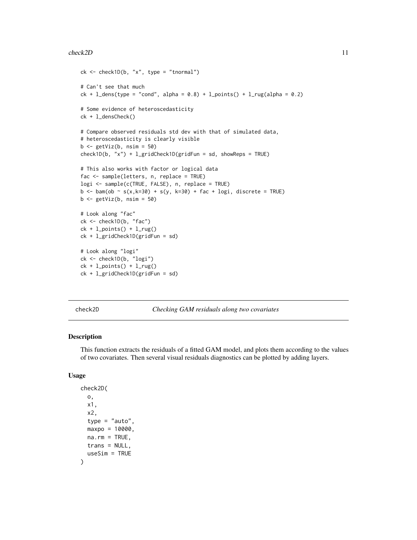#### <span id="page-10-0"></span>check2D 11

```
ck \leq - \text{check1D}(b, "x", \text{type} = "tnormal")# Can't see that much
ck + 1<sup>dens</sup>(type = "cond", alpha = 0.8) + l_points() + l_rug(alpha = 0.2)
# Some evidence of heteroscedasticity
ck + l_densCheck()
# Compare observed residuals std dev with that of simulated data,
# heteroscedasticity is clearly visible
b \leq getViz(b, nsim = 50)
check1D(b, "x") + l_gridCheck1D(gridFun = sd, showReps = TRUE)
# This also works with factor or logical data
fac <- sample(letters, n, replace = TRUE)
logi <- sample(c(TRUE, FALSE), n, replace = TRUE)
b \leq -\text{bam}(\text{ob} \sim s(x,k=30) + s(y, k=30) + \text{fac} + \text{log}i, \text{ discrete} = \text{TRUE})b \leftarrow getViz(b, nsim = 50)# Look along "fac"
ck <- check1D(b, "fac")
ck + l\_points() + l_rug()ck + l_gridCheck1D(gridFun = sd)
# Look along "logi"
ck <- check1D(b, "logi")
ck + l\_points() + l_rug()ck + l_gridCheck1D(gridFun = sd)
```
<span id="page-10-1"></span>

check2D *Checking GAM residuals along two covariates*

### Description

This function extracts the residuals of a fitted GAM model, and plots them according to the values of two covariates. Then several visual residuals diagnostics can be plotted by adding layers.

#### Usage

```
check2D(
  o,
  x1,
  x2,
  type = "auto",
 maxpo = 10000,na.rm = TRUE,trans = NULL,
  useSim = TRUE
)
```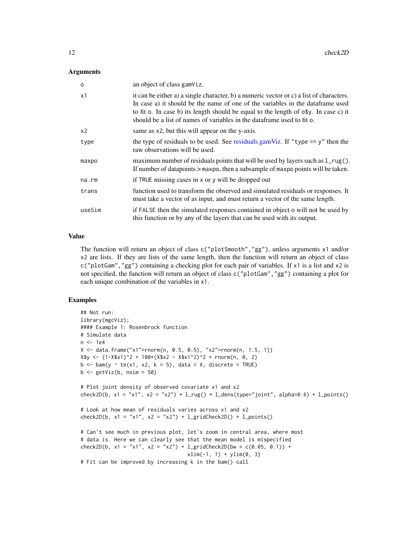#### **Arguments**

| $\Omega$       | an object of class gamViz.                                                                                                                                                                                                                                                                                                                          |
|----------------|-----------------------------------------------------------------------------------------------------------------------------------------------------------------------------------------------------------------------------------------------------------------------------------------------------------------------------------------------------|
| x1             | it can be either a) a single character, b) a numeric vector or c) a list of characters.<br>In case a) it should be the name of one of the variables in the data frame used<br>to fit o. In case b) its length should be equal to the length of $\circ$ \$y. In case c) it<br>should be a list of names of variables in the dataframe used to fit o. |
| x <sub>2</sub> | same as x2, but this will appear on the y-axis.                                                                                                                                                                                                                                                                                                     |
| type           | the type of residuals to be used. See residuals.gamViz. If "type $== y$ " then the<br>raw observations will be used.                                                                                                                                                                                                                                |
| maxpo          | maximum number of residuals points that will be used by layers such as $1_{\text{reg}}()$ .<br>If number of datapoints > maxpo, then a subsample of maxpo points will be taken.                                                                                                                                                                     |
| na.rm          | if TRUE missing cases in x or y will be dropped out                                                                                                                                                                                                                                                                                                 |
| trans          | function used to transform the observed and simulated residuals or responses. It<br>must take a vector of as input, and must return a vector of the same length.                                                                                                                                                                                    |
| useSim         | if FALSE then the simulated responses contained in object o will not be used by<br>this function or by any of the layers that can be used with its output.                                                                                                                                                                                          |

# Value

The function will return an object of class c("plotSmooth","gg"), unless arguments x1 and/or x2 are lists. If they are lists of the same length, then the function will return an object of class c("plotGam","gg") containing a checking plot for each pair of variables. If x1 is a list and x2 is not specified, the function will return an object of class c("plotGam","gg") containing a plot for each unique combination of the variables in x1.

#### Examples

```
## Not run:
library(mgcViz);
#### Example 1: Rosenbrock function
# Simulate data
n <- 1e4
X \leq - data.frame("x1"=rnorm(n, 0.5, 0.5), "x2"=rnorm(n, 1.5, 1))
X$y <- (1-X$x1)^2 + 100*(X$x2 - X$x1^2)^2 + rnorm(n, 0, 2)
b \leq bam(y \sim te(x1, x2, k = 5), data = X, discrete = TRUE)
b \leq - getViz(b, nsim = 50)
# Plot joint density of observed covariate x1 and x2
check2D(b, x1 = "x1", x2 = "x2") + 1_rug() + 1_dens(type="joint", alpha=0.6) + 1_points()
# Look at how mean of residuals varies across x1 and x2
check2D(b, x1 = "x1", x2 = "x2") + 1\_gridCheck2D() + 1\_points()# Can't see much in previous plot, let's zoom in central area, where most
# data is. Here we can clearly see that the mean model is mispecified
check2D(b, x1 = "x1", x2 = "x2") + l_gridCheck2D(bw = c(0.05, 0.1)) +
                                   xlim(-1, 1) + ylim(0, 3)# Fit can be improved by increasing k in the bam() call
```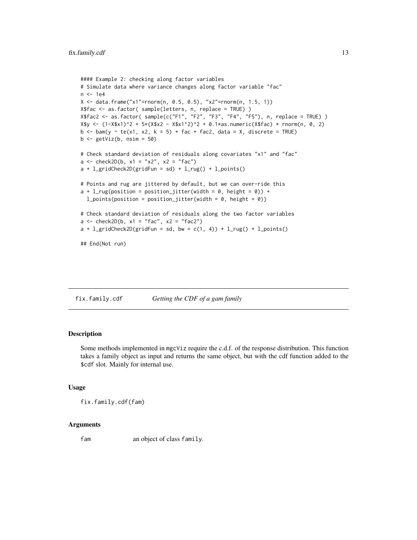```
#### Example 2: checking along factor variables
# Simulate data where variance changes along factor variable "fac"
n < -1e4X \leq - data.frame("x1"=rnorm(n, 0.5, 0.5), "x2"=rnorm(n, 1.5, 1))
X$fac <- as.factor( sample(letters, n, replace = TRUE) )
X$fac2 <- as.factor( sample(c("F1", "F2", "F3", "F4", "F5"), n, replace = TRUE) )
X$y <- (1-X$x1)^2 + 5*(X$x2 - X$x1^2)^2 + 0.1*as.numeric(X$fac) * rnorm(n, 0, 2)
b \le bam(y \sim te(x1, x2, k = 5) + fac + fac2, data = X, discrete = TRUE)
b \leftarrow getViz(b, nsim = 50)# Check standard deviation of residuals along covariates "x1" and "fac"
a \le - check2D(b, x1 = "x2", x2 = "fac")a + 1_gridCheck2D(gridFun = sd) + 1_rug() + 1_points()
# Points and rug are jittered by default, but we can over-ride this
a + 1<sub>rug</sub>(position = position_jitter(width = 0, height = 0)) +
  l\_points(position = position\_jitter(width = 0, height = 0))# Check standard deviation of residuals along the two factor variables
a \le - check2D(b, x1 = "fac", x2 = "fac2")
a + 1_gridCheck2D(gridFun = sd, bw = c(1, 4)) + 1_rug() + 1_points()
## End(Not run)
```
fix.family.cdf *Getting the CDF of a gam family*

# **Description**

Some methods implemented in mgcViz require the c.d.f. of the response distribution. This function takes a family object as input and returns the same object, but with the cdf function added to the \$cdf slot. Mainly for internal use.

#### Usage

fix.family.cdf(fam)

#### Arguments

fam an object of class family.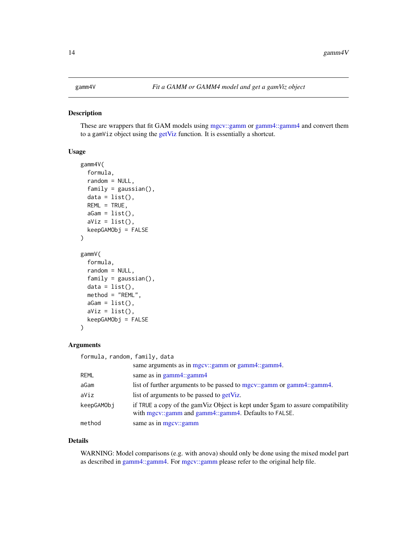<span id="page-13-0"></span>These are wrappers that fit GAM models using [mgcv::gamm](#page-0-0) or [gamm4::gamm4](#page-0-0) and convert them to a gamViz object using the [getViz](#page-15-1) function. It is essentially a shortcut.

#### Usage

```
gamm4V(
  formula,
  random = NULL,
  family = gaussian(),data = list(),
  REML = TRUE,aGam = list(),
  aViz = list(),keepGAMObj = FALSE
\lambdagammV(
  formula,
  random = NULL,
  family = gaussian(),
  data = list(),
  method = "REML",aGam = list(),aViz = list(),keepGAMObj = FALSE
)
```
#### Arguments

| formula, random, family, data |                                                                                                                                         |
|-------------------------------|-----------------------------------------------------------------------------------------------------------------------------------------|
|                               | same arguments as in mgcv::gamm or gamm4::gamm4.                                                                                        |
| <b>REML</b>                   | same as in gamm4::gamm4                                                                                                                 |
| aGam                          | list of further arguments to be passed to mgcv::gamm or gamm4::gamm4.                                                                   |
| aViz                          | list of arguments to be passed to <b>getViz</b> .                                                                                       |
| keepGAMObj                    | if TRUE a copy of the gamViz Object is kept under \$gam to assure compatibility<br>with mgcv::gamm and gamm4::gamm4. Defaults to FALSE. |
| method                        | same as in mgcv::gamm                                                                                                                   |

#### Details

WARNING: Model comparisons (e.g. with anova) should only be done using the mixed model part as described in [gamm4::gamm4.](#page-0-0) For [mgcv::gamm](#page-0-0) please refer to the original help file.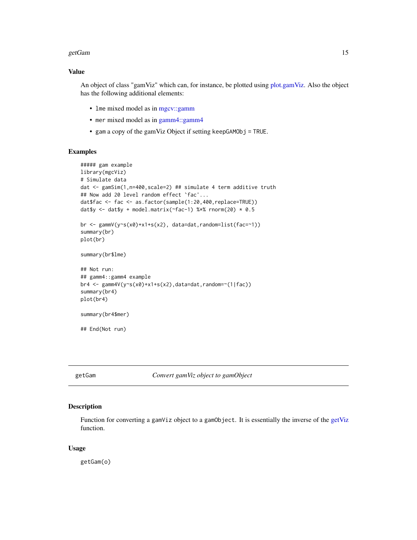#### <span id="page-14-0"></span>getGam and the set of the set of the set of the set of the set of the set of the set of the set of the set of the set of the set of the set of the set of the set of the set of the set of the set of the set of the set of th

#### Value

An object of class "gamViz" which can, for instance, be plotted using [plot.gamViz.](#page-43-1) Also the object has the following additional elements:

- lme mixed model as in [mgcv::gamm](#page-0-0)
- mer mixed model as in [gamm4::gamm4](#page-0-0)
- gam a copy of the gamViz Object if setting keepGAMObj = TRUE.

# Examples

```
##### gam example
library(mgcViz)
# Simulate data
dat <- gamSim(1,n=400,scale=2) ## simulate 4 term additive truth
## Now add 20 level random effect `fac'...
dat$fac <- fac <- as.factor(sample(1:20,400,replace=TRUE))
dat$y <- dat$y + model.matrix(~fac-1) %*% rnorm(20) * 0.5
br <- gammV(y~s(x0)+x1+s(x2), data=dat,random=list(fac=~1))
summary(br)
plot(br)
summary(br$lme)
## Not run:
## gamm4::gamm4 example
br4 <- gamm4V(y~s(x0)+x1+s(x2),data=dat,random=~(1|fac))
summary(br4)
plot(br4)
summary(br4$mer)
## End(Not run)
```
getGam *Convert gamViz object to gamObject*

#### Description

Function for converting a gamViz object to a gamObject. It is essentially the inverse of the [getViz](#page-15-1) function.

#### Usage

getGam(o)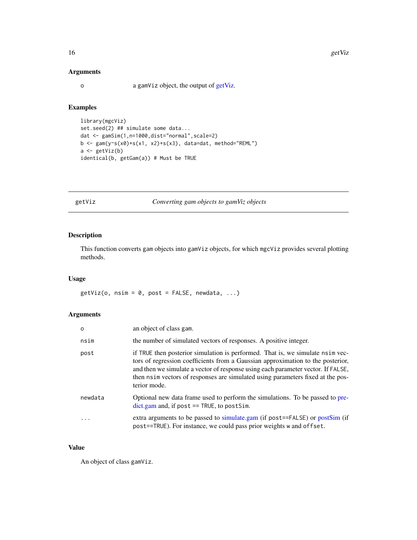# Arguments

o a gamViz object, the output of [getViz.](#page-15-1)

# Examples

```
library(mgcViz)
set.seed(2) ## simulate some data...
dat <- gamSim(1,n=1000,dist="normal",scale=2)
b <- gam(y \sim s(x0) + s(x1, x2) + s(x3), data=dat, method="REML")
a \leftarrow getViz(b)identical(b, getGam(a)) # Must be TRUE
```
<span id="page-15-1"></span>getViz *Converting gam objects to gamViz objects*

# Description

This function converts gam objects into gamViz objects, for which mgcViz provides several plotting methods.

#### Usage

 $getViz(o, nsim = 0, post = FALSE, newdata, ...)$ 

# Arguments

| $\Omega$ | an object of class gam.                                                                                                                                                                                                                                                                                                     |
|----------|-----------------------------------------------------------------------------------------------------------------------------------------------------------------------------------------------------------------------------------------------------------------------------------------------------------------------------|
| nsim     | the number of simulated vectors of responses. A positive integer.                                                                                                                                                                                                                                                           |
| post     | if TRUE then posterior simulation is performed. That is, we simulate nsim vec-<br>tors of regression coefficients from a Gaussian approximation to the posterior,<br>and then we simulate a vector of response using each parameter vector. If FALSE,<br>then nsimulated using parameters fixed at the pos-<br>terior mode. |
| newdata  | Optional new data frame used to perform the simulations. To be passed to pre-<br>$dict.gam$ and, if post $==$ TRUE, to postSim.                                                                                                                                                                                             |
| .        | extra arguments to be passed to simulate.gam (if post==FALSE) or postSim (if<br>post==TRUE). For instance, we could pass prior weights w and offset.                                                                                                                                                                        |

#### Value

An object of class gamViz.

<span id="page-15-0"></span>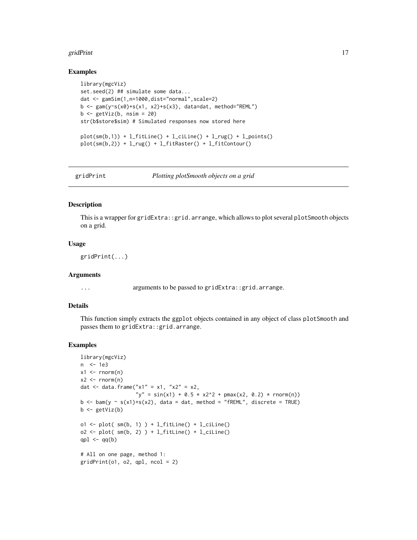#### <span id="page-16-0"></span>gridPrint 17

#### Examples

```
library(mgcViz)
set.seed(2) ## simulate some data...
dat <- gamSim(1,n=1000,dist="normal",scale=2)
b \leq gam(y~s(x0)+s(x1, x2)+s(x3), data=dat, method="REML")
b <- getViz(b, nsim = 20)
str(b$store$sim) # Simulated responses now stored here
plot(sm(b,1)) + l_fittle() + l_ciline() + l_rug() + l_points()plot(sm(b,2)) + l_rug() + l_fitRaster() + l_fitContour()
```
gridPrint *Plotting plotSmooth objects on a grid*

#### Description

This is a wrapper for gridExtra::grid.arrange, which allows to plot several plotSmooth objects on a grid.

# Usage

gridPrint(...)

#### Arguments

... arguments to be passed to gridExtra::grid.arrange.

#### Details

This function simply extracts the ggplot objects contained in any object of class plotSmooth and passes them to gridExtra::grid.arrange.

#### Examples

```
library(mgcViz)
n <- 1e3
x1 \leftarrow \text{rnorm}(n)x2 \le - rnorm(n)dat \le - data.frame("x1" = x1, "x2" = x2,
                    "y" = sin(x1) + 0.5 \times x2^2 + pmax(x2, 0.2) * rnorm(n))
b \leq -\text{bam}(y \sim s(x1)+s(x2)), data = dat, method = "fREML", discrete = TRUE)
b \leftarrow getViz(b)o1 <- plot(sm(b, 1)) + l_fitLine() + l_ciLine()
o2 \leq plot(\text{sm}(b, 2)) + l_fitLine() + l_ciLine()
qpl \leftarrow qq(b)# All on one page, method 1:
gridPrint(ol, o2, qpl, ncol = 2)
```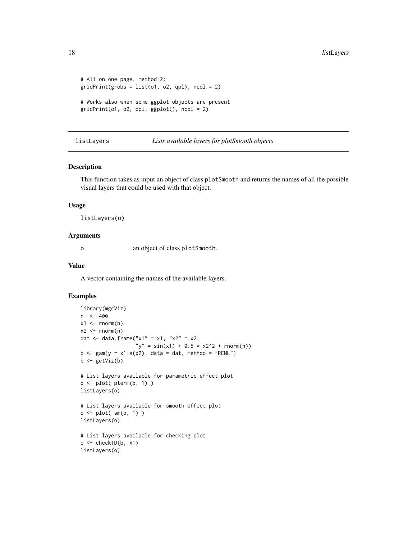```
# All on one page, method 2:
gridPrint(grobs = list(o1, o2, qpl), ncol = 2)# Works also when some ggplot objects are present
gridPrint(ol, o2, qpl, ggplot(), ncol = 2)
```
listLayers *Lists available layers for plotSmooth objects*

#### Description

This function takes as input an object of class plotSmooth and returns the names of all the possible visual layers that could be used with that object.

#### Usage

listLayers(o)

### Arguments

o an object of class plotSmooth.

#### Value

A vector containing the names of the available layers.

# Examples

```
library(mgcViz)
n <- 400
x1 \leq -\text{norm}(n)x2 \le - rnorm(n)
dat <- data.frame("x1" = x1, "x2" = x2,
                    "y" = sin(x1) + 0.5 * x2^2 + rnorm(n))
b \leq gam(y \sim x1+s(x2), data = dat, method = "REML")
b \leftarrow getViz(b)# List layers available for parametric effect plot
o \leftarrow plot(pterm(b, 1))listLayers(o)
# List layers available for smooth effect plot
o <- plot( sm(b, 1) )
listLayers(o)
# List layers available for checking plot
o \leftarrow \text{check1D}(b, x1)listLayers(o)
```
<span id="page-17-0"></span>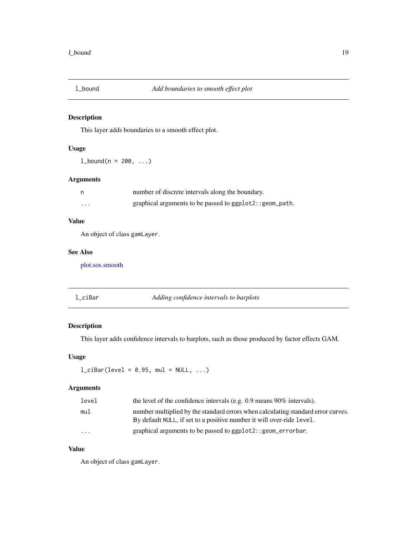<span id="page-18-0"></span>

This layer adds boundaries to a smooth effect plot.

# Usage

 $1_b$ bound(n = 200, ...)

# Arguments

|   | number of discrete intervals along the boundary.        |
|---|---------------------------------------------------------|
| . | graphical arguments to be passed to ggplot2::geom_path. |

# Value

An object of class gamLayer.

#### See Also

[plot.sos.smooth](#page-59-1)

# l\_ciBar *Adding confidence intervals to barplots*

# Description

This layer adds confidence intervals to barplots, such as those produced by factor effects GAM.

#### Usage

 $l_cibar(level = 0.95, mul = NULL, ...)$ 

# Arguments

| level | the level of the confidence intervals (e.g. $0.9$ means $90\%$ intervals).                                                                                |
|-------|-----------------------------------------------------------------------------------------------------------------------------------------------------------|
| mul   | number multiplied by the standard errors when calculating standard error curves.<br>By default NULL, if set to a positive number it will over-ride level. |
| .     | graphical arguments to be passed to ggplot2::geom_errorbar.                                                                                               |

# Value

An object of class gamLayer.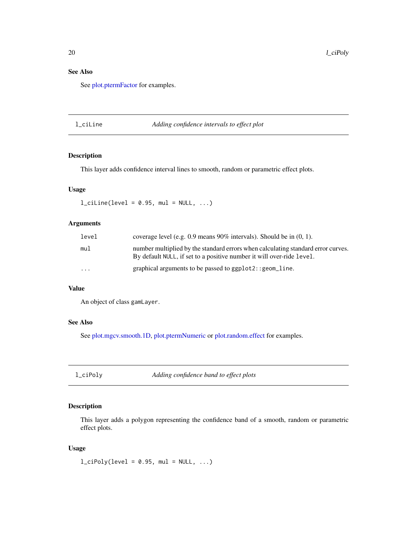# <span id="page-19-0"></span>See Also

See [plot.ptermFactor](#page-55-1) for examples.

l\_ciLine *Adding confidence intervals to effect plot*

# Description

This layer adds confidence interval lines to smooth, random or parametric effect plots.

# Usage

 $l$ <sub>ciline</sub>(level = 0.95, mul = NULL, ...)

# Arguments

| level    | coverage level (e.g. $0.9$ means $90\%$ intervals). Should be in $(0, 1)$ .                                                                               |
|----------|-----------------------------------------------------------------------------------------------------------------------------------------------------------|
| mu1      | number multiplied by the standard errors when calculating standard error curves.<br>By default NULL, if set to a positive number it will over-ride level. |
| $\cdots$ | graphical arguments to be passed to $ggplot2$ : : $geom$ line.                                                                                            |

# Value

An object of class gamLayer.

# See Also

See [plot.mgcv.smooth.1D,](#page-47-1) [plot.ptermNumeric](#page-58-1) or [plot.random.effect](#page-56-1) for examples.

l\_ciPoly *Adding confidence band to effect plots*

# Description

This layer adds a polygon representing the confidence band of a smooth, random or parametric effect plots.

#### Usage

 $l_cipoly(level = 0.95, mul = NULL, ...)$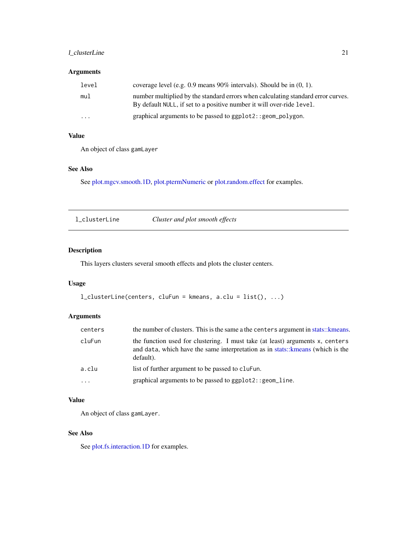# <span id="page-20-0"></span>l\_clusterLine 21

# Arguments

| level   | coverage level (e.g. 0.9 means $90\%$ intervals). Should be in $(0, 1)$ .                                                                                 |
|---------|-----------------------------------------------------------------------------------------------------------------------------------------------------------|
| mul     | number multiplied by the standard errors when calculating standard error curves.<br>By default NULL, if set to a positive number it will over-ride level. |
| $\cdot$ | graphical arguments to be passed to ggplot2::geom_polygon.                                                                                                |

# Value

An object of class gamLayer

# See Also

See [plot.mgcv.smooth.1D,](#page-47-1) [plot.ptermNumeric](#page-58-1) or [plot.random.effect](#page-56-1) for examples.

| l clusterLine | Cluster and plot smooth effects |
|---------------|---------------------------------|
|---------------|---------------------------------|

# Description

This layers clusters several smooth effects and plots the cluster centers.

# Usage

```
l_clusterLine(centers, cluFun = kmeans, a.clu = list(), ...)
```
# Arguments

| centers             | the number of clusters. This is the same a the centers argument in stats:: kmeans.                                                                                         |
|---------------------|----------------------------------------------------------------------------------------------------------------------------------------------------------------------------|
| cluFun              | the function used for clustering. I must take (at least) arguments x, centers<br>and data, which have the same interpretation as in stats: keep (which is the<br>default). |
| a.clu               | list of further argument to be passed to cluFun.                                                                                                                           |
| $\cdot \cdot \cdot$ | graphical arguments to be passed to ggplot2:: geom_line.                                                                                                                   |

# Value

An object of class gamLayer.

# See Also

See [plot.fs.interaction.1D](#page-42-1) for examples.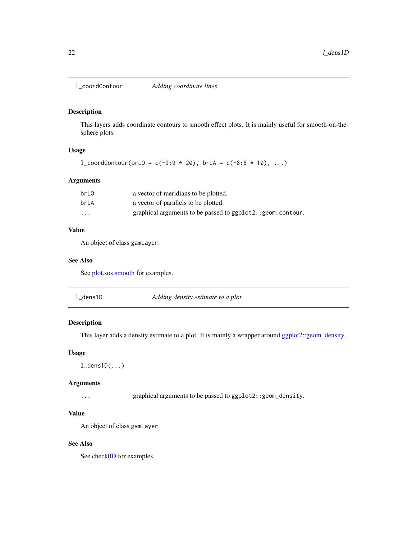<span id="page-21-0"></span>

This layers adds coordinate contours to smooth effect plots. It is mainly useful for smooth-on-thesphere plots.

# Usage

 $l\_coordContour(brL0 = c(-9:9 * 20), brLA = c(-8:8 * 10), ...)$ 

# Arguments

| brL <sub>0</sub> | a vector of meridians to be plotted.                       |
|------------------|------------------------------------------------------------|
| brLA             | a vector of parallels to be plotted.                       |
| $\cdots$         | graphical arguments to be passed to ggplot2::geom_contour. |

# Value

An object of class gamLayer.

#### See Also

See [plot.sos.smooth](#page-59-1) for examples.

| l_dens1D<br>Adding density estimate to a plot |  |
|-----------------------------------------------|--|
|-----------------------------------------------|--|

# Description

This layer adds a density estimate to a plot. It is mainly a wrapper around [ggplot2::geom\\_density.](#page-0-0)

# Usage

```
l_dens1D(...)
```
#### Arguments

... graphical arguments to be passed to ggplot2::geom\_density.

# Value

An object of class gamLayer.

#### See Also

See [check0D](#page-7-1) for examples.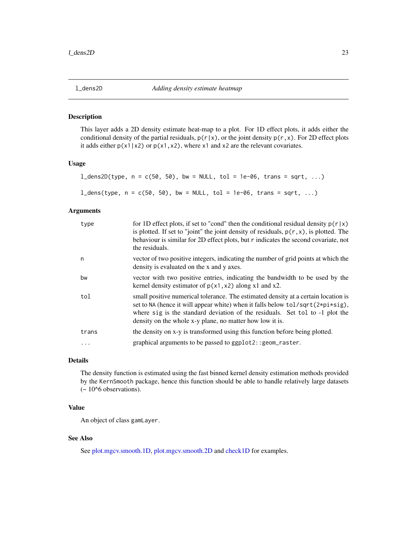<span id="page-22-0"></span>

This layer adds a 2D density estimate heat-map to a plot. For 1D effect plots, it adds either the conditional density of the partial residuals,  $p(r|x)$ , or the joint density  $p(r,x)$ . For 2D effect plots it adds either  $p(x1|x2)$  or  $p(x1,x2)$ , where x1 and x2 are the relevant covariates.

#### Usage

```
l_dens2D(type, n = c(50, 50), bw = NULL, tol = 1e-06, trans = sqrt, ...)
```

```
l_dens(type, n = c(50, 50), bw = NULL, tol = 1e-06, trans = sqrt, ...)
```
# Arguments

| type     | for 1D effect plots, if set to "cond" then the conditional residual density $p(r x)$<br>is plotted. If set to "joint" the joint density of residuals, $p(r, x)$ , is plotted. The<br>behaviour is similar for 2D effect plots, but r indicates the second covariate, not<br>the residuals.                          |
|----------|---------------------------------------------------------------------------------------------------------------------------------------------------------------------------------------------------------------------------------------------------------------------------------------------------------------------|
| n        | vector of two positive integers, indicating the number of grid points at which the<br>density is evaluated on the x and y axes.                                                                                                                                                                                     |
| bw       | vector with two positive entries, indicating the bandwidth to be used by the<br>kernel density estimator of $p(x1, x2)$ along x1 and x2.                                                                                                                                                                            |
| tol      | small positive numerical tolerance. The estimated density at a certain location is<br>set to NA (hence it will appear white) when it falls below $tol/sqrt(2*pi*sig)$ ,<br>where sig is the standard deviation of the residuals. Set tol to -1 plot the<br>density on the whole x-y plane, no matter how low it is. |
| trans    | the density on x-y is transformed using this function before being plotted.                                                                                                                                                                                                                                         |
| $\ddots$ | graphical arguments to be passed to ggplot2:: geom_raster.                                                                                                                                                                                                                                                          |

# Details

The density function is estimated using the fast binned kernel density estimation methods provided by the KernSmooth package, hence this function should be able to handle relatively large datasets  $\sim 10^{6}$  observations).

# Value

An object of class gamLayer.

# See Also

See [plot.mgcv.smooth.1D,](#page-47-1) [plot.mgcv.smooth.2D](#page-50-1) and [check1D](#page-8-1) for examples.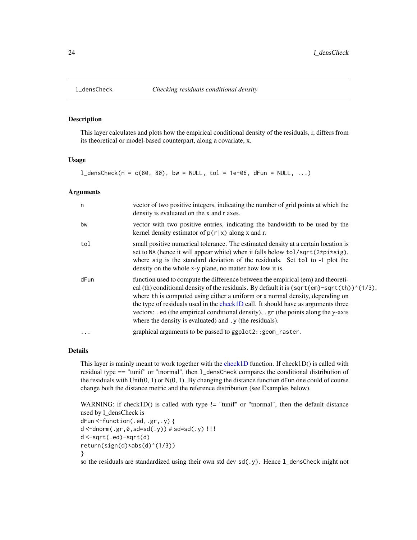<span id="page-23-0"></span>

This layer calculates and plots how the empirical conditional density of the residuals, r, differs from its theoretical or model-based counterpart, along a covariate, x.

#### Usage

 $l$ \_densCheck(n = c(80, 80), bw = NULL, tol = 1e-06, dFun = NULL, ...)

#### Arguments

| n         | vector of two positive integers, indicating the number of grid points at which the<br>density is evaluated on the x and r axes.                                                                                                                                                                                                                                                                                                                                                                                                       |
|-----------|---------------------------------------------------------------------------------------------------------------------------------------------------------------------------------------------------------------------------------------------------------------------------------------------------------------------------------------------------------------------------------------------------------------------------------------------------------------------------------------------------------------------------------------|
| bw        | vector with two positive entries, indicating the bandwidth to be used by the<br>kernel density estimator of $p(r x)$ along x and r.                                                                                                                                                                                                                                                                                                                                                                                                   |
| tol       | small positive numerical tolerance. The estimated density at a certain location is<br>set to NA (hence it will appear white) when it falls below tol/sqrt(2*pi*sig),<br>where sig is the standard deviation of the residuals. Set tol to -1 plot the<br>density on the whole x-y plane, no matter how low it is.                                                                                                                                                                                                                      |
| dFun      | function used to compute the difference between the empirical (em) and theoreti-<br>cal (th) conditional density of the residuals. By default it is $\sqrt{\frac{eqr(\text{em})-sqrt(\text{th})^2(1/3)}}$ ,<br>where th is computed using either a uniform or a normal density, depending on<br>the type of residuals used in the check1D call. It should have as arguments three<br>vectors: . ed (the empirical conditional density), . gr (the points along the y-axis<br>where the density is evaluated) and . y (the residuals). |
| $\ddotsc$ | graphical arguments to be passed to ggplot2:: geom_raster.                                                                                                                                                                                                                                                                                                                                                                                                                                                                            |

#### Details

This layer is mainly meant to work together with the [check1D](#page-8-1) function. If check1D() is called with residual type == "tunif" or "tnormal", then l\_densCheck compares the conditional distribution of the residuals with Unif(0, 1) or  $N(0, 1)$ . By changing the distance function dFun one could of course change both the distance metric and the reference distribution (see Examples below).

```
WARNING: if check1D() is called with type != "tunif" or "tnormal", then the default distance
used by l_densCheck is
dFun <-function(.ed,.gr,.y) {
d < -dnorm(.gr, 0, sd = sd(.y)) # sd=sd(.y) !!!
d <-sqrt(.ed)-sqrt(d)
return(sign(d)*abs(d)^(1/3))
}
```
so the residuals are standardized using their own std dev  $sd( y)$ . Hence  $l$  densCheck might not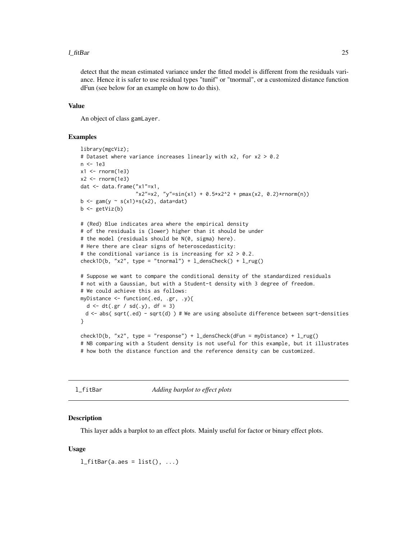#### <span id="page-24-0"></span>l\_fitBar 25

detect that the mean estimated variance under the fitted model is different from the residuals variance. Hence it is safer to use residual types "tunif" or "tnormal", or a customized distance function dFun (see below for an example on how to do this).

#### Value

An object of class gamLayer.

#### Examples

```
library(mgcViz);
# Dataset where variance increases linearly with x2, for x2 > 0.2
n <- 1e3
x1 \leftarrow \text{norm}(1e3)x2 < - rnorm(1e3)
dat <- data.frame("x1"=x1,
                   "x2"=x2, "y"=sin(x1) + 0.5*x2^2 + pmax(x2, 0.2)*rnorm(n))
b \leftarrow \text{gam}(y \sim s(x1) + s(x2), \text{ data=dat})b \leftarrow getViz(b)# (Red) Blue indicates area where the empirical density
# of the residuals is (lower) higher than it should be under
# the model (residuals should be N(0, sigma) here).
# Here there are clear signs of heteroscedasticity:
# the conditional variance is is increasing for x2 > 0.2.
check1D(b, "x2", type = "tnormal") + l_densCheck() + l_rug()
# Suppose we want to compare the conditional density of the standardized residuals
# not with a Gaussian, but with a Student-t density with 3 degree of freedom.
# We could achieve this as follows:
myDistance <- function(.ed, .gr, .y){
  d <- dt(.gr / sd(.y), df = 3)
 d <- abs( sqrt(.ed) - sqrt(d) ) # We are using absolute difference between sqrt-densities
}
check1D(b, "x2", type = "response") + l_densCheck(dFun = myDistance) + l_rug()
# NB comparing with a Student density is not useful for this example, but it illustrates
# how both the distance function and the reference density can be customized.
```

```
l_fitBar Adding barplot to effect plots
```
#### **Description**

This layer adds a barplot to an effect plots. Mainly useful for factor or binary effect plots.

#### Usage

 $l_f$ itBar(a.aes = list(), ...)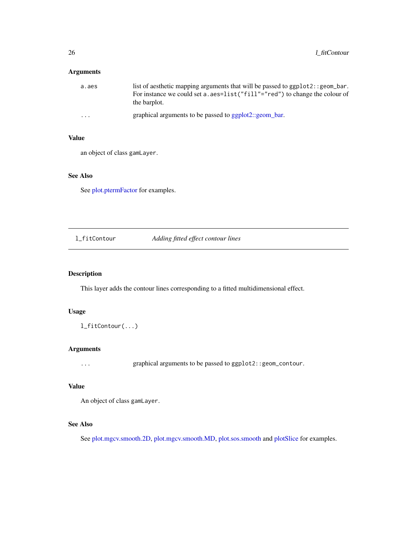# <span id="page-25-0"></span>Arguments

| a.aes   | list of aesthetic mapping arguments that will be passed to ggplot2: : geom_bar.<br>For instance we could set a . aes=list("fill"="red") to change the colour of<br>the barplot. |
|---------|---------------------------------------------------------------------------------------------------------------------------------------------------------------------------------|
| $\cdot$ | graphical arguments to be passed to ggplot2::geom_bar.                                                                                                                          |

#### Value

an object of class gamLayer.

# See Also

See [plot.ptermFactor](#page-55-1) for examples.

l\_fitContour *Adding fitted effect contour lines*

# Description

This layer adds the contour lines corresponding to a fitted multidimensional effect.

#### Usage

l\_fitContour(...)

# Arguments

... graphical arguments to be passed to ggplot2::geom\_contour.

# Value

An object of class gamLayer.

# See Also

See [plot.mgcv.smooth.2D,](#page-50-1) [plot.mgcv.smooth.MD,](#page-52-1) [plot.sos.smooth](#page-59-1) and [plotSlice](#page-72-1) for examples.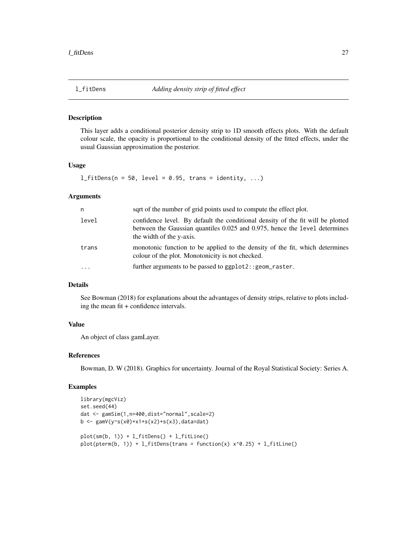<span id="page-26-0"></span>

This layer adds a conditional posterior density strip to 1D smooth effects plots. With the default colour scale, the opacity is proportional to the conditional density of the fitted effects, under the usual Gaussian approximation the posterior.

# Usage

 $l_f$ itDens(n = 50, level = 0.95, trans = identity, ...)

#### Arguments

| n         | sqrt of the number of grid points used to compute the effect plot.                                                                                                                        |
|-----------|-------------------------------------------------------------------------------------------------------------------------------------------------------------------------------------------|
| level     | confidence level. By default the conditional density of the fit will be plotted<br>between the Gaussian quantiles 0.025 and 0.975, hence the level determines<br>the width of the y-axis. |
| trans     | monotonic function to be applied to the density of the fit, which determines<br>colour of the plot. Monotonicity is not checked.                                                          |
| $\ddotsc$ | further arguments to be passed to ggplot2:: geom_raster.                                                                                                                                  |

# Details

See Bowman (2018) for explanations about the advantages of density strips, relative to plots including the mean fit + confidence intervals.

# Value

An object of class gamLayer.

#### References

Bowman, D. W (2018). Graphics for uncertainty. Journal of the Royal Statistical Society: Series A.

#### Examples

```
library(mgcViz)
set.seed(44)
dat <- gamSim(1,n=400,dist="normal",scale=2)
b <- gamV(y~s(x0)+x1+s(x2)+s(x3),data=dat)
plot(sm(b, 1)) + l_fitDens() + l_fitLine()plot(pterm(b, 1)) + l_fitDens(trains = function(x) x^0.25) + l_fitLine()
```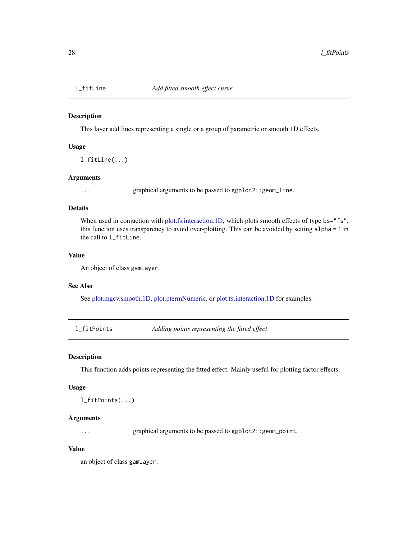<span id="page-27-0"></span>

This layer add lines representing a single or a group of parametric or smooth 1D effects.

#### Usage

l\_fitLine(...)

# Arguments

... graphical arguments to be passed to ggplot2::geom\_line.

# Details

When used in conjuction with [plot.fs.interaction.1D,](#page-42-1) which plots smooth effects of type bs="fs", this function uses transparency to avoid over-plotting. This can be avoided by setting alpha = 1 in the call to l\_fitLine.

#### Value

An object of class gamLayer.

#### See Also

See [plot.mgcv.smooth.1D,](#page-47-1) [plot.ptermNumeric,](#page-58-1) or [plot.fs.interaction.1D](#page-42-1) for examples.

l\_fitPoints *Adding points representing the fitted effect*

#### Description

This function adds points representing the fitted effect. Mainly useful for plotting factor effects.

#### Usage

l\_fitPoints(...)

#### Arguments

... graphical arguments to be passed to ggplot2::geom\_point.

# Value

an object of class gamLayer.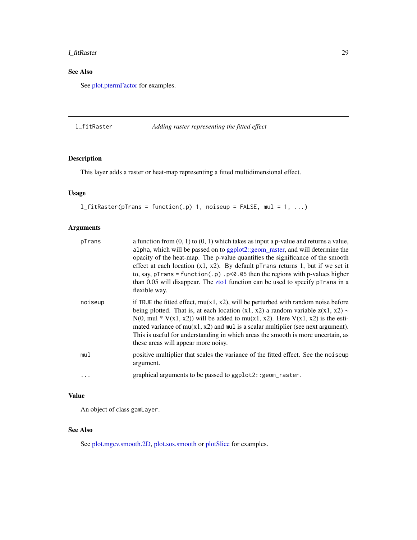# <span id="page-28-0"></span>l\_fitRaster 29

# See Also

See [plot.ptermFactor](#page-55-1) for examples.

# l\_fitRaster *Adding raster representing the fitted effect*

# Description

This layer adds a raster or heat-map representing a fitted multidimensional effect.

# Usage

```
l_fitRaster(pTrans = function(.p) 1, noiseup = FALSE, mul = 1, ...)
```
# Arguments

| pTrans    | a function from $(0, 1)$ to $(0, 1)$ which takes as input a p-value and returns a value,<br>alpha, which will be passed on to ggplot2::geom_raster, and will determine the<br>opacity of the heat-map. The p-value quantifies the significance of the smooth<br>effect at each location $(x1, x2)$ . By default pTrans returns 1, but if we set it<br>to, say, pTrans = function(.p) .p<0.05 then the regions with p-values higher<br>than $0.05$ will disappear. The zto1 function can be used to specify p $\overline{\ }$ rans in a<br>flexible way. |
|-----------|---------------------------------------------------------------------------------------------------------------------------------------------------------------------------------------------------------------------------------------------------------------------------------------------------------------------------------------------------------------------------------------------------------------------------------------------------------------------------------------------------------------------------------------------------------|
| noiseup   | if TRUE the fitted effect, $mu(x1, x2)$ , will be perturbed with random noise before<br>being plotted. That is, at each location $(x1, x2)$ a random variable $z(x1, x2)$ ~<br>$N(0, \text{mul} * V(x1, x2))$ will be added to mu(x1, x2). Here $V(x1, x2)$ is the esti-<br>mated variance of $mu(x1, x2)$ and multiplier (see next argument).<br>This is useful for understanding in which areas the smooth is more uncertain, as<br>these areas will appear more noisy.                                                                               |
| mul       | positive multiplier that scales the variance of the fitted effect. See the noiseup<br>argument.                                                                                                                                                                                                                                                                                                                                                                                                                                                         |
| $\ddotsc$ | graphical arguments to be passed to ggplot2:: geom_raster.                                                                                                                                                                                                                                                                                                                                                                                                                                                                                              |

# Value

An object of class gamLayer.

#### See Also

See [plot.mgcv.smooth.2D,](#page-50-1) [plot.sos.smooth](#page-59-1) or [plotSlice](#page-72-1) for examples.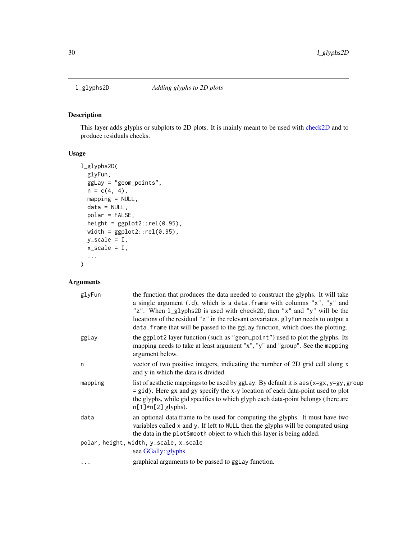<span id="page-29-0"></span>

This layer adds glyphs or subplots to 2D plots. It is mainly meant to be used with [check2D](#page-10-1) and to produce residuals checks.

# Usage

```
l_glyphs2D(
  glyFun,
  ggLay = "geom_points",
  n = c(4, 4),
  mapping = NULL,
  data = NULL,polar = FALSE,
  height = ggplot2::rel(0.95),
  width = ggplot2::rel(0.95),
  y_scale = I,
  x_scale = I,
  ...
)
```
# Arguments

| glyFun                                                        | the function that produces the data needed to construct the glyphs. It will take<br>a single argument (.d), which is a data. frame with columns " $x$ ", " $y$ " and<br>"z". When 1_glyphs2D is used with check2D, then "x" and "y" will be the<br>locations of the residual "z" in the relevant covariates. glyFun needs to output a<br>data. frame that will be passed to the ggLay function, which does the plotting. |  |
|---------------------------------------------------------------|--------------------------------------------------------------------------------------------------------------------------------------------------------------------------------------------------------------------------------------------------------------------------------------------------------------------------------------------------------------------------------------------------------------------------|--|
| ggLay                                                         | the ggplot2 layer function (such as "geom_point") used to plot the glyphs. Its<br>mapping needs to take at least argument "x", "y" and "group". See the mapping<br>argument below.                                                                                                                                                                                                                                       |  |
| n                                                             | vector of two positive integers, indicating the number of 2D grid cell along x<br>and y in which the data is divided.                                                                                                                                                                                                                                                                                                    |  |
| mapping                                                       | list of aesthetic mappings to be used by $gg$ Lay. By default it is aes $(x=gx, y=gy, grow)$<br>= gid). Here gx and gy specify the x-y location of each data-point used to plot<br>the glyphs, while gid specifies to which glyph each data-point belongs (there are<br>$n[1] \star n[2]$ glyphs).                                                                                                                       |  |
| data                                                          | an optional data.frame to be used for computing the glyphs. It must have two<br>variables called x and y. If left to NULL then the glyphs will be computed using<br>the data in the plotSmooth object to which this layer is being added.                                                                                                                                                                                |  |
| polar, height, width, y_scale, x_scale<br>see GGally::glyphs. |                                                                                                                                                                                                                                                                                                                                                                                                                          |  |
| .                                                             | graphical arguments to be passed to ggLay function.                                                                                                                                                                                                                                                                                                                                                                      |  |
|                                                               |                                                                                                                                                                                                                                                                                                                                                                                                                          |  |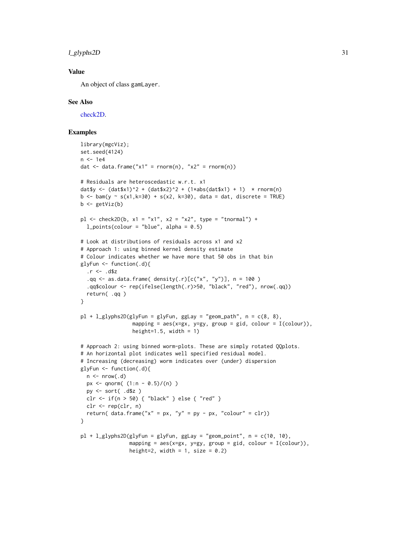l\_glyphs2D 31

# Value

An object of class gamLayer.

#### See Also

[check2D.](#page-10-1)

# Examples

```
library(mgcViz);
set.seed(4124)
n <- 1e4
dat \le data.frame("x1" = rnorm(n), "x2" = rnorm(n))
# Residuals are heteroscedastic w.r.t. x1
dat$y <- (datsx1)^2 + (dat*x2)^2 + (1*abs(data*x1) + 1) * rnorm(n)b \le bam(y \sim s(x1,k=30) + s(x2, k=30), data = dat, discrete = TRUE)
b \leftarrow getViz(b)p1 \le - check2D(b, x1 = "x1", x2 = "x2", type = "tnormal") +l\_points (colour = "blue", alpha = 0.5)
# Look at distributions of residuals across x1 and x2
# Approach 1: using binned kernel density estimate
# Colour indicates whether we have more that 50 obs in that bin
glyFun <- function(.d){
  .r < - .d$z
  .gq \leq as.data.frame( density(.r)[c("x", "y")], n = 100)
  .qq$colour <- rep(ifelse(length(.r)>50, "black", "red"), nrow(.qq))
  return( .qq )
}
pl + l_glyphs2D(glyFun = glyFun, gglay = "geom.path", n = c(8, 8),mapping = \text{aes}(x=gx, y=gy, group = gid, colour = I(colour)),height=1.5, width = 1)
# Approach 2: using binned worm-plots. These are simply rotated QQplots.
# An horizontal plot indicates well specified residual model.
# Increasing (decreasing) worm indicates over (under) dispersion
glyFun <- function(.d){
 n \leq -nrow(.d)px <- qnorm((1:n - 0.5)/(n))
  py <- sort( .d$z )
 clr <- if(n > 50) { "black" } else { "red" }
  clr <- rep(clr, n)
  return( data.frame("x" = px, "y" = py - px, "colour" = clr))
}
pl + l_glyphs2D(glyFun = glyFun, gglay = "geom\_point", n = c(10, 10),mapping = aes(x=gx, y=gy, group = gid, colour = I(colour)),
                height=2, width = 1, size = 0.2)
```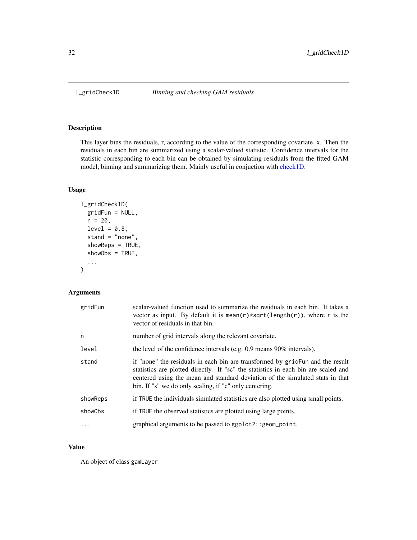<span id="page-31-0"></span>

This layer bins the residuals, r, according to the value of the corresponding covariate, x. Then the residuals in each bin are summarized using a scalar-valued statistic. Confidence intervals for the statistic corresponding to each bin can be obtained by simulating residuals from the fitted GAM model, binning and summarizing them. Mainly useful in conjuction with [check1D.](#page-8-1)

#### Usage

```
l_gridCheck1D(
  gridFun = NULL,
 n = 20,
  level = 0.8,
  stand = "none",
  showReps = TRUE,
  showObs = TRUE,
  ...
\mathcal{L}
```
# Arguments

| gridFun  | scalar-valued function used to summarize the residuals in each bin. It takes a<br>vector as input. By default it is mean( $r$ )*sqrt(length( $r$ )), where r is the<br>vector of residuals in that bin.                                                                                                         |
|----------|-----------------------------------------------------------------------------------------------------------------------------------------------------------------------------------------------------------------------------------------------------------------------------------------------------------------|
| n        | number of grid intervals along the relevant covariate.                                                                                                                                                                                                                                                          |
| level    | the level of the confidence intervals (e.g. 0.9 means 90% intervals).                                                                                                                                                                                                                                           |
| stand    | if "none" the residuals in each bin are transformed by grid Fun and the result<br>statistics are plotted directly. If "sc" the statistics in each bin are scaled and<br>centered using the mean and standard deviation of the simulated stats in that<br>bin. If "s" we do only scaling, if "c" only centering. |
| showReps | if TRUE the individuals simulated statistics are also plotted using small points.                                                                                                                                                                                                                               |
| showObs  | if TRUE the observed statistics are plotted using large points.                                                                                                                                                                                                                                                 |
|          | graphical arguments to be passed to ggplot2:: geom_point.                                                                                                                                                                                                                                                       |

# Value

An object of class gamLayer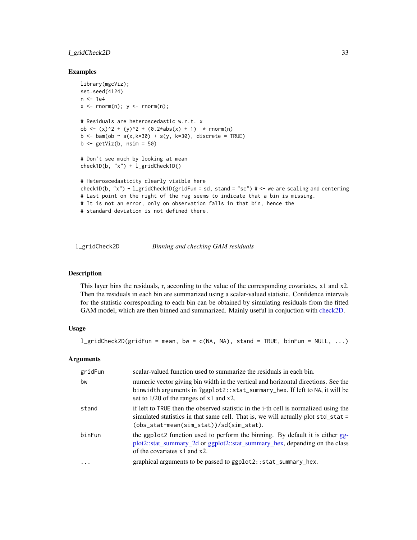# <span id="page-32-0"></span>l\_gridCheck2D 33

#### Examples

```
library(mgcViz);
set.seed(4124)
n <- 1e4
x \leq -rnorm(n); y \leq -rnorm(n);# Residuals are heteroscedastic w.r.t. x
ob <- (x)^2 + (y)^2 + (0.2*abs(x) + 1) * rnorm(n)b \le -\ bam(ob \sim s(x, k=30) + s(y, k=30), discrete = TRUE)
b \leq - getViz(b, nsim = 50)
# Don't see much by looking at mean
check1D(b, "x") + l_gridCheck1D()
# Heteroscedasticity clearly visible here
check1D(b, "x") + l_gridCheck1D(gridFun = sd, stand = "sc") # \le we are scaling and centering
# Last point on the right of the rug seems to indicate that a bin is missing.
# It is not an error, only on observation falls in that bin, hence the
# standard deviation is not defined there.
```
l\_gridCheck2D *Binning and checking GAM residuals*

#### Description

This layer bins the residuals, r, according to the value of the corresponding covariates, x1 and x2. Then the residuals in each bin are summarized using a scalar-valued statistic. Confidence intervals for the statistic corresponding to each bin can be obtained by simulating residuals from the fitted GAM model, which are then binned and summarized. Mainly useful in conjuction with [check2D.](#page-10-1)

#### Usage

l\_gridCheck2D(gridFun = mean, bw = c(NA, NA), stand = TRUE, binFun = NULL, ...)

#### Arguments

| gridFun | scalar-valued function used to summarize the residuals in each bin.                                                                                                                                                  |
|---------|----------------------------------------------------------------------------------------------------------------------------------------------------------------------------------------------------------------------|
| bw      | numeric vector giving bin width in the vertical and horizontal directions. See the<br>binwidth arguments in ?ggplot2::stat_summary_hex. If left to NA, it will be<br>set to $1/20$ of the ranges of x1 and x2.       |
| stand   | if left to TRUE then the observed statistic in the i-th cell is normalized using the<br>simulated statistics in that same cell. That is, we will actually plot std_stat =<br>(obs_stat-mean(sim_stat))/sd(sim_stat). |
| binFun  | the ggplot2 function used to perform the binning. By default it is either gg-<br>plot2::stat_summary_2d or ggplot2::stat_summary_hex, depending on the class<br>of the covariates $x1$ and $x2$ .                    |
| .       | graphical arguments to be passed to ggplot2::stat_summary_hex.                                                                                                                                                       |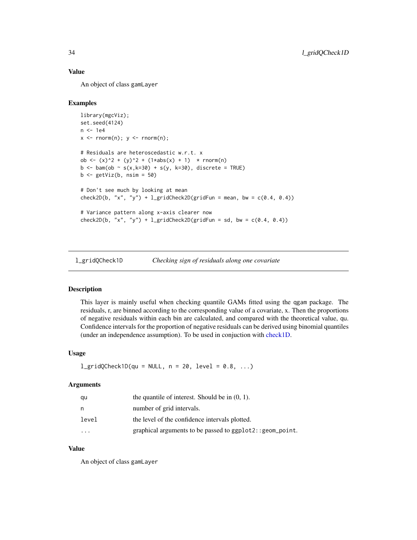# Value

An object of class gamLayer

#### Examples

```
library(mgcViz);
set.seed(4124)
n <- 1e4
x \leq -rnorm(n); y \leq -rnorm(n);# Residuals are heteroscedastic w.r.t. x
ob <- (x)^2 + (y)^2 + (1*abs(x) + 1) \cdot * rnorm(n)b \le bam(ob \sim s(x, k=30) + s(y, k=30), discrete = TRUE)
b \leftarrow getViz(b, nsim = 50)# Don't see much by looking at mean
check2D(b, "x", "y") + lgridCheck2D(gridFun = mean, bw = c(0.4, 0.4))
# Variance pattern along x-axis clearer now
check2D(b, "x", "y") + l_gridCheck2D(gridFun = sd, bw = c(0.4, 0.4))
```
l\_gridQCheck1D *Checking sign of residuals along one covariate*

#### Description

This layer is mainly useful when checking quantile GAMs fitted using the qgam package. The residuals, r, are binned according to the corresponding value of a covariate, x. Then the proportions of negative residuals within each bin are calculated, and compared with the theoretical value, qu. Confidence intervals for the proportion of negative residuals can be derived using binomial quantiles (under an independence assumption). To be used in conjuction with [check1D.](#page-8-1)

#### Usage

```
l_gridQCheck1D(qu = NULL, n = 20, level = 0.8, ...)
```
#### Arguments

| qu                      | the quantile of interest. Should be in $(0, 1)$ .         |
|-------------------------|-----------------------------------------------------------|
| n                       | number of grid intervals.                                 |
| level                   | the level of the confidence intervals plotted.            |
| $\cdot$ $\cdot$ $\cdot$ | graphical arguments to be passed to ggplot2:: geom_point. |

#### Value

An object of class gamLayer

<span id="page-33-0"></span>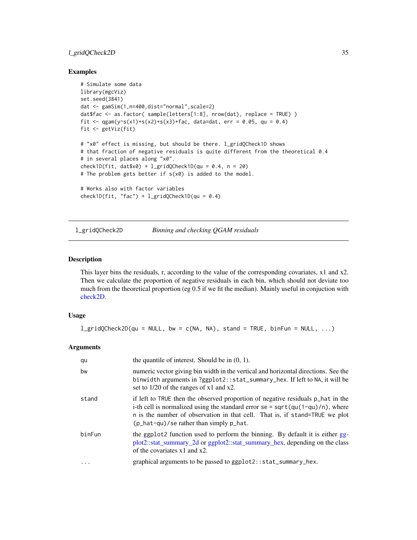# <span id="page-34-0"></span>l\_gridQCheck2D 35

#### Examples

```
# Simulate some data
library(mgcViz)
set.seed(3841)
dat <- gamSim(1,n=400,dist="normal",scale=2)
dat$fac <- as.factor( sample(letters[1:8], nrow(dat), replace = TRUE) )
fit <- qgam(y~s(x1)+s(x2)+s(x3)+fac, data=dat, err = 0.05, qu = 0.4)
fit <- getViz(fit)
# "x0" effect is missing, but should be there. l_gridQCheck1D shows
# that fraction of negative residuals is quite different from the theoretical 0.4
# in several places along "x0".
check1D(fit, dat$x0) + l_gridQCheck1D(qu = 0.4, n = 20)
# The problem gets better if s(x0) is added to the model.
# Works also with factor variables
check1D(fit, "fac") + l_gridQCheck1D(qu = 0.4)
```
l\_gridQCheck2D *Binning and checking QGAM residuals*

# Description

This layer bins the residuals, r, according to the value of the corresponding covariates, x1 and x2. Then we calculate the proportion of negative residuals in each bin, which should not deviate too much from the theoretical proportion (eg 0.5 if we fit the median). Mainly useful in conjuction with [check2D.](#page-10-1)

# Usage

```
l_gridQCheck2D(qu = NULL, bw = c(NA, NA), stand = TRUE, binFun = NULL, ...)
```
#### Arguments

| qu     | the quantile of interest. Should be in $(0, 1)$ .                                                                                                                                                                                                                                                                     |
|--------|-----------------------------------------------------------------------------------------------------------------------------------------------------------------------------------------------------------------------------------------------------------------------------------------------------------------------|
| bw     | numeric vector giving bin width in the vertical and horizontal directions. See the<br>binwidth arguments in ?ggplot2::stat_summary_hex. If left to NA, it will be<br>set to 1/20 of the ranges of x1 and x2.                                                                                                          |
| stand  | if left to TRUE then the observed proportion of negative residuals p_hat in the<br>i-th cell is normalized using the standard error se = $sqrt(qu(1-qu)/n)$ , where<br>n is the number of observation in that cell. That is, if stand=TRUE we plot<br>$(p_{\text{hat}-qu})$ /se rather than simply $p_{\text{hat}}$ . |
| binFun | the ggplot2 function used to perform the binning. By default it is either gg-<br>plot2::stat_summary_2d or ggplot2::stat_summary_hex, depending on the class<br>of the covariates $x1$ and $x2$ .                                                                                                                     |
|        | graphical arguments to be passed to ggplot2::stat_summary_hex.                                                                                                                                                                                                                                                        |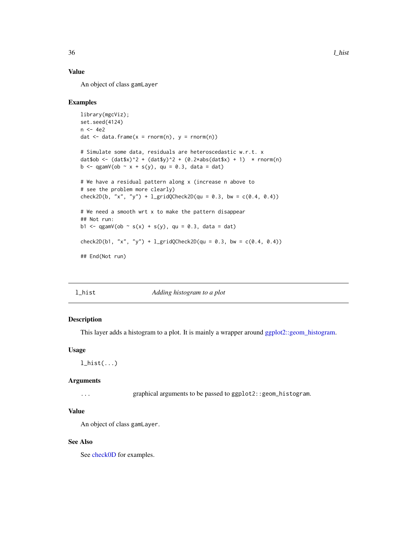# Value

An object of class gamLayer

#### Examples

```
library(mgcViz);
set.seed(4124)
n <- 4e2
dat \leq data.frame(x = rnorm(n), y = rnorm(n))
# Simulate some data, residuals are heteroscedastic w.r.t. x
dat$ob <- (datsx)^2 + (datsy)^2 + (0.2*abs(datsx) + 1) * rnorm(n)b \leq - qgamV(ob \sim x + s(y), qu = 0.3, data = dat)
# We have a residual pattern along x (increase n above to
# see the problem more clearly)
check2D(b, "x", "y") + l_{gridQCheck2D}(qu = 0.3, bw = c(0.4, 0.4))# We need a smooth wrt x to make the pattern disappear
## Not run:
b1 <- qgamV(ob \sim s(x) + s(y), qu = 0.3, data = dat)
check2D(b1, "x", "y") + l_{gridQCheck2D(qu = 0.3, bw = c(0.4, 0.4))}## End(Not run)
```
l\_hist *Adding histogram to a plot*

# Description

This layer adds a histogram to a plot. It is mainly a wrapper around [ggplot2::geom\\_histogram.](#page-0-0)

#### Usage

```
l_hist(...)
```
#### Arguments

... graphical arguments to be passed to ggplot2::geom\_histogram.

#### Value

An object of class gamLayer.

#### See Also

See [check0D](#page-7-1) for examples.

<span id="page-35-0"></span>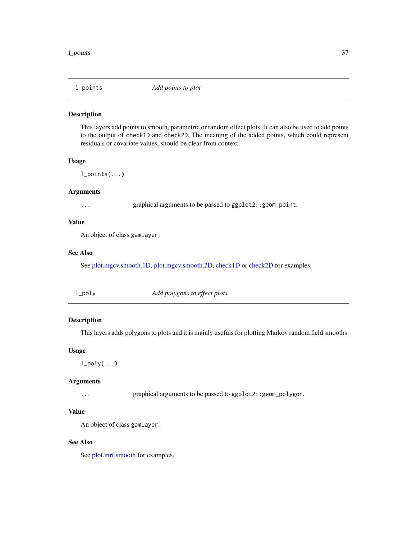#### Description

This layers add points to smooth, parametric or random effect plots. It can also be used to add points to the output of check1D and check2D. The meaning of the added points, which could represent residuals or covariate values, should be clear from context.

## Usage

 $l\_points(...)$ 

## Arguments

... graphical arguments to be passed to ggplot2::geom\_point.

## Value

An object of class gamLayer.

## See Also

See [plot.mgcv.smooth.1D,](#page-47-0) [plot.mgcv.smooth.2D,](#page-50-0) [check1D](#page-8-0) or [check2D](#page-10-0) for examples.

| $1$ _poly | Add polygons to effect plots |
|-----------|------------------------------|
|-----------|------------------------------|

## Description

This layers adds polygons to plots and it is mainly usefuls for plotting Markov random field smooths.

#### Usage

 $l\_poly(...)$ 

#### Arguments

... graphical arguments to be passed to ggplot2::geom\_polygon.

#### Value

An object of class gamLayer.

## See Also

See [plot.mrf.smooth](#page-54-0) for examples.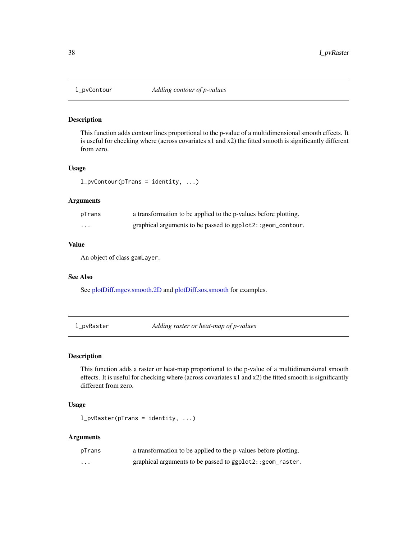## Description

This function adds contour lines proportional to the p-value of a multidimensional smooth effects. It is useful for checking where (across covariates x1 and x2) the fitted smooth is significantly different from zero.

## Usage

```
l_pvContour(pTrans = identity, ...)
```
#### Arguments

| pTrans   | a transformation to be applied to the p-values before plotting. |
|----------|-----------------------------------------------------------------|
| $\cdots$ | graphical arguments to be passed to ggplot2::geom_contour.      |

## Value

An object of class gamLayer.

## See Also

See [plotDiff.mgcv.smooth.2D](#page-63-0) and [plotDiff.sos.smooth](#page-65-0) for examples.

l\_pvRaster *Adding raster or heat-map of p-values*

## Description

This function adds a raster or heat-map proportional to the p-value of a multidimensional smooth effects. It is useful for checking where (across covariates x1 and x2) the fitted smooth is significantly different from zero.

## Usage

l\_pvRaster(pTrans = identity, ...)

| pTrans   | a transformation to be applied to the p-values before plotting. |
|----------|-----------------------------------------------------------------|
| $\cdots$ | graphical arguments to be passed to ggplot2::geom_raster.       |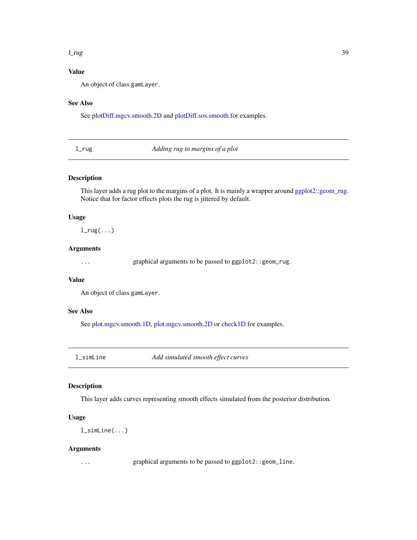#### $l_{\perp}$ rug  $39$

## Value

An object of class gamLayer.

## See Also

See [plotDiff.mgcv.smooth.2D](#page-63-0) and [plotDiff.sos.smooth](#page-65-0) for examples.

l\_rug *Adding rug to margins of a plot*

## Description

This layer adds a rug plot to the margins of a plot. It is mainly a wrapper around [ggplot2::geom\\_rug.](#page-0-0) Notice that for factor effects plots the rug is jittered by default.

## Usage

 $l$ <sub>rug</sub> $(\ldots)$ 

## Arguments

... graphical arguments to be passed to ggplot2::geom\_rug.

## Value

An object of class gamLayer.

## See Also

See [plot.mgcv.smooth.1D,](#page-47-0) [plot.mgcv.smooth.2D](#page-50-0) or [check1D](#page-8-0) for examples.

<span id="page-38-0"></span>l\_simLine *Add simulated smooth effect curves*

## Description

This layer adds curves representing smooth effects simulated from the posterior distribution.

#### Usage

l\_simLine(...)

#### Arguments

... graphical arguments to be passed to ggplot2::geom\_line.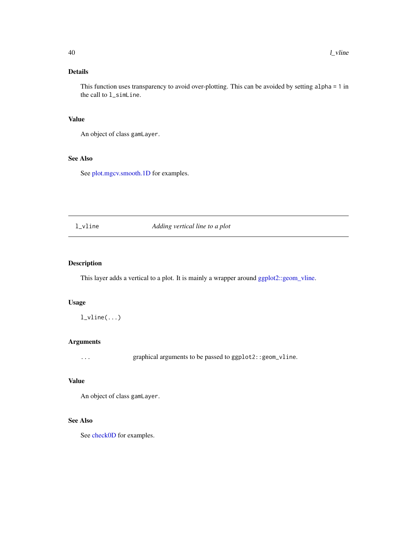This function uses transparency to avoid over-plotting. This can be avoided by setting alpha = 1 in the call to l\_simLine.

## Value

An object of class gamLayer.

## See Also

See [plot.mgcv.smooth.1D](#page-47-0) for examples.

l\_vline *Adding vertical line to a plot*

## Description

This layer adds a vertical to a plot. It is mainly a wrapper around [ggplot2::geom\\_vline.](#page-0-0)

#### Usage

 $l_vline(...)$ 

## Arguments

... graphical arguments to be passed to ggplot2::geom\_vline.

#### Value

An object of class gamLayer.

## See Also

See [check0D](#page-7-0) for examples.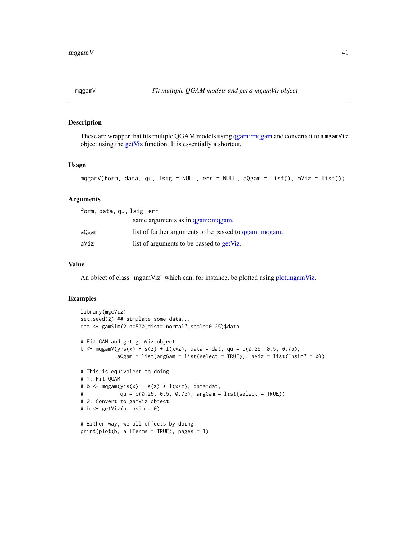<span id="page-40-0"></span>

## Description

These are wrapper that fits multple QGAM models using [qgam::mqgam](#page-0-0) and converts it to a mgamViz object using the [getViz](#page-15-0) function. It is essentially a shortcut.

## Usage

```
mqgamV(form, data, qu, lsig = NULL, err = NULL, aQgam = list(), aViz = list())
```
#### Arguments

| form, data, qu, lsig, err |                                                        |
|---------------------------|--------------------------------------------------------|
|                           | same arguments as in qgam: mqgam.                      |
| aQgam                     | list of further arguments to be passed to qgam: mqgam. |
| aViz                      | list of arguments to be passed to getViz.              |

#### Value

An object of class "mgamViz" which can, for instance, be plotted using [plot.mgamViz.](#page-46-0)

```
library(mgcViz)
set.seed(2) ## simulate some data...
dat <- gamSim(2,n=500,dist="normal",scale=0.25)$data
# Fit GAM and get gamViz object
b <- mqgamV(y~s(x) + s(z) + I(x*z), data = dat, qu = c(0.25, 0.5, 0.75),
           aQgam = list(argGam = list(select = TRUE)), aViz = list("nsim" = 0))
# This is equivalent to doing
# 1. Fit QGAM
# b <- mqgam(y~s(x) + s(z) + I(x*z), data=dat,
# qu = c(0.25, 0.5, 0.75), argGam = list(select = TRUE))
# 2. Convert to gamViz object
# b <- getViz(b, nsim = 0)
# Either way, we all effects by doing
print(plot(b, allTerms = TRUE), pages = 1)
```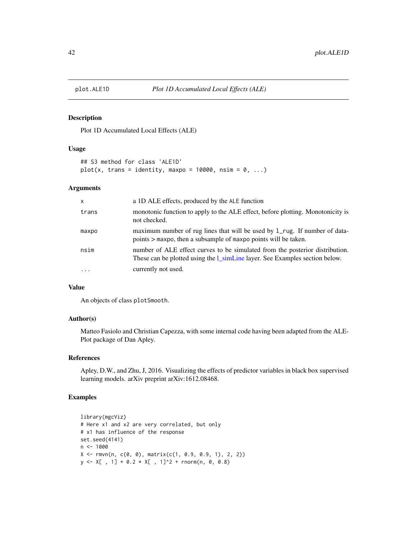#### Description

Plot 1D Accumulated Local Effects (ALE)

#### Usage

```
## S3 method for class 'ALE1D'
plot(x, trans = identity, maxpo = 10000, nsim = 0, ...)
```
## Arguments

| $\mathsf{x}$ | a 1D ALE effects, produced by the ALE function                                                                                                                      |
|--------------|---------------------------------------------------------------------------------------------------------------------------------------------------------------------|
| trans        | monotonic function to apply to the ALE effect, before plotting. Monotonicity is<br>not checked.                                                                     |
| maxpo        | maximum number of rug lines that will be used by 1_rug. If number of data-<br>points > maxpo, then a subsample of maxpo points will be taken.                       |
| nsim         | number of ALE effect curves to be simulated from the posterior distribution.<br>These can be plotted using the <i>l_simLine layer</i> . See Examples section below. |
| $\cdot$      | currently not used.                                                                                                                                                 |

#### Value

An objects of class plotSmooth.

## Author(s)

Matteo Fasiolo and Christian Capezza, with some internal code having been adapted from the ALE-Plot package of Dan Apley.

#### References

Apley, D.W., and Zhu, J, 2016. Visualizing the effects of predictor variables in black box supervised learning models. arXiv preprint arXiv:1612.08468.

```
library(mgcViz)
# Here x1 and x2 are very correlated, but only
# x1 has influence of the response
set.seed(4141)
n <- 1000
X \leq rmvn(n, c(0, 0), matrix(c(1, 0.9, 0.9, 1), 2, 2))
y \leq X[, 1] + 0.2 * X[, 1]^2 + rnorm(n, 0, 0.8)
```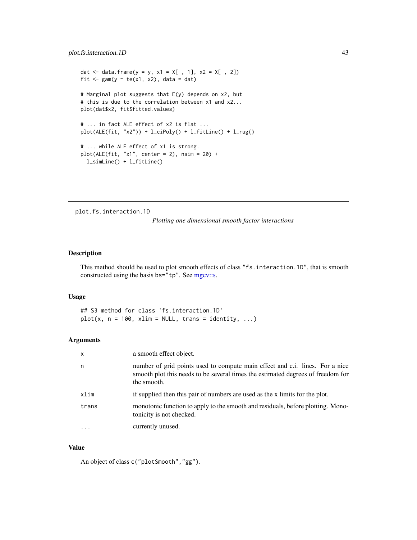```
dat <- data.frame(y = y, x1 = X[, 1], x2 = X[, 2])
fit \leq gam(y \sim te(x1, x2), data = dat)
# Marginal plot suggests that E(y) depends on x2, but
# this is due to the correlation between x1 and x2...
plot(dat$x2, fit$fitted.values)
# ... in fact ALE effect of x2 is flat ...
plot(ALE(fit, "x2")) + l_cipoly() + l_fittle() + l_rug()# ... while ALE effect of x1 is strong.
plot(ALE(fit, "x1", center = 2), nsim = 20) +l_simLine() + l_fitLine()
```
plot.fs.interaction.1D

*Plotting one dimensional smooth factor interactions*

#### Description

This method should be used to plot smooth effects of class "fs.interaction.1D", that is smooth constructed using the basis bs="tp". See [mgcv::s.](#page-0-0)

## Usage

## S3 method for class 'fs.interaction.1D'  $plot(x, n = 100, xlim = NULL, trans = identity, ...)$ 

#### Arguments

| X     | a smooth effect object.                                                                                                                                                        |
|-------|--------------------------------------------------------------------------------------------------------------------------------------------------------------------------------|
| n     | number of grid points used to compute main effect and c.i. lines. For a nice<br>smooth plot this needs to be several times the estimated degrees of freedom for<br>the smooth. |
| xlim  | if supplied then this pair of numbers are used as the x limits for the plot.                                                                                                   |
| trans | monotonic function to apply to the smooth and residuals, before plotting. Mono-<br>tonicity is not checked.                                                                    |
|       | currently unused.                                                                                                                                                              |

#### Value

An object of class c("plotSmooth","gg").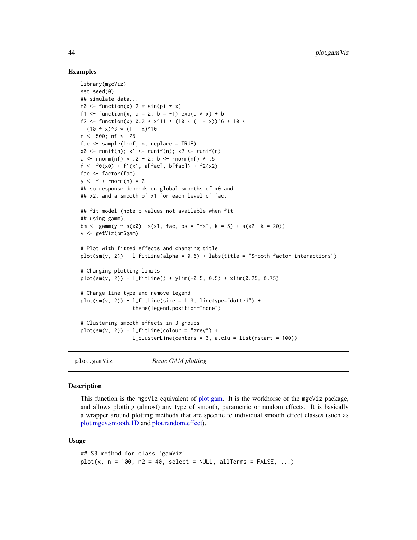#### Examples

```
library(mgcViz)
set.seed(0)
## simulate data...
f0 <- function(x) 2 * sin(pi * x)f1 <- function(x, a = 2, b = -1) exp(a \times x) + bf2 <- function(x) 0.2 * x^11 * (10 * (1 - x))^6 + 10 *
  (10 \times x)^3 * (1 - x)^10n <- 500; nf <- 25
fac \leq sample(1:nf, n, replace = TRUE)
x0 \le -\text{runif}(n); x1 \le -\text{runif}(n); x2 \le -\text{runif}(n)a <- rnorm(nf) * .2 + 2; b <- rnorm(nf) * .5
f <- f0(x0) + f1(x1, a[fac], b[fac]) + f2(x2)
fac <- factor(fac)
y \leq-f + \text{rnorm}(n) * 2## so response depends on global smooths of x0 and
## x2, and a smooth of x1 for each level of fac.
## fit model (note p-values not available when fit
## using gamm)...
bm <- gamm(y ~ s(x0)+ s(x1, fac, bs = "fs", k = 5) + s(x2, k = 20))
v <- getViz(bm$gam)
# Plot with fitted effects and changing title
plot(sm(v, 2)) + l_fitLine(abha = 0.6) + labs(title = "Smooth factor interactions")# Changing plotting limits
plot(sm(v, 2)) + l_fittle() + ylim(-0.5, 0.5) + xlim(0.25, 0.75)# Change line type and remove legend
plot(sm(v, 2)) + l_fitLine(size = 1.3, linetype="dotted") +
                  theme(legend.position="none")
# Clustering smooth effects in 3 groups
plot(sm(v, 2)) + l_fithic(colour = "grey") +l_{\text{clusterLine}} (centers = 3, a.clu = list(nstart = 100))
```
<span id="page-43-0"></span>plot.gamViz *Basic GAM plotting*

### Description

This function is the mgcViz equivalent of [plot.gam.](#page-0-0) It is the workhorse of the mgcViz package, and allows plotting (almost) any type of smooth, parametric or random effects. It is basically a wrapper around plotting methods that are specific to individual smooth effect classes (such as [plot.mgcv.smooth.1D](#page-47-0) and [plot.random.effect\)](#page-56-0).

#### Usage

```
## S3 method for class 'gamViz'
plot(x, n = 100, n2 = 40, select = NULL, allTerms = FALSE, ...)
```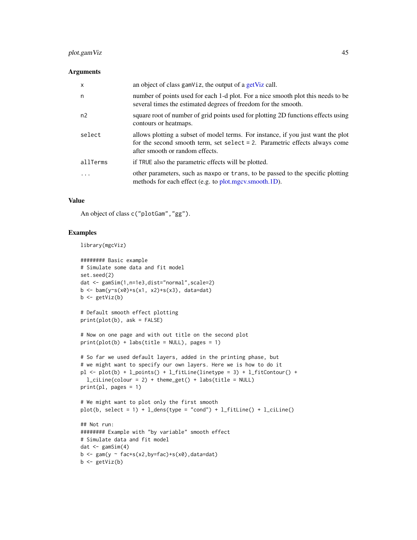## plot.gamViz 45

#### **Arguments**

| $\boldsymbol{\mathsf{x}}$ | an object of class gamViz, the output of a getViz call.                                                                                                                                              |
|---------------------------|------------------------------------------------------------------------------------------------------------------------------------------------------------------------------------------------------|
| n                         | number of points used for each 1-d plot. For a nice smooth plot this needs to be<br>several times the estimated degrees of freedom for the smooth.                                                   |
| n <sub>2</sub>            | square root of number of grid points used for plotting 2D functions effects using<br>contours or heatmaps.                                                                                           |
| select                    | allows plotting a subset of model terms. For instance, if you just want the plot<br>for the second smooth term, set select $= 2$ . Parametric effects always come<br>after smooth or random effects. |
| allTerms                  | if TRUE also the parametric effects will be plotted.                                                                                                                                                 |
| .                         | other parameters, such as maxpo or trans, to be passed to the specific plotting<br>methods for each effect (e.g. to plot.mgcv.smooth.1D).                                                            |

## Value

An object of class c("plotGam","gg").

## Examples

```
library(mgcViz)
```
 $b \leftarrow getViz(b)$ 

```
######## Basic example
# Simulate some data and fit model
set.seed(2)
dat <- gamSim(1,n=1e3,dist="normal",scale=2)
b \leq -\text{bam}(y \sim s(x0) + s(x1, x2) + s(x3), data = dat)b \leftarrow getViz(b)# Default smooth effect plotting
print(plot(b), ask = FALSE)
# Now on one page and with out title on the second plot
print(plot(b) + labs(title = NULL), pages = 1)# So far we used default layers, added in the printing phase, but
# we might want to specify our own layers. Here we is how to do it
pl \langle- plot(b) + l_points() + l_fitLine(linetype = 3) + l_fitContour() +
  l_ciline(colour = 2) + theme_set() + labs(title = NULL)print(pl, pages = 1)
# We might want to plot only the first smooth
plot(b, select = 1) + l_{dens(type = "cond") + l_{fitLine() + l_{ciline()}}## Not run:
######## Example with "by variable" smooth effect
# Simulate data and fit model
dat \leftarrow gamSim(4)b \leq -\text{gam}(y \sim \text{fac+s}(x2,by=\text{fac})+s(x0),data=dat)
```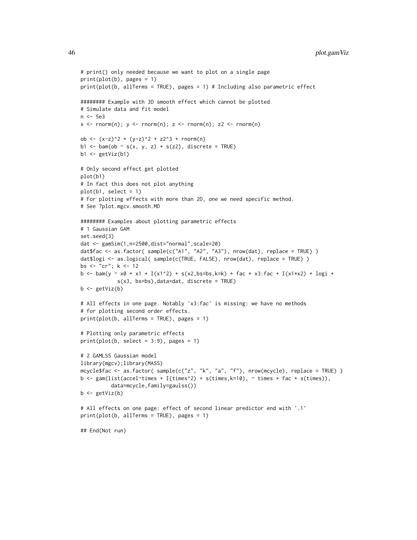```
# print() only needed because we want to plot on a single page
print(plot(b), pages = 1)
print(plot(b, allTerms = TRUE), pages = 1) # Including also parametric effect
######## Example with 3D smooth effect which cannot be plotted
# Simulate data and fit model
n <- 5e3
x \leq -rnorm(n); y \leq -rnorm(n); z \leq -rnorm(n); z2 \leq -rnorm(n)ob <- (x-z)^2 + (y-z)^2 + z2^3 + rnorm(n)b1 <- bam(ob ~ s(x, y, z) + s(z2), discrete = TRUE)
b1 \leftarrow getViz(b1)# Only second effect get plotted
plot(b1)
# In fact this does not plot anything
plot(b1, select = 1)
# For plotting effects with more than 2D, one we need specific method.
# See ?plot.mgcv.smooth.MD
######## Examples about plotting parametric effects
# 1 Gaussian GAM
set.seed(3)
dat <- gamSim(1,n=2500,dist="normal",scale=20)
dat$fac <- as.factor( sample(c("A1", "A2", "A3"), nrow(dat), replace = TRUE) )
dat$logi <- as.logical( sample(c(TRUE, FALSE), nrow(dat), replace = TRUE) )
bs <- "cr"; k <- 12
b <- bam(y ~ x0 + x1 + I(x1^2) + s(x2,bs=bs,k=k) + fac + x3:fac + I(x1*x2) + logi +
            s(x3, bs=bs),data=dat, discrete = TRUE)
b \leftarrow getViz(b)# All effects in one page. Notably 'x3:fac' is missing: we have no methods
# for plotting second order effects.
print(plot(b, allTerms = TRUE), pages = 1)
# Plotting only parametric effects
print(plot(b, select = 3:9), pages = 1)# 2 GAMLSS Gaussian model
library(mgcv);library(MASS)
mcycle$fac <- as.factor( sample(c("z", "k", "a", "f"), nrow(mcycle), replace = TRUE) )
b <- gam(list(accel~times + I(times^2) + s(times,k=10), ~ times + fac + s(times)),
          data=mcycle,family=gaulss())
b <- getViz(b)
# All effects on one page: effect of second linear predictor end with '.1'
print(plot(b, allTerms = TRUE), pages = 1)
## End(Not run)
```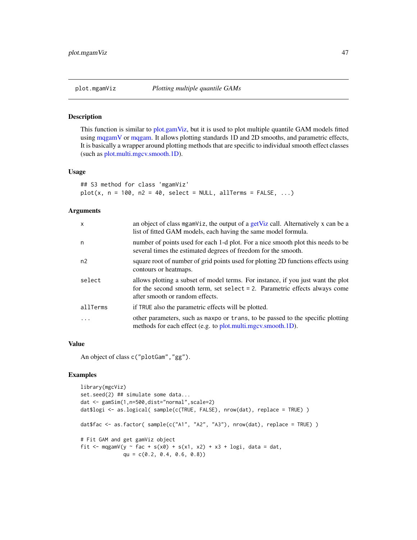#### <span id="page-46-0"></span>Description

This function is similar to [plot.gamViz,](#page-43-0) but it is used to plot multiple quantile GAM models fitted using [mqgamV](#page-40-0) or [mqgam.](#page-0-0) It allows plotting standards 1D and 2D smooths, and parametric effects, It is basically a wrapper around plotting methods that are specific to individual smooth effect classes (such as [plot.multi.mgcv.smooth.1D\)](#page-47-1).

#### Usage

```
## S3 method for class 'mgamViz'
plot(x, n = 100, n2 = 40, select = NULL, allTerms = FALSE, ...)
```
## Arguments

| X              | an object of class mgamViz, the output of a getViz call. Alternatively x can be a<br>list of fitted GAM models, each having the same model formula.                                                  |
|----------------|------------------------------------------------------------------------------------------------------------------------------------------------------------------------------------------------------|
| n              | number of points used for each 1-d plot. For a nice smooth plot this needs to be<br>several times the estimated degrees of freedom for the smooth.                                                   |
| n <sub>2</sub> | square root of number of grid points used for plotting 2D functions effects using<br>contours or heatmaps.                                                                                           |
| select         | allows plotting a subset of model terms. For instance, if you just want the plot<br>for the second smooth term, set select $= 2$ . Parametric effects always come<br>after smooth or random effects. |
| allTerms       | if TRUE also the parametric effects will be plotted.                                                                                                                                                 |
| .              | other parameters, such as maxpo or trans, to be passed to the specific plotting<br>methods for each effect (e.g. to plot.multi.mgcv.smooth.1D).                                                      |

#### Value

An object of class c("plotGam","gg").

```
library(mgcViz)
set.seed(2) ## simulate some data...
dat <- gamSim(1,n=500,dist="normal",scale=2)
dat$logi <- as.logical( sample(c(TRUE, FALSE), nrow(dat), replace = TRUE) )
dat$fac <- as.factor( sample(c("A1", "A2", "A3"), nrow(dat), replace = TRUE) )
# Fit GAM and get gamViz object
fit <- mqgamV(y \sim fac + s(x0) + s(x1, x2) + x3 + logi, data = dat,
              qu = c(0.2, 0.4, 0.6, 0.8)
```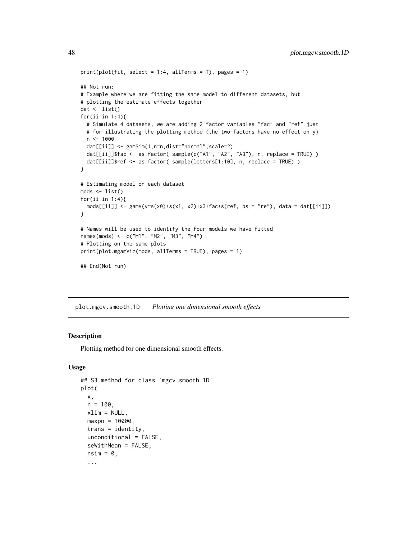```
print(plot(fit, select = 1:4, allTerms = T), pages = 1)## Not run:
# Example where we are fitting the same model to different datasets, but
# plotting the estimate effects together
dat \leftarrow list()
for(ii in 1:4){
  # Simulate 4 datasets, we are adding 2 factor variables "fac" and "ref" just
  # for illustrating the plotting method (the two factors have no effect on y)
  n < -1000dat[[ii]] <- gamSim(1,n=n,dist="normal",scale=2)
  dat[[ii]]$fac <- as.factor( sample(c("A1", "A2", "A3"), n, replace = TRUE) )
  dat[[ii]]$ref <- as.factor( sample(letters[1:10], n, replace = TRUE) )
}
# Estimating model on each dataset
mods <- list()
for(ii in 1:4){
  mods[[ii]] \leftarrow gamV(y\sim s(x0) + s(x1, x2) + x3 + fac + s(ref, bs = "re"), data = dat[[ii]])}
# Names will be used to identify the four models we have fitted
names(mods) <- c("M1", "M2", "M3", "M4")
# Plotting on the same plots
print(plot.mgamViz(mods, allTerms = TRUE), pages = 1)
## End(Not run)
```
<span id="page-47-0"></span>plot.mgcv.smooth.1D *Plotting one dimensional smooth effects*

## <span id="page-47-1"></span>Description

Plotting method for one dimensional smooth effects.

#### Usage

```
## S3 method for class 'mgcv.smooth.1D'
plot(
  x,
 n = 100,
  xlim = NULL,maxpo = 10000,
  trans = identity,
  unconditional = FALSE,
  seWithMean = FALSE,
  nsim = 0,
  ...
```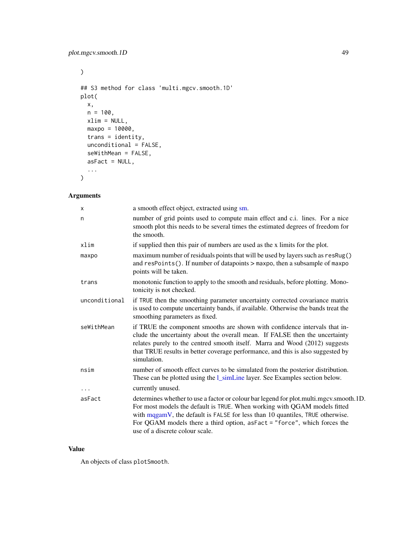$\mathcal{L}$ 

```
## S3 method for class 'multi.mgcv.smooth.1D'
plot(
 x,
 n = 100,xlim = NULL,maxpo = 10000,
 trans = identity,
 unconditional = FALSE,
 seWithMean = FALSE,
 asFact = NULL,...
\mathcal{L}
```
## Arguments

| X             | a smooth effect object, extracted using sm.                                                                                                                                                                                                                                                                                                                            |
|---------------|------------------------------------------------------------------------------------------------------------------------------------------------------------------------------------------------------------------------------------------------------------------------------------------------------------------------------------------------------------------------|
| n             | number of grid points used to compute main effect and c.i. lines. For a nice<br>smooth plot this needs to be several times the estimated degrees of freedom for<br>the smooth.                                                                                                                                                                                         |
| xlim          | if supplied then this pair of numbers are used as the x limits for the plot.                                                                                                                                                                                                                                                                                           |
| maxpo         | maximum number of residuals points that will be used by layers such as resRug()<br>and resPoints(). If number of datapoints > maxpo, then a subsample of maxpo<br>points will be taken.                                                                                                                                                                                |
| trans         | monotonic function to apply to the smooth and residuals, before plotting. Mono-<br>tonicity is not checked.                                                                                                                                                                                                                                                            |
| unconditional | if TRUE then the smoothing parameter uncertainty corrected covariance matrix<br>is used to compute uncertainty bands, if available. Otherwise the bands treat the<br>smoothing parameters as fixed.                                                                                                                                                                    |
| seWithMean    | if TRUE the component smooths are shown with confidence intervals that in-<br>clude the uncertainty about the overall mean. If FALSE then the uncertainty<br>relates purely to the centred smooth itself. Marra and Wood (2012) suggests<br>that TRUE results in better coverage performance, and this is also suggested by<br>simulation.                             |
| nsim          | number of smooth effect curves to be simulated from the posterior distribution.<br>These can be plotted using the <i>l_simLine layer</i> . See Examples section below.                                                                                                                                                                                                 |
| $\cdots$      | currently unused.                                                                                                                                                                                                                                                                                                                                                      |
| asFact        | determines whether to use a factor or colour bar legend for plot.multi.mgcv.smooth.1D.<br>For most models the default is TRUE. When working with QGAM models fitted<br>with mqgamV, the default is FALSE for less than 10 quantiles, TRUE otherwise.<br>For QGAM models there a third option, $a$ sFact = "force", which forces the<br>use of a discrete colour scale. |

## Value

An objects of class plotSmooth.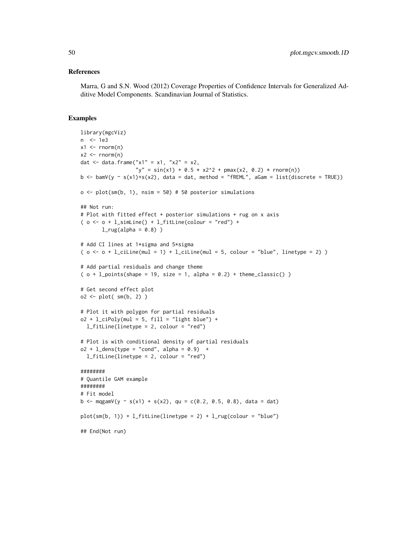#### References

Marra, G and S.N. Wood (2012) Coverage Properties of Confidence Intervals for Generalized Additive Model Components. Scandinavian Journal of Statistics.

```
library(mgcViz)
n <- 1e3
x1 \leftarrow \text{rnorm}(n)x2 \le - rnorm(n)dat <- data.frame("x1" = x1, "x2" = x2,
                   "y" = sin(x1) + 0.5 \times x^{2^2} + pmax(x2, 0.2) * rnorm(n))
b \leq -\text{bamV}(y \leq s(x1) + s(x2)), data = dat, method = "fREML", aGam = list(discrete = TRUE))
o \leq plot(sm(b, 1), nsim = 50) # 50 posterior simulations
## Not run:
# Plot with fitted effect + posterior simulations + rug on x axis
( o < - o + l\_simLine() + l\_fitLine(colour = "red") +l_rug(alpha = 0.8))
# Add CI lines at 1*sigma and 5*sigma
( o \leq - o + l_ciLine(mul = 1) + l_ciLine(mul = 5, colour = "blue", linetype = 2) )
# Add partial residuals and change theme
( o + 1_{-} points (shape = 19, size = 1, alpha = 0.2) + theme_{\_}lasis( ) )# Get second effect plot
o2 \leq -plot(\text{sm}(b, 2))# Plot it with polygon for partial residuals
o2 + l_cipoly(mul = 5, fill = "light blue") +l_fitLine(linetype = 2, colour = "red")
# Plot is with conditional density of partial residuals
o2 + 1<sup>dens</sup>(type = "cond", alpha = 0.9) +
  l_fitLine(linetype = 2, colour = "red")
########
# Quantile GAM example
########
# Fit model
b <- mqgamV(y ~ s(x1) + s(x2), qu = c(0.2, 0.5, 0.8), data = dat)
plot(sm(b, 1)) + l_fitLine(linetype = 2) + l_rug(colour = "blue")## End(Not run)
```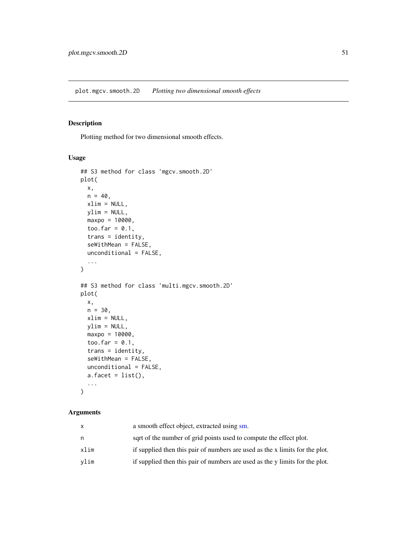## <span id="page-50-0"></span>Description

Plotting method for two dimensional smooth effects.

#### Usage

```
## S3 method for class 'mgcv.smooth.2D'
plot(
 x,
 n = 40,
 xlim = NULL,ylim = NULL,
 maxpo = 10000,
  too.far = 0.1,
  trans = identity,
  seWithMean = FALSE,
 unconditional = FALSE,
  ...
)
## S3 method for class 'multi.mgcv.smooth.2D'
plot(
 x,
 n = 30,
 xlim = NULL,ylim = NULL,
 maxpo = 10000,
  too.far = 0.1,
  trans = identity,
  seWithMean = FALSE,
  unconditional = FALSE,
 a.facet = list(),...
\mathcal{L}
```

| x    | a smooth effect object, extracted using sm.                                  |
|------|------------------------------------------------------------------------------|
| n    | sqrt of the number of grid points used to compute the effect plot.           |
| xlim | if supplied then this pair of numbers are used as the x limits for the plot. |
| vlim | if supplied then this pair of numbers are used as the y limits for the plot. |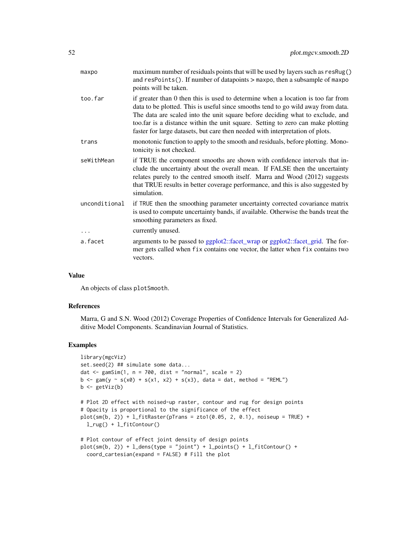| maxpo         | maximum number of residuals points that will be used by layers such as resRug()<br>and resPoints(). If number of datapoints > maxpo, then a subsample of maxpo<br>points will be taken.                                                                                                                                                                                                                                   |
|---------------|---------------------------------------------------------------------------------------------------------------------------------------------------------------------------------------------------------------------------------------------------------------------------------------------------------------------------------------------------------------------------------------------------------------------------|
| too.far       | if greater than 0 then this is used to determine when a location is too far from<br>data to be plotted. This is useful since smooths tend to go wild away from data.<br>The data are scaled into the unit square before deciding what to exclude, and<br>too far is a distance within the unit square. Setting to zero can make plotting<br>faster for large datasets, but care then needed with interpretation of plots. |
| trans         | monotonic function to apply to the smooth and residuals, before plotting. Mono-<br>tonicity is not checked.                                                                                                                                                                                                                                                                                                               |
| seWithMean    | if TRUE the component smooths are shown with confidence intervals that in-<br>clude the uncertainty about the overall mean. If FALSE then the uncertainty<br>relates purely to the centred smooth itself. Marra and Wood (2012) suggests<br>that TRUE results in better coverage performance, and this is also suggested by<br>simulation.                                                                                |
| unconditional | if TRUE then the smoothing parameter uncertainty corrected covariance matrix<br>is used to compute uncertainty bands, if available. Otherwise the bands treat the<br>smoothing parameters as fixed.                                                                                                                                                                                                                       |
|               | currently unused.                                                                                                                                                                                                                                                                                                                                                                                                         |
| a.facet       | arguments to be passed to ggplot2::facet_wrap or ggplot2::facet_grid. The for-<br>mer gets called when fix contains one vector, the latter when fix contains two<br>vectors.                                                                                                                                                                                                                                              |
|               |                                                                                                                                                                                                                                                                                                                                                                                                                           |

#### Value

An objects of class plotSmooth.

#### References

Marra, G and S.N. Wood (2012) Coverage Properties of Confidence Intervals for Generalized Additive Model Components. Scandinavian Journal of Statistics.

```
library(mgcViz)
set.seed(2) ## simulate some data...
dat \leq gamSim(1, n = 700, dist = "normal", scale = 2)
b <- gam(y ~ s(x0) + s(x1, x2) + s(x3), data = dat, method = "REML")
b \leftarrow getViz(b)# Plot 2D effect with noised-up raster, contour and rug for design points
# Opacity is proportional to the significance of the effect
plot(sm(b, 2)) + 1_{}fitRaster(pTrans = zto1(0.05, 2, 0.1), noiseup = TRUE) +l_rug() + l_fitContour()
# Plot contour of effect joint density of design points
plot(sm(b, 2)) + l_{dens(type = "joint") + l_{points}( ) + l_{fitContour( ) +}coord_cartesian(expand = FALSE) # Fill the plot
```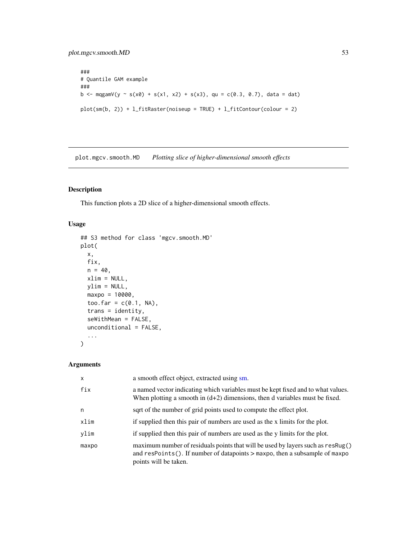```
###
# Quantile GAM example
###
b <- mqgamV(y ~ s(x0) + s(x1, x2) + s(x3), qu = c(0.3, 0.7), data = dat)
plot(sm(b, 2)) + l_fitRaster(noiseup = TRUE) + l_fitContour(colour = 2)
```
plot.mgcv.smooth.MD *Plotting slice of higher-dimensional smooth effects*

## Description

This function plots a 2D slice of a higher-dimensional smooth effects.

## Usage

```
## S3 method for class 'mgcv.smooth.MD'
plot(
 x,
  fix,
 n = 40,
 xlim = NULL,
 ylim = NULL,
 maxpo = 10000,too.far = c(0.1, NA),
  trans = identity,
  seWithMean = FALSE,
  unconditional = FALSE,
  ...
```
)

| X     | a smooth effect object, extracted using sm.                                                                                                                                             |
|-------|-----------------------------------------------------------------------------------------------------------------------------------------------------------------------------------------|
| fix   | a named vector indicating which variables must be kept fixed and to what values.<br>When plotting a smooth in $(d+2)$ dimensions, then d variables must be fixed.                       |
| n     | sqrt of the number of grid points used to compute the effect plot.                                                                                                                      |
| xlim  | if supplied then this pair of numbers are used as the x limits for the plot.                                                                                                            |
| ylim  | if supplied then this pair of numbers are used as the y limits for the plot.                                                                                                            |
| maxpo | maximum number of residuals points that will be used by layers such as resRug()<br>and resPoints(). If number of datapoints > maxpo, then a subsample of maxpo<br>points will be taken. |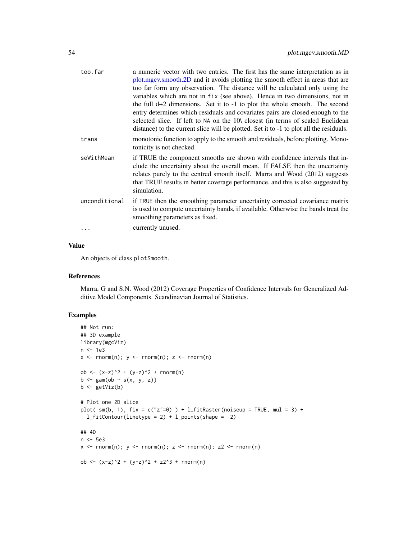| too.far       | a numeric vector with two entries. The first has the same interpretation as in<br>plot.mgcv.smooth.2D and it avoids plotting the smooth effect in areas that are<br>too far form any observation. The distance will be calculated only using the<br>variables which are not in fix (see above). Hence in two dimensions, not in<br>the full $d+2$ dimensions. Set it to $-1$ to plot the whole smooth. The second<br>entry determines which residuals and covariates pairs are closed enough to the<br>selected slice. If left to NA on the 10\ closest (in terms of scaled Euclidean<br>distance) to the current slice will be plotted. Set it to -1 to plot all the residuals. |
|---------------|----------------------------------------------------------------------------------------------------------------------------------------------------------------------------------------------------------------------------------------------------------------------------------------------------------------------------------------------------------------------------------------------------------------------------------------------------------------------------------------------------------------------------------------------------------------------------------------------------------------------------------------------------------------------------------|
| trans         | monotonic function to apply to the smooth and residuals, before plotting. Mono-<br>tonicity is not checked.                                                                                                                                                                                                                                                                                                                                                                                                                                                                                                                                                                      |
| seWithMean    | if TRUE the component smooths are shown with confidence intervals that in-<br>clude the uncertainty about the overall mean. If FALSE then the uncertainty<br>relates purely to the centred smooth itself. Marra and Wood (2012) suggests<br>that TRUE results in better coverage performance, and this is also suggested by<br>simulation.                                                                                                                                                                                                                                                                                                                                       |
| unconditional | if TRUE then the smoothing parameter uncertainty corrected covariance matrix<br>is used to compute uncertainty bands, if available. Otherwise the bands treat the<br>smoothing parameters as fixed.                                                                                                                                                                                                                                                                                                                                                                                                                                                                              |
|               | currently unused.                                                                                                                                                                                                                                                                                                                                                                                                                                                                                                                                                                                                                                                                |

## Value

An objects of class plotSmooth.

## References

Marra, G and S.N. Wood (2012) Coverage Properties of Confidence Intervals for Generalized Additive Model Components. Scandinavian Journal of Statistics.

```
## Not run:
## 3D example
library(mgcViz)
n <- 1e3
x \le - rnorm(n); y \le - rnorm(n); z \le - rnorm(n)
ob <- (x-z)^2 + (y-z)^2 + rnorm(n)b \leq -\text{gam}(\text{ob} \sim s(x, y, z))b \leftarrow getViz(b)# Plot one 2D slice
plot( sm(b, 1), fix = c("z"=0) ) + l_fitRaster(noiseup = TRUE, mul = 3) +
  l_fitContour(linetype = 2) + l_points(shape = 2)
## 4D
n <- 5e3
x \leq -rnorm(n); y \leq -rnorm(n); z \leq -rnorm(n); z2 \leq -rnorm(n)ob <- (x-z)^2 + (y-z)^2 + z^2 + z^2 + rnorm(n)
```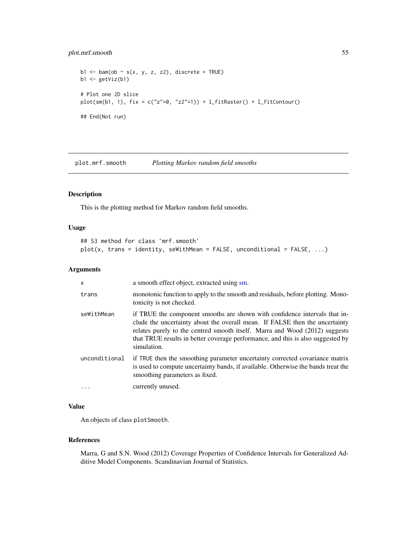## plot.mrf.smooth 55

```
b1 \le bam(ob \sim s(x, y, z, z2), discrete = TRUE)
b1 \leftarrow getViz(b1)# Plot one 2D slice
plot(sm(b1, 1), fix = c("z"-0, "z2"-1)) + l_fitRaster() + l_fitContour()## End(Not run)
```
<span id="page-54-0"></span>plot.mrf.smooth *Plotting Markov random field smooths*

#### Description

This is the plotting method for Markov random field smooths.

## Usage

```
## S3 method for class 'mrf.smooth'
plot(x, trans = identity, seWithMean = FALSE, unconditional = FALSE, ...)
```
## Arguments

| X             | a smooth effect object, extracted using sm.                                                                                                                                                                                                                                                                                                |
|---------------|--------------------------------------------------------------------------------------------------------------------------------------------------------------------------------------------------------------------------------------------------------------------------------------------------------------------------------------------|
| trans         | monotonic function to apply to the smooth and residuals, before plotting. Mono-<br>tonicity is not checked.                                                                                                                                                                                                                                |
| seWithMean    | if TRUE the component smooths are shown with confidence intervals that in-<br>clude the uncertainty about the overall mean. If FALSE then the uncertainty<br>relates purely to the centred smooth itself. Marra and Wood (2012) suggests<br>that TRUE results in better coverage performance, and this is also suggested by<br>simulation. |
| unconditional | if TRUE then the smoothing parameter uncertainty corrected covariance matrix<br>is used to compute uncertainty bands, if available. Otherwise the bands treat the<br>smoothing parameters as fixed.                                                                                                                                        |
| $\cdots$      | currently unused.                                                                                                                                                                                                                                                                                                                          |

## Value

An objects of class plotSmooth.

## References

Marra, G and S.N. Wood (2012) Coverage Properties of Confidence Intervals for Generalized Additive Model Components. Scandinavian Journal of Statistics.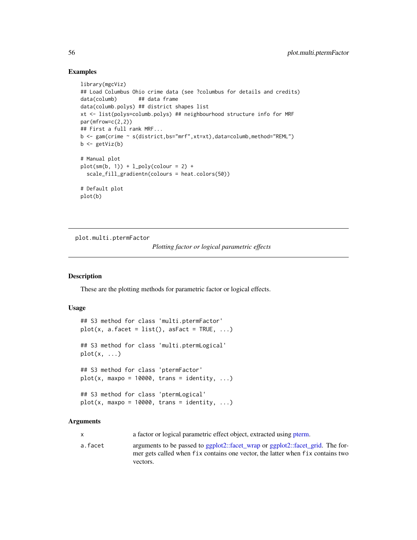### Examples

```
library(mgcViz)
## Load Columbus Ohio crime data (see ?columbus for details and credits)
data(columb) ## data frame
data(columb.polys) ## district shapes list
xt <- list(polys=columb.polys) ## neighbourhood structure info for MRF
par(mfrow=c(2,2))
## First a full rank MRF...
b <- gam(crime ~ s(district,bs="mrf",xt=xt),data=columb,method="REML")
b \leftarrow getViz(b)# Manual plot
plot(sm(b, 1)) + l\_poly(colour = 2) +scale_fill_gradientn(colours = heat.colors(50))
# Default plot
plot(b)
```
plot.multi.ptermFactor

*Plotting factor or logical parametric effects*

### Description

These are the plotting methods for parametric factor or logical effects.

#### Usage

```
## S3 method for class 'multi.ptermFactor'
plot(x, a.facet = list(), asFact = TRUE, ...)## S3 method for class 'multi.ptermLogical'
plot(x, \ldots)## S3 method for class 'ptermFactor'
plot(x, maxpo = 10000, trans = identity, ...)## S3 method for class 'ptermLogical'
plot(x, maxpo = 10000, trans = identity, ...)
```
## Arguments

| x |  | a factor or logical parametric effect object, extracted using pterm. |  |
|---|--|----------------------------------------------------------------------|--|
|---|--|----------------------------------------------------------------------|--|

a.facet arguments to be passed to [ggplot2::facet\\_wrap](#page-0-0) or [ggplot2::facet\\_grid.](#page-0-0) The former gets called when fix contains one vector, the latter when fix contains two vectors.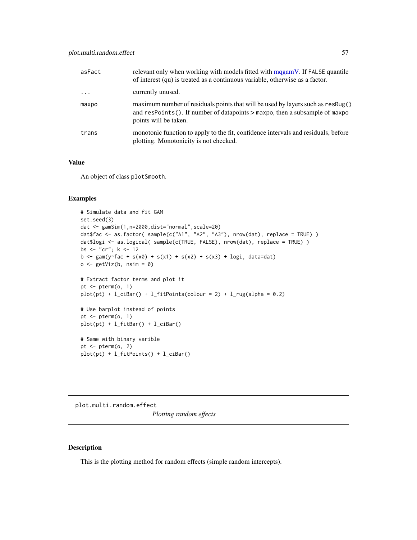| asFact   | relevant only when working with models fitted with magamV. If FALSE quantile<br>of interest (qu) is treated as a continuous variable, otherwise as a factor.                                 |
|----------|----------------------------------------------------------------------------------------------------------------------------------------------------------------------------------------------|
| $\cdots$ | currently unused.                                                                                                                                                                            |
| maxpo    | maximum number of residuals points that will be used by layers such as resRug()<br>and $resPoints()$ . If number of datapoints $>$ maxpo, then a subsample of maxpo<br>points will be taken. |
| trans    | monotonic function to apply to the fit, confidence intervals and residuals, before<br>plotting. Monotonicity is not checked.                                                                 |

## Value

An object of class plotSmooth.

## Examples

```
# Simulate data and fit GAM
set.seed(3)
dat <- gamSim(1,n=2000,dist="normal",scale=20)
dat$fac <- as.factor( sample(c("A1", "A2", "A3"), nrow(dat), replace = TRUE) )
dat$logi <- as.logical( sample(c(TRUE, FALSE), nrow(dat), replace = TRUE) )
bs <- "cr"; k <- 12
b \leq gam(y\leqfac + s(x0) + s(x1) + s(x2) + s(x3) + logi, data=dat)
o \leftarrow getViz(b, nsim = 0)# Extract factor terms and plot it
pt \leq pterm(o, 1)plot(pt) + l_cibar() + l_fitPoints(colour = 2) + l_rug(alpha = 0.2)# Use barplot instead of points
pt \leq- pterm(o, 1)plot(pt) + l_fitBar() + l_ciBar()
# Same with binary varible
pt \leq pterm(o, 2)
plot(pt) + l_fitPoints() + l_ciBar()
```
plot.multi.random.effect *Plotting random effects*

#### <span id="page-56-0"></span>Description

This is the plotting method for random effects (simple random intercepts).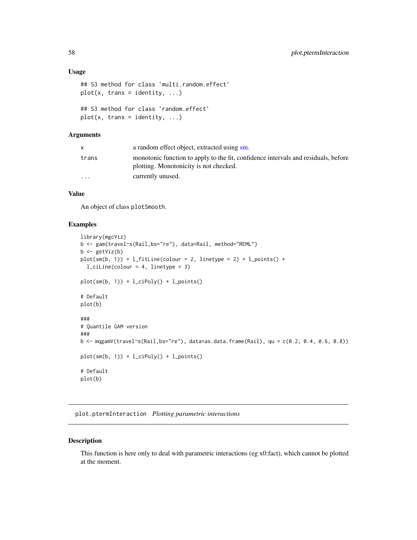#### Usage

```
## S3 method for class 'multi.random.effect'
plot(x, trans = identity, ...)## S3 method for class 'random.effect'
plot(x, trans = identity, ...)
```
## Arguments

|                         | a random effect object, extracted using sm.                                                                                  |
|-------------------------|------------------------------------------------------------------------------------------------------------------------------|
| trans                   | monotonic function to apply to the fit, confidence intervals and residuals, before<br>plotting. Monotonicity is not checked. |
| $\cdot$ $\cdot$ $\cdot$ | currently unused.                                                                                                            |

## Value

An object of class plotSmooth.

## Examples

```
library(mgcViz)
b <- gam(travel~s(Rail,bs="re"), data=Rail, method="REML")
b \leftarrow getViz(b)plot(sm(b, 1)) + l_fitLine(colour = 2, linetype = 2) + l_points() +
 l_ciLine(colour = 4, linetype = 3)
plot(sm(b, 1)) + l_cipoly() + l_points()# Default
plot(b)
###
# Quantile GAM version
###
b <- mqgamV(travel~s(Rail,bs="re"), data=as.data.frame(Rail), qu = c(0.2, 0.4, 0.6, 0.8))
plot(sm(b, 1)) + l_ciPoly() + l_points()
# Default
plot(b)
```
plot.ptermInteraction *Plotting parametric interactions*

## Description

This function is here only to deal with parametric interactions (eg x0:fact), which cannot be plotted at the moment.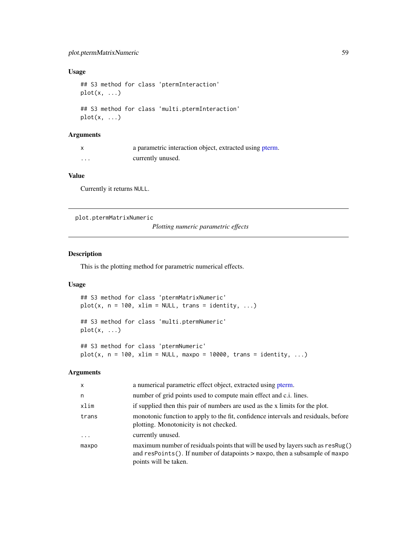## plot.ptermMatrixNumeric 59

## Usage

```
## S3 method for class 'ptermInteraction'
plot(x, \ldots)## S3 method for class 'multi.ptermInteraction'
plot(x, \ldots)
```
# Arguments

|          | a parametric interaction object, extracted using pterm. |
|----------|---------------------------------------------------------|
| $\cdots$ | currently unused.                                       |

## Value

Currently it returns NULL.

plot.ptermMatrixNumeric

*Plotting numeric parametric effects*

#### Description

This is the plotting method for parametric numerical effects.

## Usage

```
## S3 method for class 'ptermMatrixNumeric'
plot(x, n = 100, xlim = NULL, trans = identity, ...)
```
## S3 method for class 'multi.ptermNumeric'  $plot(x, \ldots)$ 

## S3 method for class 'ptermNumeric'  $plot(x, n = 100, xlim = NULL, maxpo = 10000, trans = identity, ...)$ 

| x        | a numerical parametric effect object, extracted using pterm.                                                                                                                                 |
|----------|----------------------------------------------------------------------------------------------------------------------------------------------------------------------------------------------|
| n        | number of grid points used to compute main effect and c.i. lines.                                                                                                                            |
| xlim     | if supplied then this pair of numbers are used as the x limits for the plot.                                                                                                                 |
| trans    | monotonic function to apply to the fit, confidence intervals and residuals, before<br>plotting. Monotonicity is not checked.                                                                 |
| $\cdots$ | currently unused.                                                                                                                                                                            |
| maxpo    | maximum number of residuals points that will be used by layers such as resRug()<br>and $resPoints()$ . If number of datapoints $>$ maxpo, then a subsample of maxpo<br>points will be taken. |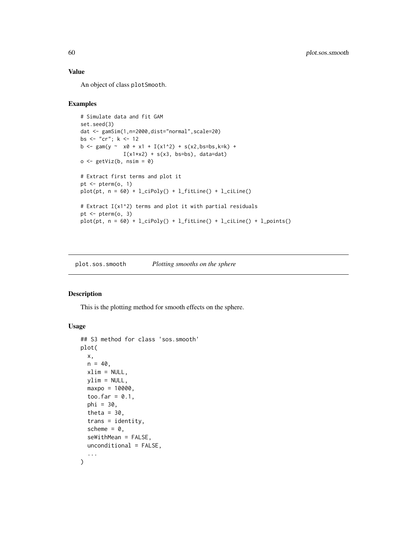## Value

An object of class plotSmooth.

## Examples

```
# Simulate data and fit GAM
set.seed(3)
dat <- gamSim(1,n=2000,dist="normal",scale=20)
bs <- "cr"; k <- 12
b <- gam(y ~ x0 + x1 + I(x1^2) + s(x2,bs=bs,k=k) +
             I(x1*x2) + s(x3, bs=bs), data=dat)
o <- getViz(b, nsim = 0)
# Extract first terms and plot it
pt <- pterm(o, 1)
plot(pt, n = 60) + l_cipoly() + l_fittle() + l_ciline()# Extract I(x1^2) terms and plot it with partial residuals
pt \leq pterm(o, 3)
plot(pt, n = 60) + l_cipoly() + l_fittle() + l_ciline() + l_points()
```
plot.sos.smooth *Plotting smooths on the sphere*

## Description

This is the plotting method for smooth effects on the sphere.

## Usage

```
## S3 method for class 'sos.smooth'
plot(
 x,
 n = 40,xlim = NULL,
 ylim = NULL,
 maxpo = 10000,
  too.far = 0.1,
 phi = 30,
  theta = 30,
  trans = identity,scheme = 0,
  seWithMean = FALSE,
 unconditional = FALSE,
  ...
\mathcal{L}
```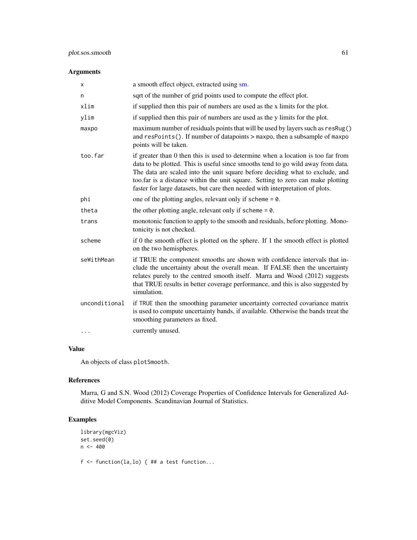## plot.sos.smooth 61

## Arguments

| X             | a smooth effect object, extracted using sm.                                                                                                                                                                                                                                                                                                                                                                               |
|---------------|---------------------------------------------------------------------------------------------------------------------------------------------------------------------------------------------------------------------------------------------------------------------------------------------------------------------------------------------------------------------------------------------------------------------------|
| n             | sqrt of the number of grid points used to compute the effect plot.                                                                                                                                                                                                                                                                                                                                                        |
| xlim          | if supplied then this pair of numbers are used as the x limits for the plot.                                                                                                                                                                                                                                                                                                                                              |
| ylim          | if supplied then this pair of numbers are used as the y limits for the plot.                                                                                                                                                                                                                                                                                                                                              |
| maxpo         | maximum number of residuals points that will be used by layers such as resRug()<br>and resPoints(). If number of datapoints > maxpo, then a subsample of maxpo<br>points will be taken.                                                                                                                                                                                                                                   |
| too.far       | if greater than 0 then this is used to determine when a location is too far from<br>data to be plotted. This is useful since smooths tend to go wild away from data.<br>The data are scaled into the unit square before deciding what to exclude, and<br>too.far is a distance within the unit square. Setting to zero can make plotting<br>faster for large datasets, but care then needed with interpretation of plots. |
| phi           | one of the plotting angles, relevant only if scheme $= 0$ .                                                                                                                                                                                                                                                                                                                                                               |
| theta         | the other plotting angle, relevant only if scheme $= 0$ .                                                                                                                                                                                                                                                                                                                                                                 |
| trans         | monotonic function to apply to the smooth and residuals, before plotting. Mono-<br>tonicity is not checked.                                                                                                                                                                                                                                                                                                               |
| scheme        | if 0 the smooth effect is plotted on the sphere. If 1 the smooth effect is plotted<br>on the two hemispheres.                                                                                                                                                                                                                                                                                                             |
| seWithMean    | if TRUE the component smooths are shown with confidence intervals that in-<br>clude the uncertainty about the overall mean. If FALSE then the uncertainty<br>relates purely to the centred smooth itself. Marra and Wood (2012) suggests<br>that TRUE results in better coverage performance, and this is also suggested by<br>simulation.                                                                                |
| unconditional | if TRUE then the smoothing parameter uncertainty corrected covariance matrix<br>is used to compute uncertainty bands, if available. Otherwise the bands treat the<br>smoothing parameters as fixed.                                                                                                                                                                                                                       |
|               | currently unused.                                                                                                                                                                                                                                                                                                                                                                                                         |

## Value

An objects of class plotSmooth.

## References

Marra, G and S.N. Wood (2012) Coverage Properties of Confidence Intervals for Generalized Additive Model Components. Scandinavian Journal of Statistics.

```
library(mgcViz)
set.seed(0)
n <- 400
```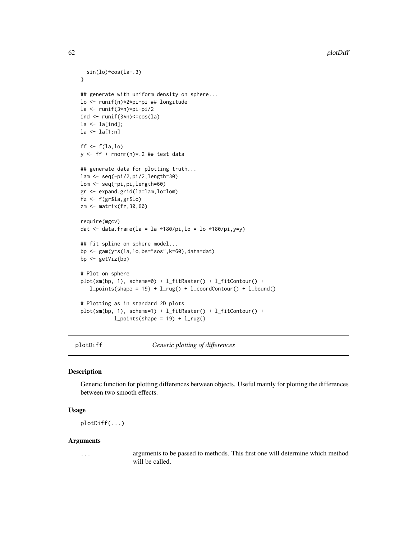```
sin(lo)*cos(la-.3)
}
## generate with uniform density on sphere...
lo <- runif(n)*2*pi-pi ## longitude
la <- runif(3*n)*pi-pi/2
ind \le runif(3*n)\lecos(la)
la \leftarrow la[ind];
la <- la[1:n]
ff \leftarrow f(la, lo)y <- ff + rnorm(n)*.2 ## test data
## generate data for plotting truth...
lam <- seq(-pi/2,pi/2,length=30)
lom <- seq(-pi,pi,length=60)
gr <- expand.grid(la=lam,lo=lom)
fz <- f(gr$la,gr$lo)
zm <- matrix(fz,30,60)
require(mgcv)
dat \le- data.frame(la = la *180/pi,lo = lo *180/pi,y=y)
## fit spline on sphere model...
bp <- gam(y~s(la,lo,bs="sos",k=60),data=dat)
bp <- getViz(bp)
# Plot on sphere
plot(sm(bp, 1), scheme=0) + l_fitRaster() + l_fitContour() +
   l\_points(shape = 19) + l\_rug() + l\_coordContour() + l\_bound()# Plotting as in standard 2D plots
plot(sm(bp, 1), scheme=1) + l_fitRaster() + l_fitContour() +
           l\_points(shape = 19) + l\_rug()
```
plotDiff *Generic plotting of differences*

## **Description**

Generic function for plotting differences between objects. Useful mainly for plotting the differences between two smooth effects.

#### Usage

plotDiff(...)

#### Arguments

... arguments to be passed to methods. This first one will determine which method will be called.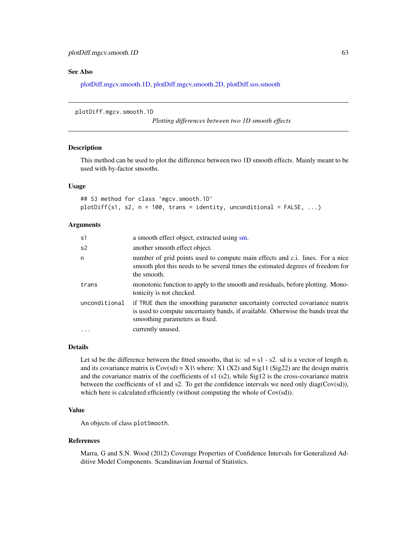#### See Also

[plotDiff.mgcv.smooth.1D,](#page-62-0) [plotDiff.mgcv.smooth.2D,](#page-63-0) [plotDiff.sos.smooth](#page-65-0)

```
plotDiff.mgcv.smooth.1D
```
*Plotting differences between two 1D smooth effects*

#### Description

This method can be used to plot the difference between two 1D smooth effects. Mainly meant to be used with by-factor smooths.

#### Usage

```
## S3 method for class 'mgcv.smooth.1D'
plotDiff(s1, s2, n = 100, trans = identity, unconditional = FALSE, ...)
```
#### Arguments

| s1            | a smooth effect object, extracted using sm.                                                                                                                                                         |
|---------------|-----------------------------------------------------------------------------------------------------------------------------------------------------------------------------------------------------|
| s2            | another smooth effect object.                                                                                                                                                                       |
| n             | number of grid points used to compute main effects and c.i. lines. For a nice<br>smooth plot this needs to be several times the estimated degrees of freedom for<br>the smooth.                     |
| trans         | monotonic function to apply to the smooth and residuals, before plotting. Mono-<br>tonicity is not checked.                                                                                         |
| unconditional | if TRUE then the smoothing parameter uncertainty corrected covariance matrix<br>is used to compute uncertainty bands, if available. Otherwise the bands treat the<br>smoothing parameters as fixed. |
| $\cdots$      | currently unused.                                                                                                                                                                                   |

#### Details

Let sd be the difference between the fitted smooths, that is:  $sd = s1 - s2$ . sd is a vector of length n, and its covariance matrix is  $Cov(sd) = X1\$  where:  $X1 (X2)$  and  $Sig11 (Sig22)$  are the design matrix and the covariance matrix of the coefficients of s1 (s2), while Sig12 is the cross-covariance matrix between the coefficients of s1 and s2. To get the confidence intervals we need only diag(Cov(sd)), which here is calculated efficiently (without computing the whole of Cov(sd)).

#### Value

An objects of class plotSmooth.

#### References

Marra, G and S.N. Wood (2012) Coverage Properties of Confidence Intervals for Generalized Additive Model Components. Scandinavian Journal of Statistics.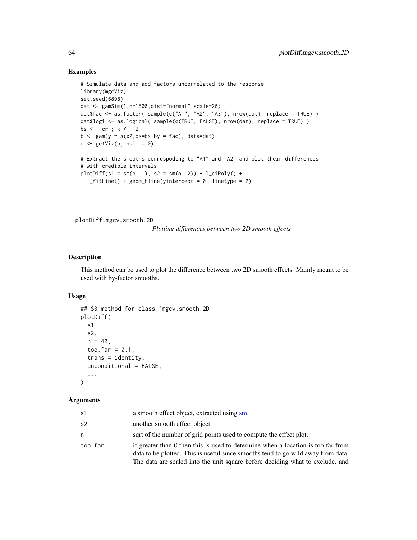## Examples

```
# Simulate data and add factors uncorrelated to the response
library(mgcViz)
set.seed(6898)
dat <- gamSim(1,n=1500,dist="normal",scale=20)
dat$fac <- as.factor( sample(c("A1", "A2", "A3"), nrow(dat), replace = TRUE) )
dat$logi <- as.logical( sample(c(TRUE, FALSE), nrow(dat), replace = TRUE) )
bs <- "cr"; k <- 12
b \leq -\text{gam}(y \sim s(x2,bs=bs,by = fac), data=dat)
o \leftarrow getViz(b, nsim = 0)# Extract the smooths correspoding to "A1" and "A2" and plot their differences
# with credible intervals
plotDiff(s1 = sm(o, 1), s2 = sm(o, 2)) + l_cipoly() +l_fitLine() + geom_hline(yintercept = 0, linetype = 2)
```
<span id="page-63-0"></span>plotDiff.mgcv.smooth.2D

*Plotting differences between two 2D smooth effects*

#### Description

This method can be used to plot the difference between two 2D smooth effects. Mainly meant to be used with by-factor smooths.

## Usage

```
## S3 method for class 'mgcv.smooth.2D'
plotDiff(
  s1,
  s2,
 n = 40,
  too.far = 0.1,
  trans = identity,
  unconditional = FALSE,
  ...
)
```

| s1      | a smooth effect object, extracted using sm.                                                                                                                                                                                                           |
|---------|-------------------------------------------------------------------------------------------------------------------------------------------------------------------------------------------------------------------------------------------------------|
| s2      | another smooth effect object.                                                                                                                                                                                                                         |
| n       | sqrt of the number of grid points used to compute the effect plot.                                                                                                                                                                                    |
| too.far | if greater than 0 then this is used to determine when a location is too far from<br>data to be plotted. This is useful since smooths tend to go wild away from data.<br>The data are scaled into the unit square before deciding what to exclude, and |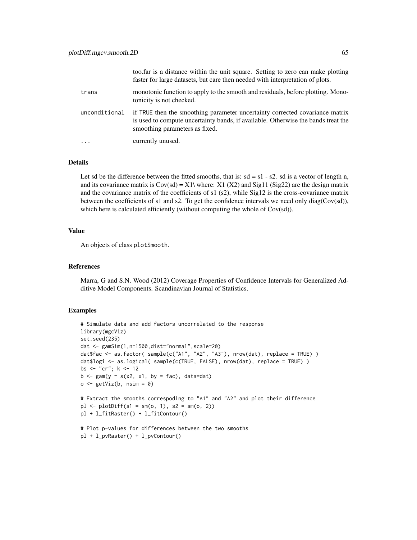|               | too. far is a distance within the unit square. Setting to zero can make plotting<br>faster for large datasets, but care then needed with interpretation of plots.                                   |
|---------------|-----------------------------------------------------------------------------------------------------------------------------------------------------------------------------------------------------|
| trans         | monotonic function to apply to the smooth and residuals, before plotting. Mono-<br>tonicity is not checked.                                                                                         |
| unconditional | if TRUE then the smoothing parameter uncertainty corrected covariance matrix<br>is used to compute uncertainty bands, if available. Otherwise the bands treat the<br>smoothing parameters as fixed. |
| $\ddotsc$     | currently unused.                                                                                                                                                                                   |

## Details

Let sd be the difference between the fitted smooths, that is:  $sd = s1 - s2$ . sd is a vector of length n, and its covariance matrix is  $Cov(sd) = X1\$  where:  $X1 (X2)$  and  $Sig11 (Sig22)$  are the design matrix and the covariance matrix of the coefficients of s1 (s2), while Sig12 is the cross-covariance matrix between the coefficients of s1 and s2. To get the confidence intervals we need only diag(Cov(sd)), which here is calculated efficiently (without computing the whole of Cov(sd)).

#### Value

An objects of class plotSmooth.

## References

Marra, G and S.N. Wood (2012) Coverage Properties of Confidence Intervals for Generalized Additive Model Components. Scandinavian Journal of Statistics.

```
# Simulate data and add factors uncorrelated to the response
library(mgcViz)
set.seed(235)
dat <- gamSim(1,n=1500,dist="normal",scale=20)
dat$fac <- as.factor( sample(c("A1", "A2", "A3"), nrow(dat), replace = TRUE) )
dat$logi <- as.logical( sample(c(TRUE, FALSE), nrow(dat), replace = TRUE) )
bs <- "cr"; k <- 12
b \leq gam(y \sim s(x2, x1, by = fac), data=dat)o \leftarrow getViz(b, nsim = 0)# Extract the smooths correspoding to "A1" and "A2" and plot their difference
p1 \leq -p1 ot Diff(s1 = sm(o, 1), s2 = sm(o, 2))
pl + l_fitRaster() + l_fitContour()
# Plot p-values for differences between the two smooths
pl + l_pvRaster() + l_pvContour()
```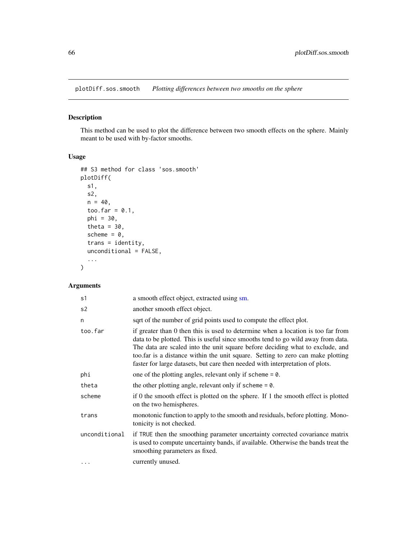<span id="page-65-0"></span>plotDiff.sos.smooth *Plotting differences between two smooths on the sphere*

## Description

This method can be used to plot the difference between two smooth effects on the sphere. Mainly meant to be used with by-factor smooths.

## Usage

```
## S3 method for class 'sos.smooth'
plotDiff(
  s1,
  s2,
 n = 40,
 too.far = 0.1,
 phi = 30,
  theta = 30,
  scheme = 0,
  trans = identity,
  unconditional = FALSE,
  ...
\mathcal{L}
```

| s1            | a smooth effect object, extracted using sm.                                                                                                                                                                                                                                                                                                                                                                               |
|---------------|---------------------------------------------------------------------------------------------------------------------------------------------------------------------------------------------------------------------------------------------------------------------------------------------------------------------------------------------------------------------------------------------------------------------------|
| s2            | another smooth effect object.                                                                                                                                                                                                                                                                                                                                                                                             |
| n             | sqrt of the number of grid points used to compute the effect plot.                                                                                                                                                                                                                                                                                                                                                        |
| too.far       | if greater than 0 then this is used to determine when a location is too far from<br>data to be plotted. This is useful since smooths tend to go wild away from data.<br>The data are scaled into the unit square before deciding what to exclude, and<br>too far is a distance within the unit square. Setting to zero can make plotting<br>faster for large datasets, but care then needed with interpretation of plots. |
| phi           | one of the plotting angles, relevant only if scheme $= 0$ .                                                                                                                                                                                                                                                                                                                                                               |
| theta         | the other plotting angle, relevant only if scheme $= 0$ .                                                                                                                                                                                                                                                                                                                                                                 |
| scheme        | if 0 the smooth effect is plotted on the sphere. If 1 the smooth effect is plotted<br>on the two hemispheres.                                                                                                                                                                                                                                                                                                             |
| trans         | monotonic function to apply to the smooth and residuals, before plotting. Mono-<br>tonicity is not checked.                                                                                                                                                                                                                                                                                                               |
| unconditional | if TRUE then the smoothing parameter uncertainty corrected covariance matrix<br>is used to compute uncertainty bands, if available. Otherwise the bands treat the<br>smoothing parameters as fixed.                                                                                                                                                                                                                       |
| $\cdots$      | currently unused.                                                                                                                                                                                                                                                                                                                                                                                                         |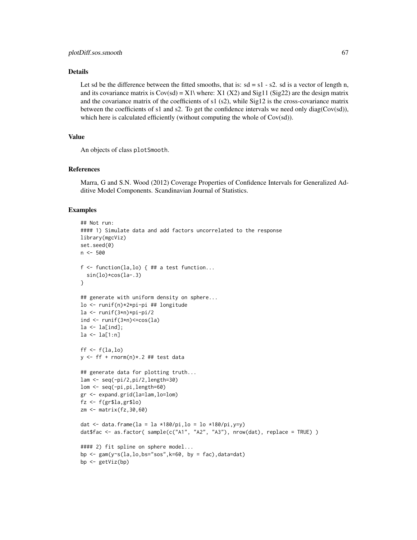## Details

Let sd be the difference between the fitted smooths, that is:  $sd = s1 - s2$ . sd is a vector of length n, and its covariance matrix is  $Cov(sd) = X1\$  where:  $X1 (X2)$  and  $Sig11 (Sig22)$  are the design matrix and the covariance matrix of the coefficients of s1 (s2), while Sig12 is the cross-covariance matrix between the coefficients of s1 and s2. To get the confidence intervals we need only diag(Cov(sd)), which here is calculated efficiently (without computing the whole of Cov(sd)).

### Value

An objects of class plotSmooth.

#### References

Marra, G and S.N. Wood (2012) Coverage Properties of Confidence Intervals for Generalized Additive Model Components. Scandinavian Journal of Statistics.

```
## Not run:
#### 1) Simulate data and add factors uncorrelated to the response
library(mgcViz)
set.seed(0)
n < -500f \leq function(la,lo) { ## a test function...
  sin(lo)*cos(la-.3)
}
## generate with uniform density on sphere...
lo <- runif(n)*2*pi-pi ## longitude
la <- runif(3*n)*pi-pi/2
ind \le runif(3 \times n)\le cos(1a)
la <- la[ind];
la <- la[1:n]
ff \leftarrow f(la, lo)y \leq-ff + rnorm(n)*.2## test data
## generate data for plotting truth...
lam <- seq(-pi/2,pi/2,length=30)
lom <- seq(-pi,pi,length=60)
gr <- expand.grid(la=lam,lo=lom)
fz <- f(gr$la,gr$lo)
zm <- matrix(fz,30,60)
dat \le data.frame(la = la *180/pi,lo = lo *180/pi,y=y)
dat$fac <- as.factor( sample(c("A1", "A2", "A3"), nrow(dat), replace = TRUE) )
#### 2) fit spline on sphere model...
bp \leq gam(y\leq(la,lo,bs="sos",k=60, by = fac),data=dat)
bp <- getViz(bp)
```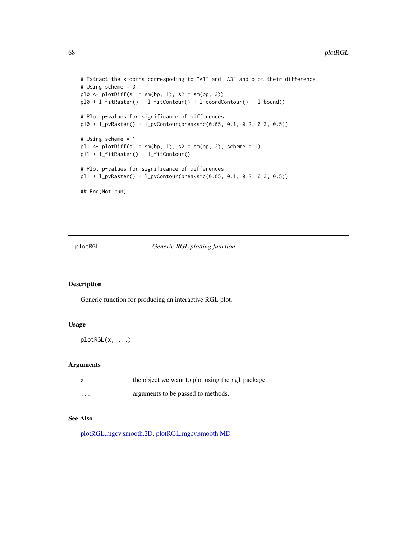```
# Extract the smooths correspoding to "A1" and "A3" and plot their difference
# Using scheme = 0
p10 \leftarrow plotDiff(s1 = sm(bp, 1), s2 = sm(bp, 3))pl0 + l_fitRaster() + l_fitContour() + l_coordContour() + l_bound()
# Plot p-values for significance of differences
pl0 + l_pvRaster() + l_pvContour(breaks=c(0.05, 0.1, 0.2, 0.3, 0.5))
# Using scheme = 1
p11 \leftarrow plotDiff(s1 = sm(bp, 1), s2 = sm(bp, 2), scheme = 1)pl1 + l_fitRaster() + l_fitContour()
# Plot p-values for significance of differences
pl1 + l_pvRaster() + l_pvContour(breaks=c(0.05, 0.1, 0.2, 0.3, 0.5))
## End(Not run)
```
plotRGL *Generic RGL plotting function*

#### Description

Generic function for producing an interactive RGL plot.

#### Usage

plotRGL(x, ...)

#### Arguments

|          | the object we want to plot using the rgl package. |
|----------|---------------------------------------------------|
| $\cdots$ | arguments to be passed to methods.                |

#### See Also

[plotRGL.mgcv.smooth.2D,](#page-68-0) [plotRGL.mgcv.smooth.MD](#page-70-0)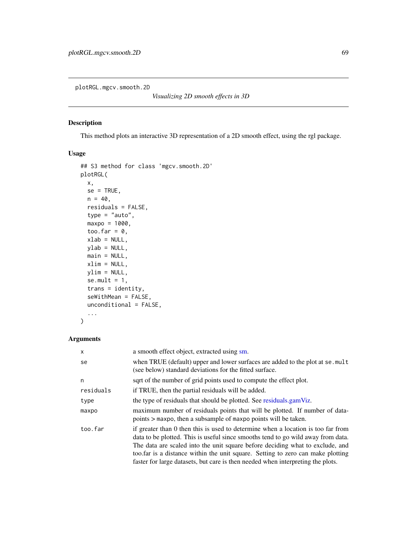<span id="page-68-0"></span>plotRGL.mgcv.smooth.2D

*Visualizing 2D smooth effects in 3D*

## Description

This method plots an interactive 3D representation of a 2D smooth effect, using the rgl package.

## Usage

```
## S3 method for class 'mgcv.smooth.2D'
plotRGL(
 x,
 se = TRUE,n = 40,
 residuals = FALSE,
  type = "auto",
 maxpo = 1000,too.far = 0,
 xlab = NULL,
 ylab = NULL,
 main = NULL,
 xlim = NULL,ylim = NULL,
  se.mult = 1,trans = identity,
 seWithMean = FALSE,
 unconditional = FALSE,
  ...
```
#### )

| $\times$  | a smooth effect object, extracted using sm.                                                                                                                                                                                                                                                                                                                                                                                 |
|-----------|-----------------------------------------------------------------------------------------------------------------------------------------------------------------------------------------------------------------------------------------------------------------------------------------------------------------------------------------------------------------------------------------------------------------------------|
| se        | when TRUE (default) upper and lower surfaces are added to the plot at se. mult<br>(see below) standard deviations for the fitted surface.                                                                                                                                                                                                                                                                                   |
| n         | sqrt of the number of grid points used to compute the effect plot.                                                                                                                                                                                                                                                                                                                                                          |
| residuals | if TRUE, then the partial residuals will be added.                                                                                                                                                                                                                                                                                                                                                                          |
| type      | the type of residuals that should be plotted. See residuals.gamViz.                                                                                                                                                                                                                                                                                                                                                         |
| maxpo     | maximum number of residuals points that will be plotted. If number of data-<br>points > maxpo, then a subsample of maxpo points will be taken.                                                                                                                                                                                                                                                                              |
| too.far   | if greater than 0 then this is used to determine when a location is too far from<br>data to be plotted. This is useful since smooths tend to go wild away from data.<br>The data are scaled into the unit square before deciding what to exclude, and<br>too far is a distance within the unit square. Setting to zero can make plotting<br>faster for large datasets, but care is then needed when interpreting the plots. |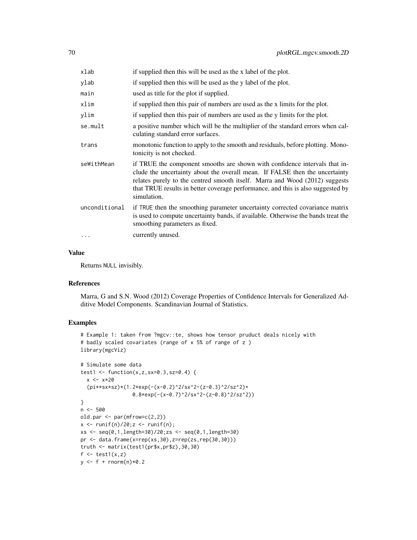| xlab          | if supplied then this will be used as the x label of the plot.                                                                                                                                                                                                                                                                             |
|---------------|--------------------------------------------------------------------------------------------------------------------------------------------------------------------------------------------------------------------------------------------------------------------------------------------------------------------------------------------|
| ylab          | if supplied then this will be used as the y label of the plot.                                                                                                                                                                                                                                                                             |
| main          | used as title for the plot if supplied.                                                                                                                                                                                                                                                                                                    |
| xlim          | if supplied then this pair of numbers are used as the x limits for the plot.                                                                                                                                                                                                                                                               |
| ylim          | if supplied then this pair of numbers are used as the y limits for the plot.                                                                                                                                                                                                                                                               |
| se.mult       | a positive number which will be the multiplier of the standard errors when cal-<br>culating standard error surfaces.                                                                                                                                                                                                                       |
| trans         | monotonic function to apply to the smooth and residuals, before plotting. Mono-<br>tonicity is not checked.                                                                                                                                                                                                                                |
| seWithMean    | if TRUE the component smooths are shown with confidence intervals that in-<br>clude the uncertainty about the overall mean. If FALSE then the uncertainty<br>relates purely to the centred smooth itself. Marra and Wood (2012) suggests<br>that TRUE results in better coverage performance, and this is also suggested by<br>simulation. |
| unconditional | if TRUE then the smoothing parameter uncertainty corrected covariance matrix<br>is used to compute uncertainty bands, if available. Otherwise the bands treat the<br>smoothing parameters as fixed.                                                                                                                                        |
| .             | currently unused.                                                                                                                                                                                                                                                                                                                          |

## Value

Returns NULL invisibly.

#### References

Marra, G and S.N. Wood (2012) Coverage Properties of Confidence Intervals for Generalized Additive Model Components. Scandinavian Journal of Statistics.

```
# Example 1: taken from ?mgcv::te, shows how tensor pruduct deals nicely with
# badly scaled covariates (range of x 5% of range of z )
library(mgcViz)
# Simulate some data
test1 <- function(x, z, sx=0.3, sz=0.4) {
  x < -x * 20(pi**sx*sz)*(1.2*exp(-(x-0.2)^2/sx^2-(z-0.3)^2/sz^2)+
                  0.8*exp(-(x-0.7)^2/sx^2-(z-0.8)^2/sz^2))
}
n < -500old.par <- par(mfrow=c(2,2))
x \leftarrow runif(n)/20; z \leftarrow runif(n);xs <- seq(0,1,length=30)/20;zs <- seq(0,1,length=30)
pr <- data.frame(x=rep(xs,30),z=rep(zs,rep(30,30)))
truth <- matrix(test1(pr$x,pr$z),30,30)
f \leftarrow \text{test1}(x, z)y \leftarrow f + \text{rnorm}(n) \times 0.2
```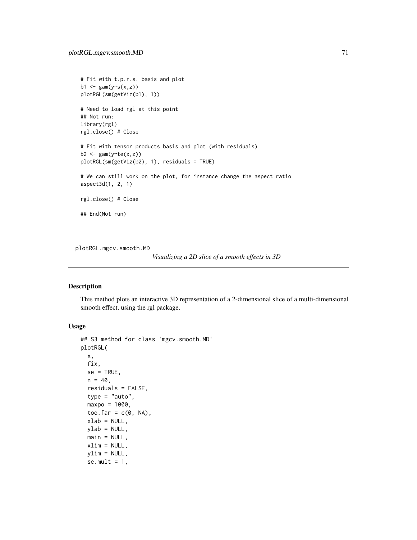```
# Fit with t.p.r.s. basis and plot
b1 <- gam(y\sim s(x, z))plotRGL(sm(getViz(b1), 1))
# Need to load rgl at this point
## Not run:
library(rgl)
rgl.close() # Close
# Fit with tensor products basis and plot (with residuals)
b2 <- gam(y \text{~}te(x, z))plotRGL(sm(getViz(b2), 1), residuals = TRUE)
# We can still work on the plot, for instance change the aspect ratio
aspect3d(1, 2, 1)
rgl.close() # Close
## End(Not run)
```
<span id="page-70-0"></span>plotRGL.mgcv.smooth.MD

*Visualizing a 2D slice of a smooth effects in 3D*

## Description

This method plots an interactive 3D representation of a 2-dimensional slice of a multi-dimensional smooth effect, using the rgl package.

## Usage

```
## S3 method for class 'mgcv.smooth.MD'
plotRGL(
  x,
 fix,
 se = TRUE,n = 40,
  residuals = FALSE,
  type = "auto",
 maxpo = 1000,too.far = c(\emptyset, NA),
  xlab = NULL,
 ylab = NULL,
 main = NULL,xlim = NULL,ylim = NULL,
  se.mult = 1,
```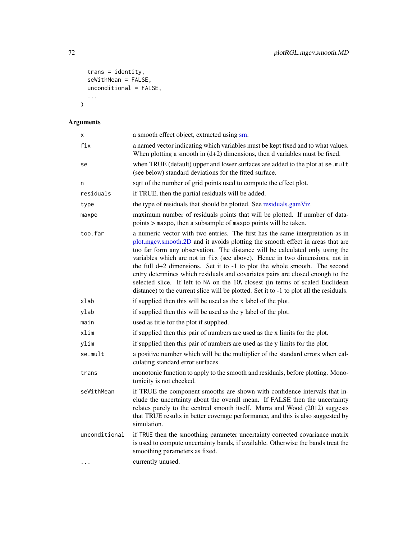```
trans = identity,
 seWithMean = FALSE,unconditional = FALSE,
 ...
)
```

| X             | a smooth effect object, extracted using sm.                                                                                                                                                                                                                                                                                                                                                                                                                                                                                                                                                                                                                                      |
|---------------|----------------------------------------------------------------------------------------------------------------------------------------------------------------------------------------------------------------------------------------------------------------------------------------------------------------------------------------------------------------------------------------------------------------------------------------------------------------------------------------------------------------------------------------------------------------------------------------------------------------------------------------------------------------------------------|
| fix           | a named vector indicating which variables must be kept fixed and to what values.<br>When plotting a smooth in $(d+2)$ dimensions, then d variables must be fixed.                                                                                                                                                                                                                                                                                                                                                                                                                                                                                                                |
| se            | when TRUE (default) upper and lower surfaces are added to the plot at se. mult<br>(see below) standard deviations for the fitted surface.                                                                                                                                                                                                                                                                                                                                                                                                                                                                                                                                        |
| n             | sqrt of the number of grid points used to compute the effect plot.                                                                                                                                                                                                                                                                                                                                                                                                                                                                                                                                                                                                               |
| residuals     | if TRUE, then the partial residuals will be added.                                                                                                                                                                                                                                                                                                                                                                                                                                                                                                                                                                                                                               |
| type          | the type of residuals that should be plotted. See residuals.gamViz.                                                                                                                                                                                                                                                                                                                                                                                                                                                                                                                                                                                                              |
| maxpo         | maximum number of residuals points that will be plotted. If number of data-<br>points > maxpo, then a subsample of maxpo points will be taken.                                                                                                                                                                                                                                                                                                                                                                                                                                                                                                                                   |
| too.far       | a numeric vector with two entries. The first has the same interpretation as in<br>plot.mgcv.smooth.2D and it avoids plotting the smooth effect in areas that are<br>too far form any observation. The distance will be calculated only using the<br>variables which are not in fix (see above). Hence in two dimensions, not in<br>the full $d+2$ dimensions. Set it to $-1$ to plot the whole smooth. The second<br>entry determines which residuals and covariates pairs are closed enough to the<br>selected slice. If left to NA on the 10\ closest (in terms of scaled Euclidean<br>distance) to the current slice will be plotted. Set it to -1 to plot all the residuals. |
| xlab          | if supplied then this will be used as the x label of the plot.                                                                                                                                                                                                                                                                                                                                                                                                                                                                                                                                                                                                                   |
| ylab          | if supplied then this will be used as the y label of the plot.                                                                                                                                                                                                                                                                                                                                                                                                                                                                                                                                                                                                                   |
| main          | used as title for the plot if supplied.                                                                                                                                                                                                                                                                                                                                                                                                                                                                                                                                                                                                                                          |
| xlim          | if supplied then this pair of numbers are used as the x limits for the plot.                                                                                                                                                                                                                                                                                                                                                                                                                                                                                                                                                                                                     |
| ylim          | if supplied then this pair of numbers are used as the y limits for the plot.                                                                                                                                                                                                                                                                                                                                                                                                                                                                                                                                                                                                     |
| se.mult       | a positive number which will be the multiplier of the standard errors when cal-<br>culating standard error surfaces.                                                                                                                                                                                                                                                                                                                                                                                                                                                                                                                                                             |
| trans         | monotonic function to apply to the smooth and residuals, before plotting. Mono-<br>tonicity is not checked.                                                                                                                                                                                                                                                                                                                                                                                                                                                                                                                                                                      |
| seWithMean    | if TRUE the component smooths are shown with confidence intervals that in-<br>clude the uncertainty about the overall mean. If FALSE then the uncertainty<br>relates purely to the centred smooth itself. Marra and Wood (2012) suggests<br>that TRUE results in better coverage performance, and this is also suggested by<br>simulation.                                                                                                                                                                                                                                                                                                                                       |
| unconditional | if TRUE then the smoothing parameter uncertainty corrected covariance matrix<br>is used to compute uncertainty bands, if available. Otherwise the bands treat the<br>smoothing parameters as fixed.                                                                                                                                                                                                                                                                                                                                                                                                                                                                              |
| $\cdots$      | currently unused.                                                                                                                                                                                                                                                                                                                                                                                                                                                                                                                                                                                                                                                                |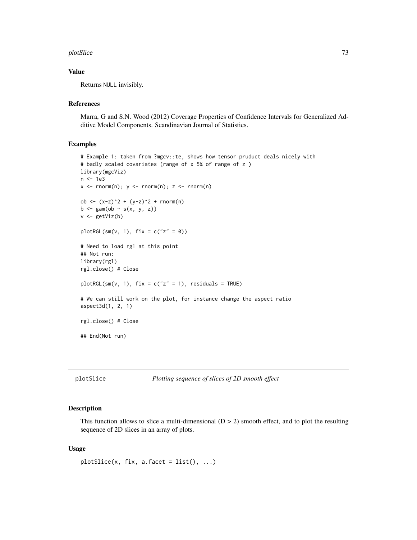#### <span id="page-72-0"></span>plotSlice 73

# Value

Returns NULL invisibly.

#### References

Marra, G and S.N. Wood (2012) Coverage Properties of Confidence Intervals for Generalized Additive Model Components. Scandinavian Journal of Statistics.

#### Examples

```
# Example 1: taken from ?mgcv::te, shows how tensor pruduct deals nicely with
# badly scaled covariates (range of x 5% of range of z )
library(mgcViz)
n <- 1e3
x \leq -rnorm(n); y \leq -rnorm(n); z \leq -rnorm(n)ob <- (x-z)^2 + (y-z)^2 + rnorm(n)b \leq gam(ob \sim s(x, y, z))
v <- getViz(b)
plotRGL(sm(v, 1), fix = c("z" = 0))
# Need to load rgl at this point
## Not run:
library(rgl)
rgl.close() # Close
plotRGL(sm(v, 1), fix = c("z" = 1), residuals = TRUE)# We can still work on the plot, for instance change the aspect ratio
aspect3d(1, 2, 1)
rgl.close() # Close
## End(Not run)
```

```
plotSlice Plotting sequence of slices of 2D smooth effect
```
#### Description

This function allows to slice a multi-dimensional  $(D > 2)$  smooth effect, and to plot the resulting sequence of 2D slices in an array of plots.

#### Usage

```
plotSlice(x, fix, a<u>g</u>.facet = list(), ...)
```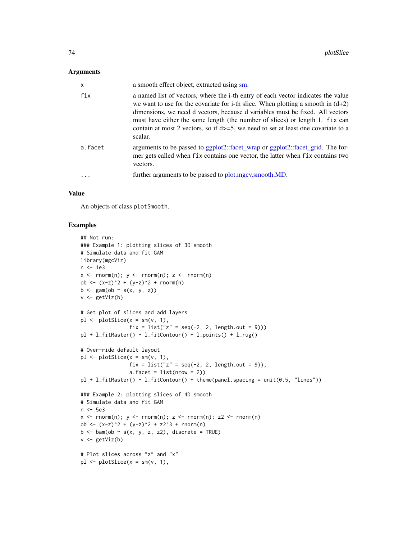#### <span id="page-73-0"></span>Arguments

| $\mathsf{x}$ | a smooth effect object, extracted using sm.                                                                                                                                                                                                                                                                                                                                                                                                 |
|--------------|---------------------------------------------------------------------------------------------------------------------------------------------------------------------------------------------------------------------------------------------------------------------------------------------------------------------------------------------------------------------------------------------------------------------------------------------|
| fix          | a named list of vectors, where the i-th entry of each vector indicates the value<br>we want to use for the covariate for i-th slice. When plotting a smooth in $(d+2)$<br>dimensions, we need d vectors, because d variables must be fixed. All vectors<br>must have either the same length (the number of slices) or length 1. fix can<br>contain at most 2 vectors, so if $d = 5$ , we need to set at least one covariate to a<br>scalar. |
| a.facet      | arguments to be passed to ggplot2::facet_wrap or ggplot2::facet_grid. The for-<br>mer gets called when fix contains one vector, the latter when fix contains two<br>vectors.                                                                                                                                                                                                                                                                |
|              | further arguments to be passed to plot mgcv.smooth.MD.                                                                                                                                                                                                                                                                                                                                                                                      |
|              |                                                                                                                                                                                                                                                                                                                                                                                                                                             |

# Value

An objects of class plotSmooth.

```
## Not run:
### Example 1: plotting slices of 3D smooth
# Simulate data and fit GAM
library(mgcViz)
n <- 1e3
x \leq -rnorm(n); y \leq -rnorm(n); z \leq -rnorm(n)ob \langle x-z \rangle^2 + (y-z)^2 + rnorm(n)b \leftarrow \text{gam}(ob \sim s(x, y, z))v <- getViz(b)
# Get plot of slices and add layers
pl \leftarrow plotSlice(x = sm(v, 1),fix = list("z" = seq(-2, 2, length.out = 9)))pl + l_fitRaster() + l_fitContour() + l_points() + l_rug()
# Over-ride default layout
pl \leq plotSlice(x = sm(v, 1),fix = list("z" = seq(-2, 2, length.out = 9)),
                 a.facet = list(nrow = 2)pl + l_fitRaster() + l_fitContour() + theme(panel.spacing = unit(0.5, "lines"))
### Example 2: plotting slices of 4D smooth
# Simulate data and fit GAM
n <- 5e3
x \leq -rnorm(n); y \leq -rnorm(n); z \leq -rnorm(n); z2 \leq -rnorm(n)ob <- (x-z)^2 + (y-z)^2 + z2^3 + rnorm(n)b \leq bam(ob \sim s(x, y, z, z2), discrete = TRUE)
v <- getViz(b)
# Plot slices across "z" and "x"
pl \leftarrow plotSlice(x = sm(v, 1),
```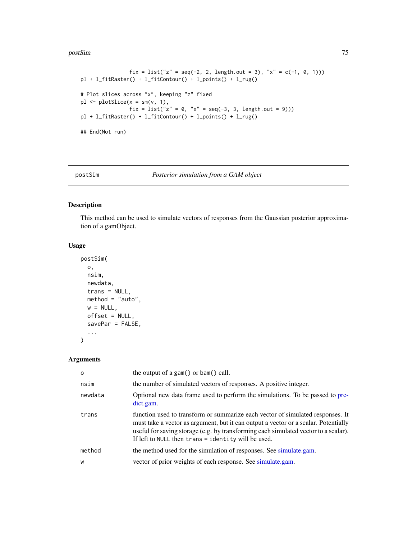#### <span id="page-74-0"></span>postSim 75

```
fix = list("z" = seq(-2, 2, length.out = 3), "x" = c(-1, 0, 1)))
pl + l_fitRaster() + l_fitContour() + l_points() + l_rug()
# Plot slices across "x", keeping "z" fixed
pl \leq plotSlice(x = sm(v, 1),fix = list("z" = 0, "x" = seq(-3, 3, length.out = 9)))
pl + l_fitRaster() + l_fitContour() + l_points() + l_rug()
## End(Not run)
```
#### postSim *Posterior simulation from a GAM object*

#### Description

This method can be used to simulate vectors of responses from the Gaussian posterior approximation of a gamObject.

#### Usage

```
postSim(
  o,
  nsim,
  newdata,
  trans = NULL,
  method = "auto",w = NULL,offset = NULL,
  savePar = FALSE,
  ...
\mathcal{L}
```
#### Arguments

| $\Omega$ | the output of a gam $()$ or bam $()$ call.                                                                                                                                                                                                                                                                            |
|----------|-----------------------------------------------------------------------------------------------------------------------------------------------------------------------------------------------------------------------------------------------------------------------------------------------------------------------|
| nsim     | the number of simulated vectors of responses. A positive integer.                                                                                                                                                                                                                                                     |
| newdata  | Optional new data frame used to perform the simulations. To be passed to pre-<br>dict.gam.                                                                                                                                                                                                                            |
| trans    | function used to transform or summarize each vector of simulated responses. It<br>must take a vector as argument, but it can output a vector or a scalar. Potentially<br>useful for saving storage (e.g. by transforming each simulated vector to a scalar).<br>If left to NULL then $trans = identity$ will be used. |
| method   | the method used for the simulation of responses. See simulate gam.                                                                                                                                                                                                                                                    |
| W        | vector of prior weights of each response. See simulate.gam.                                                                                                                                                                                                                                                           |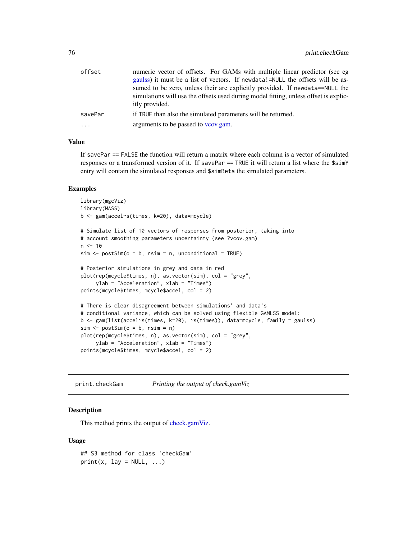<span id="page-75-0"></span>

| offset   | numeric vector of offsets. For GAMs with multiple linear predictor (see eg<br>gaulss) it must be a list of vectors. If newdata!=NULL the offsets will be as-                           |
|----------|----------------------------------------------------------------------------------------------------------------------------------------------------------------------------------------|
|          | sumed to be zero, unless their are explicitly provided. If newdata==NULL the<br>simulations will use the offsets used during model fitting, unless offset is explic-<br>itly provided. |
| savePar  | if TRUE than also the simulated parameters will be returned.                                                                                                                           |
| $\cdots$ | arguments to be passed to vcov.gam.                                                                                                                                                    |

# Value

If savePar == FALSE the function will return a matrix where each column is a vector of simulated responses or a transformed version of it. If savePar == TRUE it will return a list where the \$simY entry will contain the simulated responses and \$simBeta the simulated parameters.

#### Examples

```
library(mgcViz)
library(MASS)
b <- gam(accel~s(times, k=20), data=mcycle)
# Simulate list of 10 vectors of responses from posterior, taking into
# account smoothing parameters uncertainty (see ?vcov.gam)
n < -10sim < -</math>postSim(o = b, nsim = n, unconditional = TRUE)# Posterior simulations in grey and data in red
plot(rep(mcycle$times, n), as.vector(sim), col = "grey",
     ylab = "Acceleration", xlab = "Times")
points(mcycle$times, mcycle$accel, col = 2)
# There is clear disagreement between simulations' and data's
# conditional variance, which can be solved using flexible GAMLSS model:
b <- gam(list(accel~s(times, k=20), ~s(times)), data=mcycle, family = gaulss)
sim < - postSim(o = b, nsim = n)
plot(rep(mcycle$times, n), as.vector(sim), col = "grey",
     ylab = "Acceleration", xlab = "Times")
points(mcycle$times, mcycle$accel, col = 2)
```
print.checkGam *Printing the output of check.gamViz*

#### Description

This method prints the output of [check.gamViz.](#page-6-0)

#### Usage

## S3 method for class 'checkGam'  $print(x, \text{lay} = NULL, ...)$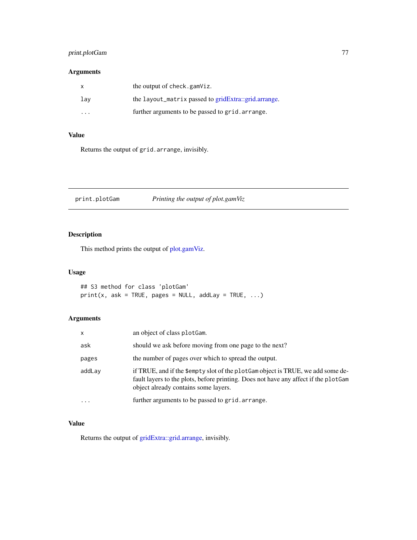# <span id="page-76-0"></span>print.plotGam 77

# Arguments

|         | the output of check.gamViz.                          |
|---------|------------------------------------------------------|
| lay     | the layout_matrix passed to gridExtra::grid.arrange. |
| $\cdot$ | further arguments to be passed to grid. arrange.     |

# Value

Returns the output of grid.arrange, invisibly.

print.plotGam *Printing the output of plot.gamViz*

# Description

This method prints the output of [plot.gamViz.](#page-43-0)

# Usage

## S3 method for class 'plotGam'  $print(x, ask = TRUE, pages = NULL, addLay = TRUE, ...)$ 

# Arguments

| $\mathsf{x}$ | an object of class plot Gam.                                                                                                                                                                                   |
|--------------|----------------------------------------------------------------------------------------------------------------------------------------------------------------------------------------------------------------|
| ask          | should we ask before moving from one page to the next?                                                                                                                                                         |
| pages        | the number of pages over which to spread the output.                                                                                                                                                           |
| addLay       | if TRUE, and if the \$empty slot of the plotGam object is TRUE, we add some de-<br>fault layers to the plots, before printing. Does not have any affect if the plotGam<br>object already contains some layers. |
| $\cdots$     | further arguments to be passed to grid. arrange.                                                                                                                                                               |

#### Value

Returns the output of [gridExtra::grid.arrange,](#page-0-0) invisibly.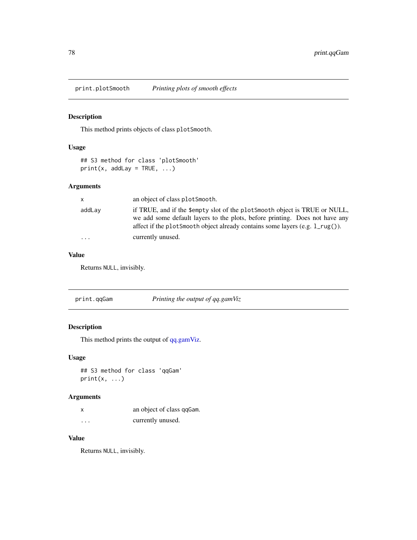<span id="page-77-0"></span>print.plotSmooth *Printing plots of smooth effects*

# Description

This method prints objects of class plotSmooth.

# Usage

```
## S3 method for class 'plotSmooth'
print(x, addLay = TRUE, ...)
```
# Arguments

| X        | an object of class plot Smooth.                                                                                                                                                                                                                       |
|----------|-------------------------------------------------------------------------------------------------------------------------------------------------------------------------------------------------------------------------------------------------------|
| addLay   | if TRUE, and if the \$empty slot of the plotSmooth object is TRUE or NULL.<br>we add some default layers to the plots, before printing. Does not have any<br>affect if the plotSmooth object already contains some layers (e.g. $1_{\text{reg}}()$ ). |
| $\cdots$ | currently unused.                                                                                                                                                                                                                                     |

# Value

Returns NULL, invisibly.

# Description

This method prints the output of [qq.gamViz.](#page-81-0)

#### Usage

```
## S3 method for class 'qqGam'
print(x, \ldots)
```
# Arguments

| X        | an object of class qqGam. |
|----------|---------------------------|
| $\cdots$ | currently unused.         |

# Value

Returns NULL, invisibly.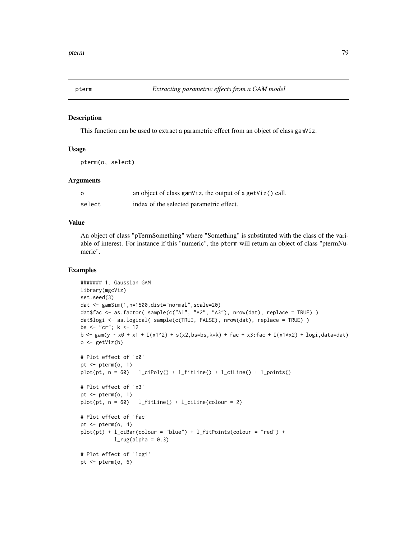<span id="page-78-0"></span>

This function can be used to extract a parametric effect from an object of class gamViz.

#### Usage

pterm(o, select)

#### Arguments

| Ο      | an object of class gam $\forall$ iz, the output of a get $\forall$ iz $()$ call. |
|--------|----------------------------------------------------------------------------------|
| select | index of the selected parametric effect.                                         |

#### Value

An object of class "pTermSomething" where "Something" is substituted with the class of the variable of interest. For instance if this "numeric", the pterm will return an object of class "ptermNumeric".

```
####### 1. Gaussian GAM
library(mgcViz)
set.seed(3)
dat <- gamSim(1,n=1500,dist="normal",scale=20)
dat$fac <- as.factor( sample(c("A1", "A2", "A3"), nrow(dat), replace = TRUE) )
dat$logi <- as.logical( sample(c(TRUE, FALSE), nrow(dat), replace = TRUE) )
bs <- "cr"; k <- 12
b <- gam(y ~ x0 + x1 + I(x1^2) + s(x2,bs=bs,k=k) + fac + x3:fac + I(x1*x2) + logi,data=dat)
o <- getViz(b)
# Plot effect of 'x0'
pt \leq pterm(o, 1)
plot(pt, n = 60) + l_cipoly() + l_fittle() + l_ciline() + l_points()# Plot effect of 'x3'
pt <- pterm(o, 1)
plot(pt, n = 60) + l_fittle() + l_ciline(colour = 2)# Plot effect of 'fac'
pt <- pterm(o, 4)
plot(pt) + l_cibar(colour = "blue") + l_fitPoints(colour = "red") +l_rug(alpha = 0.3)# Plot effect of 'logi'
pt <- pterm(o, 6)
```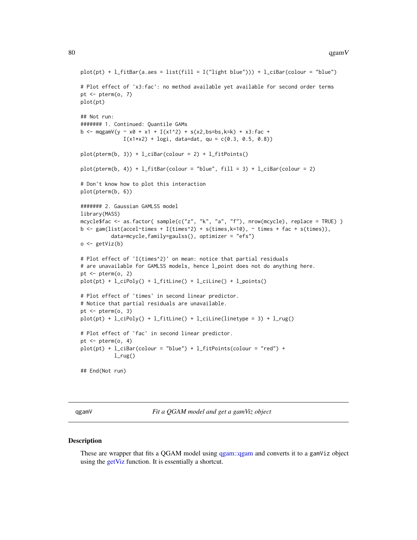```
plot(pt) + l_fitBar(a.aes = list(fill = I("light blue")) + l_cibar(colour = "blue")# Plot effect of 'x3:fac': no method available yet available for second order terms
pt \leq pterm(o, 7)
plot(pt)
## Not run:
####### 1. Continued: Quantile GAMs
b <- mqgamV(y ~ x0 + x1 + I(x1^2) + s(x2,bs=bs,k=k) + x3:fac +
              I(x1*x2) + logi, data=dat, qu = c(0.3, 0.5, 0.8))plot(pterm(b, 3)) + l_cibar(colour = 2) + l_fitPoints()plot(pterm(b, 4)) + l_fitBar(colour = "blue", fill = 3) + l_cibar(colour = 2)# Don't know how to plot this interaction
plot(pterm(b, 6))
####### 2. Gaussian GAMLSS model
library(MASS)
mcycle$fac <- as.factor( sample(c("z", "k", "a", "f"), nrow(mcycle), replace = TRUE) )
b \leq gam(list(accel~times + I(times^2) + s(times,k=10), \sim times + fac + s(times)),
          data=mcycle,family=gaulss(), optimizer = "efs")
o <- getViz(b)
# Plot effect of 'I(times^2)' on mean: notice that partial residuals
# are unavailable for GAMLSS models, hence l_point does not do anything here.
pt \leq pterm(o, 2)
plot(pt) + l_ciPoly() + l_fitLine() + l_ciLine() + l_points()
# Plot effect of 'times' in second linear predictor.
# Notice that partial residuals are unavailable.
pt \leq pterm(o, 3)
plot(pt) + l_cipoly() + l_fittle() + l_ciline(linetype = 3) + l_rug()# Plot effect of 'fac' in second linear predictor.
pt \leq pterm(o, 4)
plot(pt) + l_cibar(colour = "blue") + l_fitPoints(colour = "red") +l_rug()## End(Not run)
```
qgamV *Fit a QGAM model and get a gamViz object*

#### Description

These are wrapper that fits a QGAM model using [qgam::qgam](#page-0-0) and converts it to a gamViz object using the [getViz](#page-15-0) function. It is essentially a shortcut.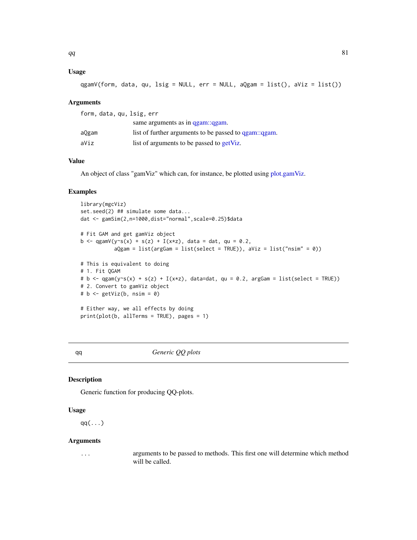# <span id="page-80-0"></span>Usage

qgamV(form, data, qu, lsig = NULL, err = NULL, aQgam = list(), aViz = list())

#### **Arguments**

| form, data, qu, lsig, err |                                                       |
|---------------------------|-------------------------------------------------------|
|                           | same arguments as in qgam: qgam.                      |
| aQgam                     | list of further arguments to be passed to qgam::qgam. |
| aViz                      | list of arguments to be passed to getViz.             |

# Value

An object of class "gamViz" which can, for instance, be plotted using [plot.gamViz.](#page-43-0)

# Examples

```
library(mgcViz)
set.seed(2) ## simulate some data...
dat <- gamSim(2,n=1000,dist="normal",scale=0.25)$data
# Fit GAM and get gamViz object
b <- qgamV(y~s(x) + s(z) + I(x*z), data = dat, qu = 0.2,
           aQgam = list(argGam = list(self = TRUE)), aViz = list("nsim" = 0))# This is equivalent to doing
# 1. Fit QGAM
# b <- qgam(y~s(x) + s(z) + I(x*z), data=dat, qu = 0.2, argGam = list(select = TRUE))
# 2. Convert to gamViz object
# b \leq - getViz(b, nsim = 0)
# Either way, we all effects by doing
print(plot(b, allTerms = TRUE), pages = 1)
```
qq *Generic QQ plots*

#### Description

Generic function for producing QQ-plots.

#### Usage

 $qq(\ldots)$ 

#### Arguments

... arguments to be passed to methods. This first one will determine which method will be called.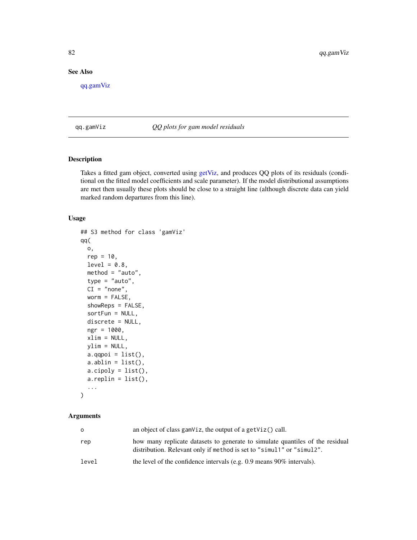# <span id="page-81-1"></span>See Also

[qq.gamViz](#page-81-0)

<span id="page-81-0"></span>qq.gamViz *QQ plots for gam model residuals*

# Description

Takes a fitted gam object, converted using [getViz,](#page-15-0) and produces QQ plots of its residuals (conditional on the fitted model coefficients and scale parameter). If the model distributional assumptions are met then usually these plots should be close to a straight line (although discrete data can yield marked random departures from this line).

#### Usage

```
## S3 method for class 'gamViz'
qq(
 o,
 rep = 10,level = 0.8,
 method = "auto",type = "auto",
 CI = "none",worm = FALSE,
  showReps = FALSE,
  sortFun = NULL,
  discrete = NULL,
  ngr = 1000,
  xlim = NULL,ylim = NULL,
 a.qqpoi = list(),a.ablin = list(),
  a.cipoly = list(),a.replin = list(),
  ...
\mathcal{L}
```
# Arguments

| O     | an object of class gam $Viz$ , the output of a get $Viz()$ call.                                                                                       |
|-------|--------------------------------------------------------------------------------------------------------------------------------------------------------|
| rep   | how many replicate datasets to generate to simulate quantiles of the residual<br>distribution. Relevant only if method is set to "simul1" or "simul2". |
| level | the level of the confidence intervals (e.g. $0.9$ means $90\%$ intervals).                                                                             |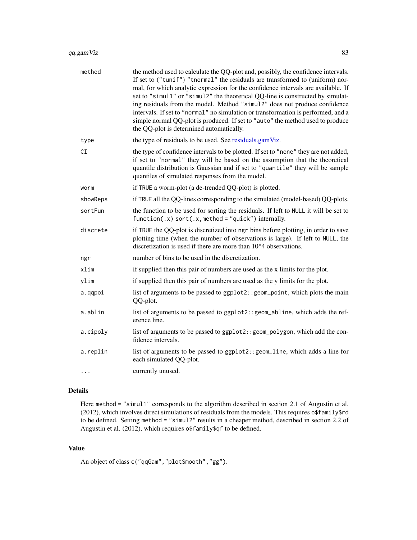<span id="page-82-0"></span>

| method   | the method used to calculate the QQ-plot and, possibly, the confidence intervals.<br>If set to ("tunif") "tnormal" the residuals are transformed to (uniform) nor-<br>mal, for which analytic expression for the confidence intervals are available. If<br>set to "simul1" or "simul2" the theoretical QQ-line is constructed by simulat-<br>ing residuals from the model. Method "simul2" does not produce confidence<br>intervals. If set to "normal" no simulation or transformation is performed, and a<br>simple normal QQ-plot is produced. If set to "auto" the method used to produce<br>the QQ-plot is determined automatically. |
|----------|-------------------------------------------------------------------------------------------------------------------------------------------------------------------------------------------------------------------------------------------------------------------------------------------------------------------------------------------------------------------------------------------------------------------------------------------------------------------------------------------------------------------------------------------------------------------------------------------------------------------------------------------|
| type     | the type of residuals to be used. See residuals.gamViz.                                                                                                                                                                                                                                                                                                                                                                                                                                                                                                                                                                                   |
| CI       | the type of confidence intervals to be plotted. If set to "none" they are not added,<br>if set to "normal" they will be based on the assumption that the theoretical<br>quantile distribution is Gaussian and if set to "quantile" they will be sample<br>quantiles of simulated responses from the model.                                                                                                                                                                                                                                                                                                                                |
| worm     | if TRUE a worm-plot (a de-trended QQ-plot) is plotted.                                                                                                                                                                                                                                                                                                                                                                                                                                                                                                                                                                                    |
| showReps | if TRUE all the QQ-lines corresponding to the simulated (model-based) QQ-plots.                                                                                                                                                                                                                                                                                                                                                                                                                                                                                                                                                           |
| sortFun  | the function to be used for sorting the residuals. If left to NULL it will be set to<br>function(.x) sort(.x, method = "quick") internally.                                                                                                                                                                                                                                                                                                                                                                                                                                                                                               |
| discrete | if TRUE the QQ-plot is discretized into ngr bins before plotting, in order to save<br>plotting time (when the number of observations is large). If left to NULL, the<br>discretization is used if there are more than 10^4 observations.                                                                                                                                                                                                                                                                                                                                                                                                  |
| ngr      | number of bins to be used in the discretization.                                                                                                                                                                                                                                                                                                                                                                                                                                                                                                                                                                                          |
| xlim     | if supplied then this pair of numbers are used as the x limits for the plot.                                                                                                                                                                                                                                                                                                                                                                                                                                                                                                                                                              |
| ylim     | if supplied then this pair of numbers are used as the y limits for the plot.                                                                                                                                                                                                                                                                                                                                                                                                                                                                                                                                                              |
| a.qqpoi  | list of arguments to be passed to ggplot2:: geom_point, which plots the main<br>QQ-plot.                                                                                                                                                                                                                                                                                                                                                                                                                                                                                                                                                  |
| a.ablin  | list of arguments to be passed to ggplot2:: geom_abline, which adds the ref-<br>erence line.                                                                                                                                                                                                                                                                                                                                                                                                                                                                                                                                              |
| a.cipoly | list of arguments to be passed to ggplot2:: geom_polygon, which add the con-<br>fidence intervals.                                                                                                                                                                                                                                                                                                                                                                                                                                                                                                                                        |
| a.replin | list of arguments to be passed to ggplot2:: geom_line, which adds a line for<br>each simulated QQ-plot.                                                                                                                                                                                                                                                                                                                                                                                                                                                                                                                                   |
| .        | currently unused.                                                                                                                                                                                                                                                                                                                                                                                                                                                                                                                                                                                                                         |

#### Details

Here method = "simul1" corresponds to the algorithm described in section 2.1 of Augustin et al. (2012), which involves direct simulations of residuals from the models. This requires o\$family\$rd to be defined. Setting method = "simul2" results in a cheaper method, described in section 2.2 of Augustin et al. (2012), which requires o\$family\$qf to be defined.

#### Value

An object of class c("qqGam","plotSmooth","gg").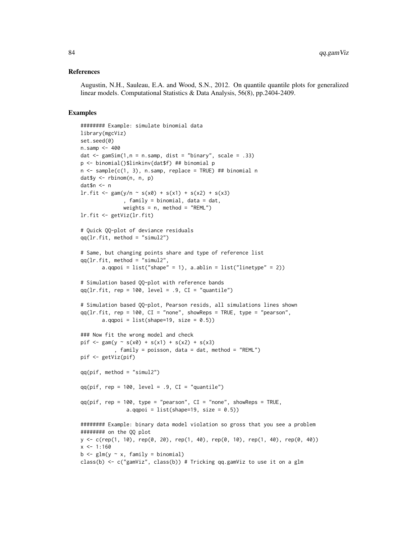#### References

Augustin, N.H., Sauleau, E.A. and Wood, S.N., 2012. On quantile quantile plots for generalized linear models. Computational Statistics & Data Analysis, 56(8), pp.2404-2409.

```
######## Example: simulate binomial data
library(mgcViz)
set.seed(0)
n.samp <- 400
dat \le gamSim(1,n = n.samp, dist = "binary", scale = .33)
p <- binomial()$linkinv(dat$f) ## binomial p
n \leq sample(c(1, 3), n.samp, replace = TRUE) ## binomial n
dat$y <- rbinom(n, n, p)
dat$n <- n
\text{lr.fit} \leq \text{gam}(y/n \leq s(x0) + s(x1) + s(x2) + s(x3), family = binomial, data = dat,
              weights = n, method = "REML")
lr.fit <- getViz(lr.fit)
# Quick QQ-plot of deviance residuals
qq(1r.fit, method = "simul2")# Same, but changing points share and type of reference list
qq(lr.fit, method = "simul2",
       a.qqpoi = list("shape" = 1), a.ablin = list("linetype" = 2))
# Simulation based QQ-plot with reference bands
qq(lr.fit, rep = 100, level = .9, CI = "quantile")# Simulation based QQ-plot, Pearson resids, all simulations lines shown
qq(1r.fit, rep = 100, CI = "none", showReps = TRUE, type = "pearson",a.qqpoi = list(shape=19, size = (0.5))
### Now fit the wrong model and check
pif \leq gam(y \leq s(x0) + s(x1) + s(x2) + s(x3)
           , family = poisson, data = dat, method = "REML")
pif <- getViz(pif)
qq(pif, method = "simul2")qq(pif, rep = 100, level = .9, CI = "quantile")qq(pif, rep = 100, type = "pearson", CI = "none", showReps = TRUE,a.qqpoi = list(shape=19, size = 0.5)######## Example: binary data model violation so gross that you see a problem
######## on the QQ plot
y \leftarrow c (rep(1, 10), rep(0, 20), rep(1, 40), rep(0, 10), rep(1, 40), rep(0, 40))
x \le -1:160b \leq glm(y \sim x, family = binomial)class(b) <- c("gamViz", class(b)) # Tricking qq.gamViz to use it on a glm
```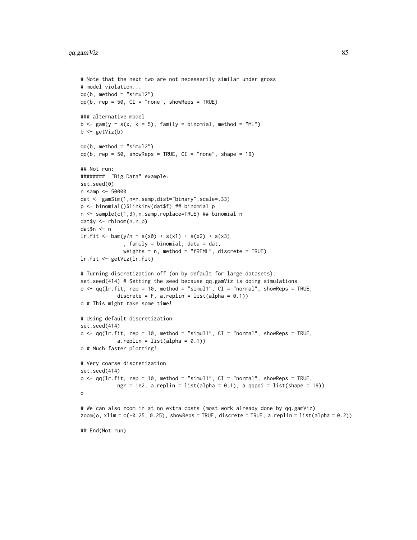# qq.gamViz 85

```
# Note that the next two are not necessarily similar under gross
# model violation...
qq(b, \text{ method} = "sim12")qq(b, rep = 50, CI = "none", showReps = TRUE)### alternative model
b \leq-gam(y \sim s(x, k = 5), family = binomial, method = "ML")b \leftarrow getViz(b)qq(b, method = "simul2")
qq(b, rep = 50, showReps = TRUE, CI = "none", shape = 19)## Not run:
######## "Big Data" example:
set.seed(0)
n.samp <- 50000
dat <- gamSim(1,n=n.samp,dist="binary",scale=.33)
p <- binomial()$linkinv(dat$f) ## binomial p
n <- sample(c(1,3),n.samp,replace=TRUE) ## binomial n
dat$y <- rbinom(n,n,p)
dat$n <- n
lr.fit \leq barn(y/n \sim s(x0) + s(x1) + s(x2) + s(x3), family = binomial, data = dat,
              weights = n, method = "fREML", discrete = TRUE)
lr.fit <- getViz(lr.fit)
# Turning discretization off (on by default for large datasets).
set.seed(414) # Setting the seed because qq.gamViz is doing simulations
o \leq q(1r.fit, rep = 10, method = "simul1", CI = "normal", showReps = TRUE,discrete = F, a.replin = list(alpha = 0.1))
o # This might take some time!
# Using default discretization
set.seed(414)
o \leq q(1r.fit, rep = 10, method = "simul1", CI = "normal", showReps = TRUE,a.replin = list(alpha = 0.1))
o # Much faster plotting!
# Very coarse discretization
set.seed(414)
o \leq q(1r.fit, rep = 10, method = "simul1", CI = "normal", showReps = TRUE,ngr = 1e2, a.replin = list(alpha = 0.1), a.qqpoi = list(shape = 19))
o
# We can also zoom in at no extra costs (most work already done by qq.gamViz)
zoom(o, xlim = c(-0.25, 0.25), showReps = TRUE, discrete = TRUE, a.replin = list(alpha = 0.2))
## End(Not run)
```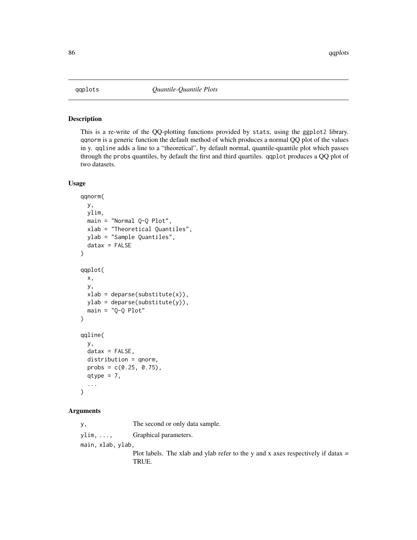<span id="page-85-0"></span>

This is a re-write of the QQ-plotting functions provided by stats, using the ggplot2 library. qqnorm is a generic function the default method of which produces a normal QQ plot of the values in y. qqline adds a line to a "theoretical", by default normal, quantile-quantile plot which passes through the probs quantiles, by default the first and third quartiles. qqplot produces a QQ plot of two datasets.

#### Usage

```
qqnorm(
 y,
 ylim,
 main = "Normal Q-Q Plot",
 xlab = "Theoretical Quantiles",
 ylab = "Sample Quantiles",
  datax = FALSE)
qqplot(
 x,
 y,
 xlab = deparse(substitute(x)),
 ylab = deparse(substitute(y)),
 main = "Q-Q Plot")
qqline(
 y,
 datax = FALSE,distribution = qnorm,
 probs = c(0.25, 0.75),
  qtype = 7,
  ...
)
```
#### Arguments

y, The second or only data sample. ylim, ..., Graphical parameters. main, xlab, ylab, Plot labels. The xlab and ylab refer to the y and x axes respectively if datax  $=$ TRUE.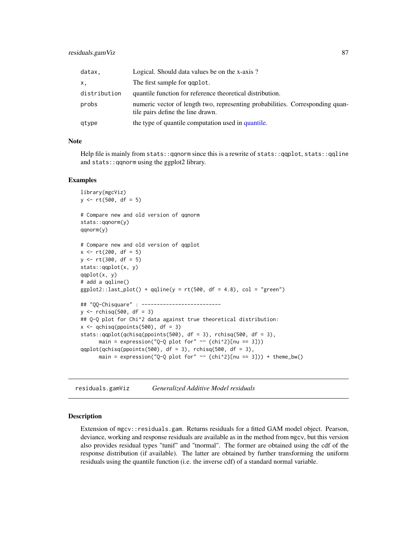<span id="page-86-1"></span>

| datax.       | Logical. Should data values be on the x-axis?                                                                      |
|--------------|--------------------------------------------------------------------------------------------------------------------|
| х.           | The first sample for gaplot.                                                                                       |
| distribution | quantile function for reference theoretical distribution.                                                          |
| probs        | numeric vector of length two, representing probabilities. Corresponding quan-<br>tile pairs define the line drawn. |
| qtype        | the type of quantile computation used in quantile.                                                                 |

#### Note

Help file is mainly from stats::qqnorm since this is a rewrite of stats::qqplot, stats::qqline and stats::qqnorm using the ggplot2 library.

#### Examples

```
library(mgcViz)
y <- rt(500, df = 5)
# Compare new and old version of qqnorm
stats::qqnorm(y)
qqnorm(y)
# Compare new and old version of qqplot
x \le -rt(200, df = 5)y \le -rt(300, df = 5)stats::qqplot(x, y)
qqplot(x, y)
# add a qqline()
ggplot2::last.plot() + qpline(y = rt(500, df = 4.8), col = "green")## "QQ-Chisquare" : --------------------------
y \le - rchisq(500, df = 3)
## Q-Q plot for Chi^2 data against true theoretical distribution:
x \leftarrow \text{qchisq}(\text{popints}(500), \text{df} = 3)stats::qqplot(qchisq(ppoints(500), df = 3), rchisq(500, df = 3),main = expression("Q-Q plot for" \sim {chi^2}[nu == 3]))
qqplot(qchisq(ppoints(500), df = 3), rchisq(500, df = 3),
      main = expression("Q-Q plot for" \sim {chi^2}[nu == 3])) + theme_bw()
```
<span id="page-86-0"></span>residuals.gamViz *Generalized Additive Model residuals*

#### Description

Extension of mgcv::residuals.gam. Returns residuals for a fitted GAM model object. Pearson, deviance, working and response residuals are available as in the method from mgcv, but this version also provides residual types "tunif" and "tnormal". The former are obtained using the cdf of the response distribution (if available). The latter are obtained by further transforming the uniform residuals using the quantile function (i.e. the inverse cdf) of a standard normal variable.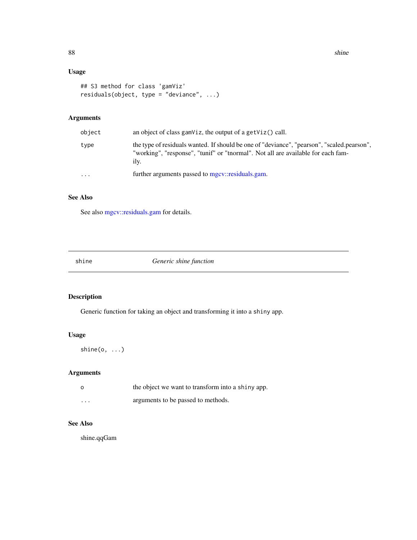88 shine shine shine shine shine shine shine shine shine shine shine shine shine shine

# Usage

```
## S3 method for class 'gamViz'
residuals(object, type = "deviance", ...)
```
# Arguments

| object    | an object of class gam $Viz$ , the output of a get $Viz()$ call.                                                                                                                       |
|-----------|----------------------------------------------------------------------------------------------------------------------------------------------------------------------------------------|
| type      | the type of residuals wanted. If should be one of "deviance", "pearson", "scaled.pearson",<br>"working", "response", "tunif" or "tnormal". Not all are available for each fam-<br>ily. |
| $\ddotsc$ | further arguments passed to mgcy::residuals.gam.                                                                                                                                       |

# See Also

See also [mgcv::residuals.gam](#page-0-0) for details.

shine *Generic shine function*

# Description

Generic function for taking an object and transforming it into a shiny app.

# Usage

shine(o, ...)

# Arguments

| $\circ$                 | the object we want to transform into a shiny app. |
|-------------------------|---------------------------------------------------|
| $\cdot$ $\cdot$ $\cdot$ | arguments to be passed to methods.                |

# See Also

shine.qqGam

<span id="page-87-0"></span>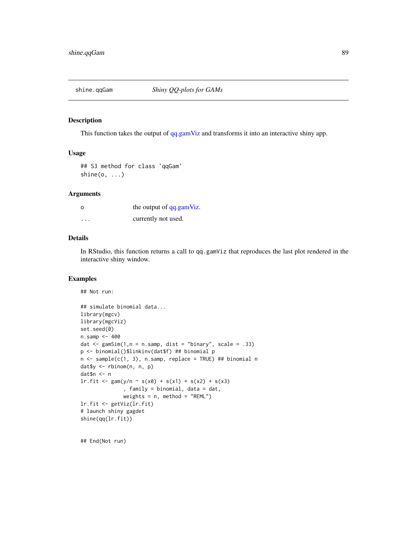<span id="page-88-0"></span>

This function takes the output of [qq.gamViz](#page-81-0) and transforms it into an interactive shiny app.

#### Usage

## S3 method for class 'qqGam'  $\text{shire}(o, \ldots)$ 

#### Arguments

| $\circ$  | the output of qq.gamViz. |
|----------|--------------------------|
| $\cdots$ | currently not used.      |

#### Details

In RStudio, this function returns a call to qq.gamViz that reproduces the last plot rendered in the interactive shiny window.

#### Examples

```
## Not run:
```

```
## simulate binomial data...
library(mgcv)
library(mgcViz)
set.seed(0)
n.samp <- 400
dat <- gamSim(1,n = n.samp, dist = "binary", scale = .33)
p <- binomial()$linkinv(dat$f) ## binomial p
n <- sample(c(1, 3), n.samp, replace = TRUE) ## binomial n
dat$y <- rbinom(n, n, p)
dat$n <- n
lr.fit \leq gam(y/n \sim s(x0) + s(x1) + s(x2) + s(x3), family = binomial, data = dat,
              weights = n, method = "REML")
lr.fit <- getViz(lr.fit)
# launch shiny gagdet
shine(qq(lr.fit))
```
## End(Not run)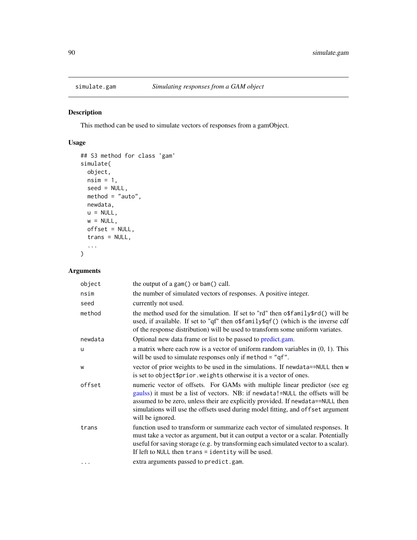<span id="page-89-1"></span><span id="page-89-0"></span>

This method can be used to simulate vectors of responses from a gamObject.

# Usage

```
## S3 method for class 'gam'
simulate(
  object,
  nsim = 1,seed = NULL,method = "auto",
  newdata,
  u = NULL,w = NULL,offset = NULL,
  trans = NULL,
  ...
\mathcal{L}
```
# Arguments

| object  | the output of a gam() or bam() call.                                                                                                                                                                                                                                                                                                                   |
|---------|--------------------------------------------------------------------------------------------------------------------------------------------------------------------------------------------------------------------------------------------------------------------------------------------------------------------------------------------------------|
| nsim    | the number of simulated vectors of responses. A positive integer.                                                                                                                                                                                                                                                                                      |
| seed    | currently not used.                                                                                                                                                                                                                                                                                                                                    |
| method  | the method used for the simulation. If set to "rd" then of family frd() will be<br>used, if available. If set to "qf" then o\$family\$qf() (which is the inverse cdf<br>of the response distribution) will be used to transform some uniform variates.                                                                                                 |
| newdata | Optional new data frame or list to be passed to predict.gam.                                                                                                                                                                                                                                                                                           |
| u       | a matrix where each row is a vector of uniform random variables in $(0, 1)$ . This<br>will be used to simulate responses only if method = "qf".                                                                                                                                                                                                        |
| W       | vector of prior weights to be used in the simulations. If newdata==NULL then w<br>is set to object \$prior. weights otherwise it is a vector of ones.                                                                                                                                                                                                  |
| offset  | numeric vector of offsets. For GAMs with multiple linear predictor (see eg<br>gaulss) it must be a list of vectors. NB: if newdata!=NULL the offsets will be<br>assumed to be zero, unless their are explicitly provided. If newdata==NULL then<br>simulations will use the offsets used during model fitting, and offset argument<br>will be ignored. |
| trans   | function used to transform or summarize each vector of simulated responses. It<br>must take a vector as argument, but it can output a vector or a scalar. Potentially<br>useful for saving storage (e.g. by transforming each simulated vector to a scalar).<br>If left to NULL then $trans = identity$ will be used.                                  |
|         | extra arguments passed to predict.gam.                                                                                                                                                                                                                                                                                                                 |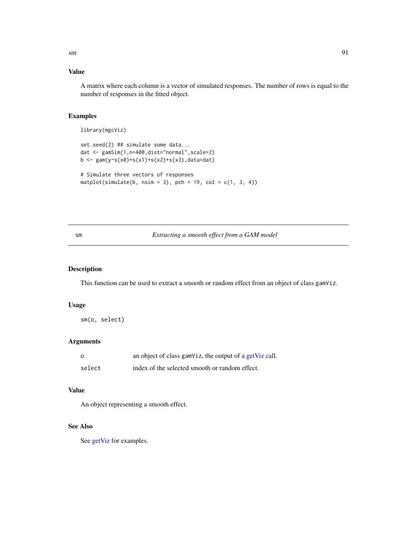# <span id="page-90-1"></span>Value

A matrix where each column is a vector of simulated responses. The number of rows is equal to the number of responses in the fitted object.

# Examples

library(mgcViz)

```
set.seed(2) ## simulate some data...
dat <- gamSim(1,n=400,dist="normal",scale=2)
b \leq gam(y~s(x0)+s(x1)+s(x2)+s(x3),data=dat)
# Simulate three vectors of responses
```
matplot(simulate(b, nsim = 3), pch = 19, col =  $c(1, 3, 4)$ )

# <span id="page-90-0"></span>sm *Extracting a smooth effect from a GAM model*

#### Description

This function can be used to extract a smooth or random effect from an object of class gamViz.

# Usage

sm(o, select)

# Arguments

| - റ    | an object of class gamViz, the output of a getViz call. |
|--------|---------------------------------------------------------|
| select | index of the selected smooth or random effect.          |

# Value

An object representing a smooth effect.

#### See Also

See [getViz](#page-15-0) for examples.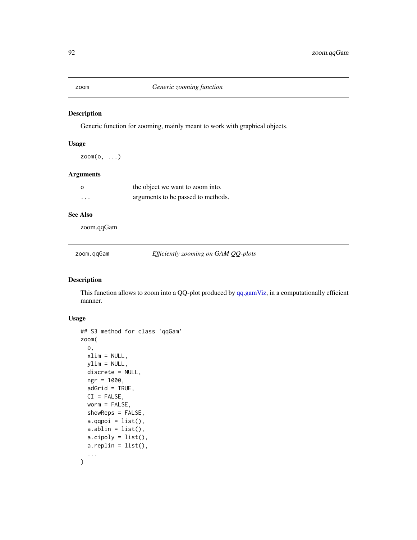<span id="page-91-0"></span>

Generic function for zooming, mainly meant to work with graphical objects.

#### Usage

 $z$ oom $(o, \ldots)$ 

#### Arguments

| - റ      | the object we want to zoom into.   |
|----------|------------------------------------|
| $\cdots$ | arguments to be passed to methods. |

# See Also

zoom.qqGam

zoom.qqGam *Efficiently zooming on GAM QQ-plots*

# Description

This function allows to zoom into a QQ-plot produced by [qq.gamViz,](#page-81-0) in a computationally efficient manner.

# Usage

```
## S3 method for class 'qqGam'
zoom(
  o,
  xlim = NULL,ylim = NULL,
  discrete = NULL,
  ngr = 1000,
  adGrid = TRUE,CI = FALSE,worm = FALSE,
  showReps = FALSE,
  a.qqpoi = list(),
  a.ablin = list(),
  a.\text{cipoly} = \text{list}(),
  a.replin = list(),
  ...
\mathcal{L}
```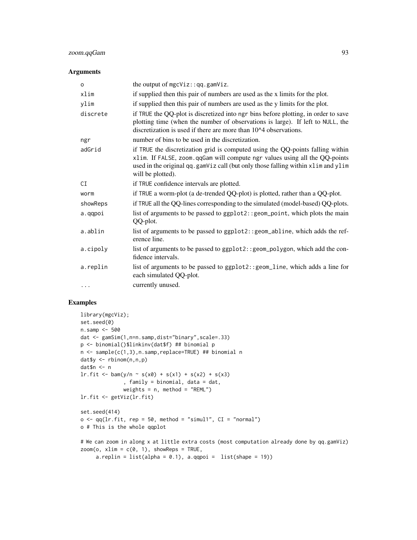# zoom.qqGam 93

#### Arguments

| $\circ$   | the output of $mgcViz$ : : $qq$ . $gamViz$ .                                                                                                                                                                                                                          |
|-----------|-----------------------------------------------------------------------------------------------------------------------------------------------------------------------------------------------------------------------------------------------------------------------|
| xlim      | if supplied then this pair of numbers are used as the x limits for the plot.                                                                                                                                                                                          |
| ylim      | if supplied then this pair of numbers are used as the y limits for the plot.                                                                                                                                                                                          |
| discrete  | if TRUE the QQ-plot is discretized into ngr bins before plotting, in order to save<br>plotting time (when the number of observations is large). If left to NULL, the<br>discretization is used if there are more than 10^4 observations.                              |
| ngr       | number of bins to be used in the discretization.                                                                                                                                                                                                                      |
| adGrid    | if TRUE the discretization grid is computed using the QQ-points falling within<br>xlim. If FALSE, zoom.qqGam will compute ngr values using all the QQ-points<br>used in the original qq.gamViz call (but only those falling within xlim and ylim<br>will be plotted). |
| СI        | if TRUE confidence intervals are plotted.                                                                                                                                                                                                                             |
| worm      | if TRUE a worm-plot (a de-trended QQ-plot) is plotted, rather than a QQ-plot.                                                                                                                                                                                         |
| showReps  | if TRUE all the QQ-lines corresponding to the simulated (model-based) QQ-plots.                                                                                                                                                                                       |
| a.qqpoi   | list of arguments to be passed to ggplot2:: geom_point, which plots the main<br>QQ-plot.                                                                                                                                                                              |
| a.ablin   | list of arguments to be passed to ggplot2:: geom_abline, which adds the ref-<br>erence line.                                                                                                                                                                          |
| a.cipoly  | list of arguments to be passed to ggplot2:: geom_polygon, which add the con-<br>fidence intervals.                                                                                                                                                                    |
| a.replin  | list of arguments to be passed to ggplot2:: geom_line, which adds a line for<br>each simulated QQ-plot.                                                                                                                                                               |
| $\ddotsc$ | currently unused.                                                                                                                                                                                                                                                     |

```
library(mgcViz);
set.seed(0)
n.samp <- 500
dat <- gamSim(1,n=n.samp,dist="binary",scale=.33)
p <- binomial()$linkinv(dat$f) ## binomial p
n <- sample(c(1,3),n.samp,replace=TRUE) ## binomial n
dat$y <- rbinom(n,n,p)
dat$n <- n
\text{lr.fit} \leq \text{bam}(y/n \sim s(x0) + s(x1) + s(x2) + s(x3), family = binomial, data = dat,
              weights = n, method = "REML")
lr.fit <- getViz(lr.fit)
set.seed(414)
o \leq qq(lr.fit, rep = 50, method = "simul", CI = "normal")o # This is the whole qqplot
# We can zoom in along x at little extra costs (most computation already done by qq.gamViz)
zoom(o, xlim = c(0, 1), showReps = TRUE,a.replin = list(alpha = 0.1), a.qqpoi = list(shape = 19))
```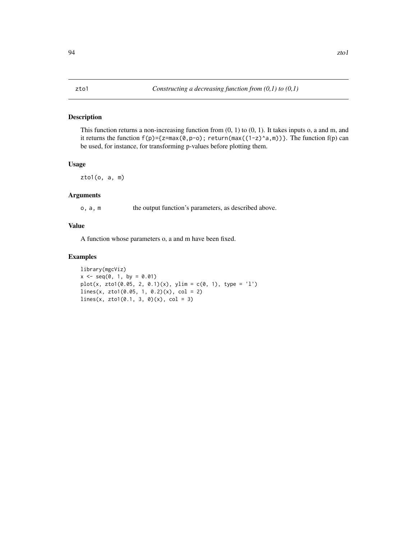<span id="page-93-0"></span>This function returns a non-increasing function from (0, 1) to (0, 1). It takes inputs o, a and m, and it returns the function  $f(p)=\{z=max(0,p-o)$ ; return(max( $(1-z)^{a},m$ ))}. The function  $f(p)$  can be used, for instance, for transforming p-values before plotting them.

#### Usage

zto1(o, a, m)

# Arguments

o, a, m the output function's parameters, as described above.

#### Value

A function whose parameters o, a and m have been fixed.

```
library(mgcViz)
x \le - seq(0, 1, by = 0.01)
plot(x, zto1(0.05, 2, 0.1)(x), ylim = c(0, 1), type = 'l')lines(x, zto1(0.05, 1, 0.2)(x), col = 2)
lines(x, zto1(0.1, 3, 0)(x), col = 3)
```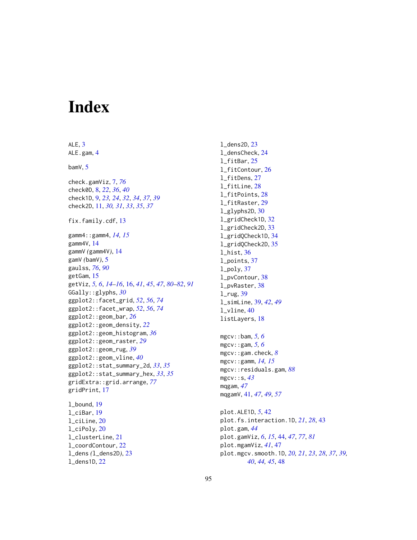# **Index**

ALE, [3](#page-2-0) ALE.gam, [4](#page-3-0) bamV, [5](#page-4-0) check.gamViz, [7,](#page-6-1) *[76](#page-75-0)* check0D, [8,](#page-7-0) *[22](#page-21-0)*, *[36](#page-35-0)*, *[40](#page-39-0)* check1D, [9,](#page-8-0) *[23,](#page-22-0) [24](#page-23-0)*, *[32](#page-31-0)*, *[34](#page-33-0)*, *[37](#page-36-0)*, *[39](#page-38-0)* check2D, [11,](#page-10-0) *[30,](#page-29-0) [31](#page-30-0)*, *[33](#page-32-0)*, *[35](#page-34-0)*, *[37](#page-36-0)* fix.family.cdf, [13](#page-12-0) gamm4::gamm4, *[14,](#page-13-0) [15](#page-14-0)* gamm4V, [14](#page-13-0) gammV *(*gamm4V*)*, [14](#page-13-0) gamV *(*bamV*)*, [5](#page-4-0) gaulss, *[76](#page-75-0)*, *[90](#page-89-1)* getGam, [15](#page-14-0) getViz, *[5,](#page-4-0) [6](#page-5-0)*, *[14](#page-13-0)[–16](#page-15-1)*, [16,](#page-15-1) *[41](#page-40-0)*, *[45](#page-44-0)*, *[47](#page-46-0)*, *[80–](#page-79-0)[82](#page-81-1)*, *[91](#page-90-1)* GGally::glyphs, *[30](#page-29-0)* ggplot2::facet\_grid, *[52](#page-51-0)*, *[56](#page-55-0)*, *[74](#page-73-0)* ggplot2::facet\_wrap, *[52](#page-51-0)*, *[56](#page-55-0)*, *[74](#page-73-0)* ggplot2::geom\_bar, *[26](#page-25-0)* ggplot2::geom\_density, *[22](#page-21-0)* ggplot2::geom\_histogram, *[36](#page-35-0)* ggplot2::geom\_raster, *[29](#page-28-0)* ggplot2::geom\_rug, *[39](#page-38-0)* ggplot2::geom\_vline, *[40](#page-39-0)* ggplot2::stat\_summary\_2d, *[33](#page-32-0)*, *[35](#page-34-0)* ggplot2::stat\_summary\_hex, *[33](#page-32-0)*, *[35](#page-34-0)* gridExtra::grid.arrange, *[77](#page-76-0)* gridPrint, [17](#page-16-0) l\_bound, [19](#page-18-0) l\_ciBar, [19](#page-18-0) l\_ciLine, [20](#page-19-0) l\_ciPoly, [20](#page-19-0) l\_clusterLine, [21](#page-20-0)

l\_coordContour, [22](#page-21-0) l\_dens *(*l\_dens2D*)*, [23](#page-22-0) l\_dens1D, [22](#page-21-0)

l\_dens2D, [23](#page-22-0) l\_densCheck, [24](#page-23-0) l\_fitBar, [25](#page-24-0) l\_fitContour, [26](#page-25-0) l\_fitDens, [27](#page-26-0) l\_fitLine, [28](#page-27-0) l\_fitPoints, [28](#page-27-0) l\_fitRaster, [29](#page-28-0) l\_glyphs2D, [30](#page-29-0) l\_gridCheck1D, [32](#page-31-0) l\_gridCheck2D, [33](#page-32-0) l\_gridQCheck1D, [34](#page-33-0) l\_gridQCheck2D, [35](#page-34-0) l\_hist, [36](#page-35-0) l\_points, [37](#page-36-0) l\_poly, [37](#page-36-0) l\_pvContour, [38](#page-37-0) l\_pvRaster, [38](#page-37-0) l\_rug, [39](#page-38-0) l\_simLine, [39,](#page-38-0) *[42](#page-41-0)*, *[49](#page-48-0)* l\_vline, [40](#page-39-0) listLayers, [18](#page-17-0) mgcv::bam, *[5,](#page-4-0) [6](#page-5-0)* mgcv::gam, *[5,](#page-4-0) [6](#page-5-0)* mgcv::gam.check, *[8](#page-7-0)* mgcv::gamm, *[14,](#page-13-0) [15](#page-14-0)* mgcv::residuals.gam, *[88](#page-87-0)* mgcv::s, *[43](#page-42-0)* mqgam, *[47](#page-46-0)* mqgamV, [41,](#page-40-0) *[47](#page-46-0)*, *[49](#page-48-0)*, *[57](#page-56-0)* plot.ALE1D, *[5](#page-4-0)*, [42](#page-41-0) plot.fs.interaction.1D, *[21](#page-20-0)*, *[28](#page-27-0)*, [43](#page-42-0) plot.gam, *[44](#page-43-1)*

plot.gamViz, *[6](#page-5-0)*, *[15](#page-14-0)*, [44,](#page-43-1) *[47](#page-46-0)*, *[77](#page-76-0)*, *[81](#page-80-0)* plot.mgamViz, *[41](#page-40-0)*, [47](#page-46-0) plot.mgcv.smooth.1D, *[20,](#page-19-0) [21](#page-20-0)*, *[23](#page-22-0)*, *[28](#page-27-0)*, *[37](#page-36-0)*, *[39,](#page-38-0) [40](#page-39-0)*, *[44,](#page-43-1) [45](#page-44-0)*, [48](#page-47-0)